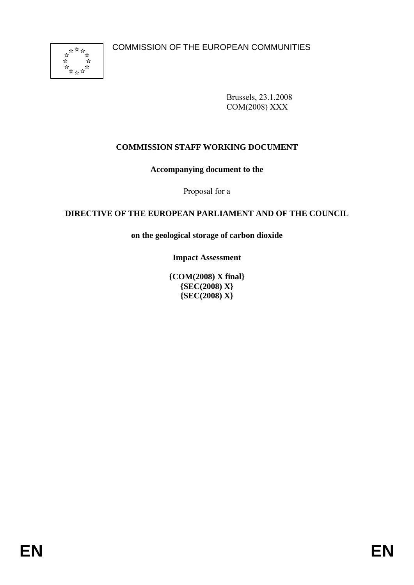

Brussels, 23.1.2008 COM(2008) XXX

# **COMMISSION STAFF WORKING DOCUMENT**

**Accompanying document to the** 

Proposal for a

# **DIRECTIVE OF THE EUROPEAN PARLIAMENT AND OF THE COUNCIL**

**on the geological storage of carbon dioxide** 

**Impact Assessment** 

**{COM(2008) X final} {SEC(2008) X} {SEC(2008) X}**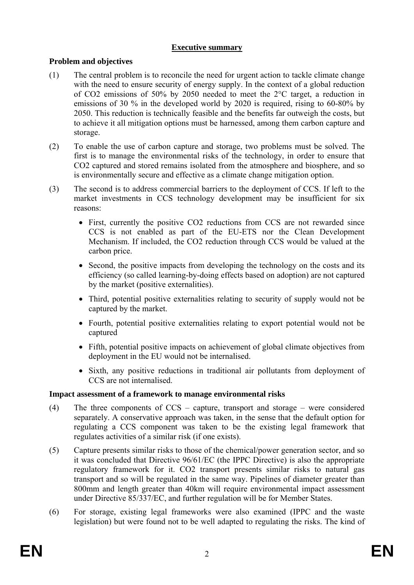## **Executive summary**

## **Problem and objectives**

- (1) The central problem is to reconcile the need for urgent action to tackle climate change with the need to ensure security of energy supply. In the context of a global reduction of CO2 emissions of 50% by 2050 needed to meet the 2°C target, a reduction in emissions of 30 % in the developed world by 2020 is required, rising to 60-80% by 2050. This reduction is technically feasible and the benefits far outweigh the costs, but to achieve it all mitigation options must be harnessed, among them carbon capture and storage.
- (2) To enable the use of carbon capture and storage, two problems must be solved. The first is to manage the environmental risks of the technology, in order to ensure that CO2 captured and stored remains isolated from the atmosphere and biosphere, and so is environmentally secure and effective as a climate change mitigation option.
- (3) The second is to address commercial barriers to the deployment of CCS. If left to the market investments in CCS technology development may be insufficient for six reasons:
	- First, currently the positive CO2 reductions from CCS are not rewarded since CCS is not enabled as part of the EU-ETS nor the Clean Development Mechanism. If included, the CO2 reduction through CCS would be valued at the carbon price.
	- Second, the positive impacts from developing the technology on the costs and its efficiency (so called learning-by-doing effects based on adoption) are not captured by the market (positive externalities).
	- Third, potential positive externalities relating to security of supply would not be captured by the market.
	- Fourth, potential positive externalities relating to export potential would not be captured
	- Fifth, potential positive impacts on achievement of global climate objectives from deployment in the EU would not be internalised.
	- Sixth, any positive reductions in traditional air pollutants from deployment of CCS are not internalised.

### **Impact assessment of a framework to manage environmental risks**

- (4) The three components of CCS capture, transport and storage were considered separately. A conservative approach was taken, in the sense that the default option for regulating a CCS component was taken to be the existing legal framework that regulates activities of a similar risk (if one exists).
- (5) Capture presents similar risks to those of the chemical/power generation sector, and so it was concluded that Directive 96/61/EC (the IPPC Directive) is also the appropriate regulatory framework for it. CO2 transport presents similar risks to natural gas transport and so will be regulated in the same way. Pipelines of diameter greater than 800mm and length greater than 40km will require environmental impact assessment under Directive 85/337/EC, and further regulation will be for Member States.
- (6) For storage, existing legal frameworks were also examined (IPPC and the waste legislation) but were found not to be well adapted to regulating the risks. The kind of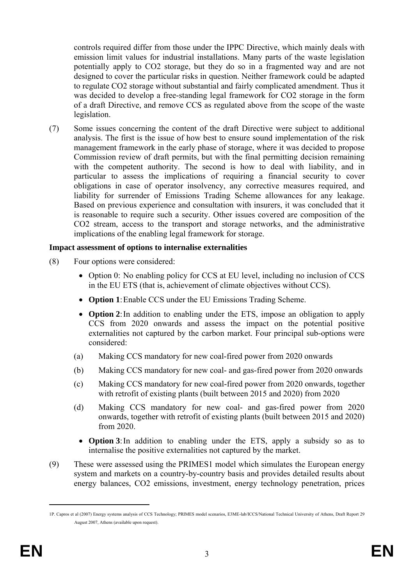controls required differ from those under the IPPC Directive, which mainly deals with emission limit values for industrial installations. Many parts of the waste legislation potentially apply to CO2 storage, but they do so in a fragmented way and are not designed to cover the particular risks in question. Neither framework could be adapted to regulate CO2 storage without substantial and fairly complicated amendment. Thus it was decided to develop a free-standing legal framework for CO2 storage in the form of a draft Directive, and remove CCS as regulated above from the scope of the waste legislation.

(7) Some issues concerning the content of the draft Directive were subject to additional analysis. The first is the issue of how best to ensure sound implementation of the risk management framework in the early phase of storage, where it was decided to propose Commission review of draft permits, but with the final permitting decision remaining with the competent authority. The second is how to deal with liability, and in particular to assess the implications of requiring a financial security to cover obligations in case of operator insolvency, any corrective measures required, and liability for surrender of Emissions Trading Scheme allowances for any leakage. Based on previous experience and consultation with insurers, it was concluded that it is reasonable to require such a security. Other issues covered are composition of the CO2 stream, access to the transport and storage networks, and the administrative implications of the enabling legal framework for storage.

### **Impact assessment of options to internalise externalities**

- (8) Four options were considered:
	- Option 0: No enabling policy for CCS at EU level, including no inclusion of CCS in the EU ETS (that is, achievement of climate objectives without CCS).
	- **Option 1**: Enable CCS under the EU Emissions Trading Scheme.
	- **Option 2**: In addition to enabling under the ETS, impose an obligation to apply CCS from 2020 onwards and assess the impact on the potential positive externalities not captured by the carbon market. Four principal sub-options were considered:
	- (a) Making CCS mandatory for new coal-fired power from 2020 onwards
	- (b) Making CCS mandatory for new coal- and gas-fired power from 2020 onwards
	- (c) Making CCS mandatory for new coal-fired power from 2020 onwards, together with retrofit of existing plants (built between 2015 and 2020) from 2020
	- (d) Making CCS mandatory for new coal- and gas-fired power from 2020 onwards, together with retrofit of existing plants (built between 2015 and 2020) from 2020.
		- **Option 3**: In addition to enabling under the ETS, apply a subsidy so as to internalise the positive externalities not captured by the market.
- (9) These were assessed using the PRIMES1 model which simulates the European energy system and markets on a country-by-country basis and provides detailed results about energy balances, CO2 emissions, investment, energy technology penetration, prices

<sup>1</sup>P. Capros et al (2007) Energy systems analysis of CCS Technology; PRIMES model scenarios, E3ME-lab/ICCS/National Technical University of Athens, Draft Report 29 August 2007, Athens (available upon request).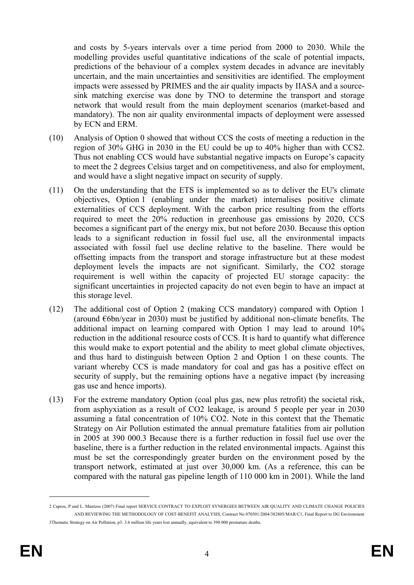and costs by 5-years intervals over a time period from 2000 to 2030. While the modelling provides useful quantitative indications of the scale of potential impacts, predictions of the behaviour of a complex system decades in advance are inevitably uncertain, and the main uncertainties and sensitivities are identified. The employment impacts were assessed by PRIMES and the air quality impacts by IIASA and a sourcesink matching exercise was done by TNO to determine the transport and storage network that would result from the main deployment scenarios (market-based and mandatory). The non air quality environmental impacts of deployment were assessed by ECN and ERM.

- (10) Analysis of Option 0 showed that without CCS the costs of meeting a reduction in the region of 30% GHG in 2030 in the EU could be up to 40% higher than with CCS2. Thus not enabling CCS would have substantial negative impacts on Europe's capacity to meet the 2 degrees Celsius target and on competitiveness, and also for employment, and would have a slight negative impact on security of supply.
- (11) On the understanding that the ETS is implemented so as to deliver the EU's climate objectives, Option 1 (enabling under the market) internalises positive climate externalities of CCS deployment. With the carbon price resulting from the efforts required to meet the 20% reduction in greenhouse gas emissions by 2020, CCS becomes a significant part of the energy mix, but not before 2030. Because this option leads to a significant reduction in fossil fuel use, all the environmental impacts associated with fossil fuel use decline relative to the baseline. There would be offsetting impacts from the transport and storage infrastructure but at these modest deployment levels the impacts are not significant. Similarly, the CO2 storage requirement is well within the capacity of projected EU storage capacity: the significant uncertainties in projected capacity do not even begin to have an impact at this storage level.
- (12) The additional cost of Option 2 (making CCS mandatory) compared with Option 1 (around  $\epsilon$ 6bn/year in 2030) must be justified by additional non-climate benefits. The additional impact on learning compared with Option 1 may lead to around 10% reduction in the additional resource costs of CCS. It is hard to quantify what difference this would make to export potential and the ability to meet global climate objectives, and thus hard to distinguish between Option 2 and Option 1 on these counts. The variant whereby CCS is made mandatory for coal and gas has a positive effect on security of supply, but the remaining options have a negative impact (by increasing gas use and hence imports).
- (13) For the extreme mandatory Option (coal plus gas, new plus retrofit) the societal risk, from asphyxiation as a result of CO2 leakage, is around 5 people per year in 2030 assuming a fatal concentration of 10% CO2. Note in this context that the Thematic Strategy on Air Pollution estimated the annual premature fatalities from air pollution in 2005 at 390 000.3 Because there is a further reduction in fossil fuel use over the baseline, there is a further reduction in the related environmental impacts. Against this must be set the correspondingly greater burden on the environment posed by the transport network, estimated at just over 30,000 km. (As a reference, this can be compared with the natural gas pipeline length of 110 000 km in 2001). While the land

<sup>2</sup> Capros, P and L. Mantzos (2007) Final report SERVICE CONTRACT TO EXPLOIT SYNERGIES BETWEEN AIR QUALITY AND CLIMATE CHANGE POLICIES AND REVIEWING THE METHODOLOGY OF COST-BENEFIT ANALYSIS, Contract No 070501/2004/382805/MAR/C1, Final Report to DG Environment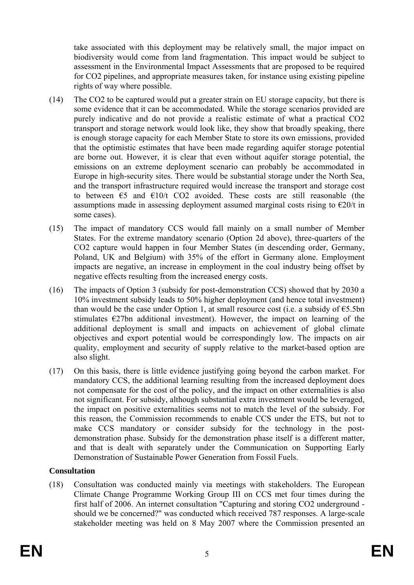take associated with this deployment may be relatively small, the major impact on biodiversity would come from land fragmentation. This impact would be subject to assessment in the Environmental Impact Assessments that are proposed to be required for CO2 pipelines, and appropriate measures taken, for instance using existing pipeline rights of way where possible.

- (14) The CO2 to be captured would put a greater strain on EU storage capacity, but there is some evidence that it can be accommodated. While the storage scenarios provided are purely indicative and do not provide a realistic estimate of what a practical CO2 transport and storage network would look like, they show that broadly speaking, there is enough storage capacity for each Member State to store its own emissions, provided that the optimistic estimates that have been made regarding aquifer storage potential are borne out. However, it is clear that even without aquifer storage potential, the emissions on an extreme deployment scenario can probably be accommodated in Europe in high-security sites. There would be substantial storage under the North Sea, and the transport infrastructure required would increase the transport and storage cost to between  $\epsilon$ 5 and  $\epsilon$ 10/t CO2 avoided. These costs are still reasonable (the assumptions made in assessing deployment assumed marginal costs rising to  $\epsilon$ 20/t in some cases).
- (15) The impact of mandatory CCS would fall mainly on a small number of Member States. For the extreme mandatory scenario (Option 2d above), three-quarters of the CO2 capture would happen in four Member States (in descending order, Germany, Poland, UK and Belgium) with 35% of the effort in Germany alone. Employment impacts are negative, an increase in employment in the coal industry being offset by negative effects resulting from the increased energy costs.
- (16) The impacts of Option 3 (subsidy for post-demonstration CCS) showed that by 2030 a 10% investment subsidy leads to 50% higher deployment (and hence total investment) than would be the case under Option 1, at small resource cost (i.e. a subsidy of  $\epsilon$ 5.5bn stimulates  $E27$ bn additional investment). However, the impact on learning of the additional deployment is small and impacts on achievement of global climate objectives and export potential would be correspondingly low. The impacts on air quality, employment and security of supply relative to the market-based option are also slight.
- (17) On this basis, there is little evidence justifying going beyond the carbon market. For mandatory CCS, the additional learning resulting from the increased deployment does not compensate for the cost of the policy, and the impact on other externalities is also not significant. For subsidy, although substantial extra investment would be leveraged, the impact on positive externalities seems not to match the level of the subsidy. For this reason, the Commission recommends to enable CCS under the ETS, but not to make CCS mandatory or consider subsidy for the technology in the postdemonstration phase. Subsidy for the demonstration phase itself is a different matter, and that is dealt with separately under the Communication on Supporting Early Demonstration of Sustainable Power Generation from Fossil Fuels.

## **Consultation**

(18) Consultation was conducted mainly via meetings with stakeholders. The European Climate Change Programme Working Group III on CCS met four times during the first half of 2006. An internet consultation "Capturing and storing CO2 underground should we be concerned?" was conducted which received 787 responses. A large-scale stakeholder meeting was held on 8 May 2007 where the Commission presented an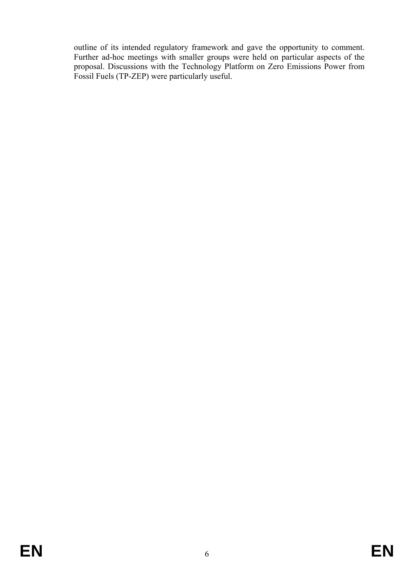outline of its intended regulatory framework and gave the opportunity to comment. Further ad-hoc meetings with smaller groups were held on particular aspects of the proposal. Discussions with the Technology Platform on Zero Emissions Power from Fossil Fuels (TP-ZEP) were particularly useful.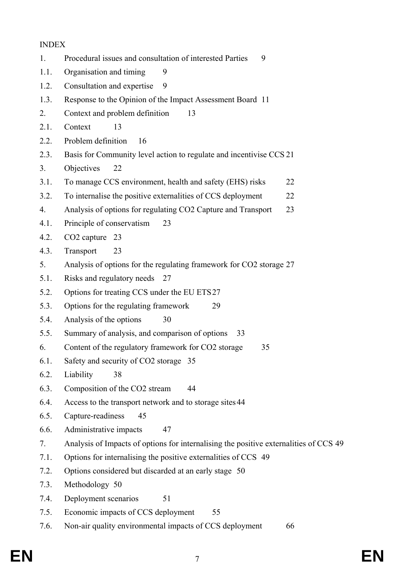#### INDEX

- 1. Procedural issues and consultation of interested Parties 9 1.1. Organisation and timing 9
- 1.2. Consultation and expertise 9
- 1.3. Response to the Opinion of the Impact Assessment Board 11
- 2. Context and problem definition 13
- 2.1 Context 13
- 2.2. Problem definition 16
- 2.3. Basis for Community level action to regulate and incentivise CCS 21
- 3. Objectives 22
- 3.1. To manage CCS environment, health and safety (EHS) risks 22
- 3.2. To internalise the positive externalities of CCS deployment 22
- 4. Analysis of options for regulating CO2 Capture and Transport 23
- 4.1. Principle of conservatism 23
- 4.2. CO2 capture 23
- 4.3. Transport 23
- 5. Analysis of options for the regulating framework for CO2 storage 27
- 5.1. Risks and regulatory needs 27
- 5.2. Options for treating CCS under the EU ETS 27
- 5.3. Options for the regulating framework 29
- 5.4. Analysis of the options 30
- 5.5. Summary of analysis, and comparison of options 33
- 6. Content of the regulatory framework for CO2 storage 35
- 6.1. Safety and security of CO2 storage 35
- 6.2. Liability 38
- 6.3. Composition of the CO2 stream 44
- 6.4. Access to the transport network and to storage sites 44
- 6.5. Capture-readiness 45
- 6.6. Administrative impacts 47
- 7. Analysis of Impacts of options for internalising the positive externalities of CCS 49
- 7.1. Options for internalising the positive externalities of CCS 49
- 7.2. Options considered but discarded at an early stage 50
- 7.3. Methodology 50
- 7.4. Deployment scenarios 51
- 7.5. Economic impacts of CCS deployment 55
- 7.6. Non-air quality environmental impacts of CCS deployment 66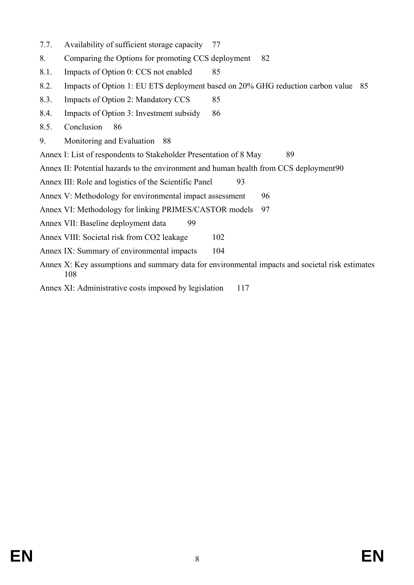- 7.7. Availability of sufficient storage capacity 77
- 8. Comparing the Options for promoting CCS deployment 82
- 8.1. Impacts of Option 0: CCS not enabled 85
- 8.2. Impacts of Option 1: EU ETS deployment based on 20% GHG reduction carbon value 85
- 8.3. Impacts of Option 2: Mandatory CCS 85
- 8.4. Impacts of Option 3: Investment subsidy 86
- 8.5. Conclusion 86
- 9. Monitoring and Evaluation 88
- Annex I: List of respondents to Stakeholder Presentation of 8 May 89
- Annex II: Potential hazards to the environment and human health from CCS deployment 90
- Annex III: Role and logistics of the Scientific Panel 93
- Annex V: Methodology for environmental impact assessment 96
- Annex VI: Methodology for linking PRIMES/CASTOR models 97
- Annex VII: Baseline deployment data 99
- Annex VIII: Societal risk from CO2 leakage 102
- Annex IX: Summary of environmental impacts 104
- Annex X: Key assumptions and summary data for environmental impacts and societal risk estimates 108
- Annex XI: Administrative costs imposed by legislation 117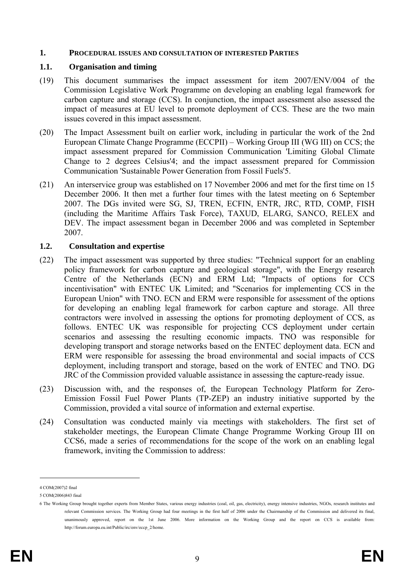#### **1. PROCEDURAL ISSUES AND CONSULTATION OF INTERESTED PARTIES**

#### **1.1. Organisation and timing**

- (19) This document summarises the impact assessment for item 2007/ENV/004 of the Commission Legislative Work Programme on developing an enabling legal framework for carbon capture and storage (CCS). In conjunction, the impact assessment also assessed the impact of measures at EU level to promote deployment of CCS. These are the two main issues covered in this impact assessment.
- (20) The Impact Assessment built on earlier work, including in particular the work of the 2nd European Climate Change Programme (ECCPII) – Working Group III (WG III) on CCS; the impact assessment prepared for Commission Communication 'Limiting Global Climate Change to 2 degrees Celsius'4; and the impact assessment prepared for Commission Communication 'Sustainable Power Generation from Fossil Fuels'5.
- (21) An interservice group was established on 17 November 2006 and met for the first time on 15 December 2006. It then met a further four times with the latest meeting on 6 September 2007. The DGs invited were SG, SJ, TREN, ECFIN, ENTR, JRC, RTD, COMP, FISH (including the Maritime Affairs Task Force), TAXUD, ELARG, SANCO, RELEX and DEV. The impact assessment began in December 2006 and was completed in September 2007.

#### **1.2. Consultation and expertise**

- (22) The impact assessment was supported by three studies: "Technical support for an enabling policy framework for carbon capture and geological storage", with the Energy research Centre of the Netherlands (ECN) and ERM Ltd; "Impacts of options for CCS incentivisation" with ENTEC UK Limited; and "Scenarios for implementing CCS in the European Union" with TNO. ECN and ERM were responsible for assessment of the options for developing an enabling legal framework for carbon capture and storage. All three contractors were involved in assessing the options for promoting deployment of CCS, as follows. ENTEC UK was responsible for projecting CCS deployment under certain scenarios and assessing the resulting economic impacts. TNO was responsible for developing transport and storage networks based on the ENTEC deployment data. ECN and ERM were responsible for assessing the broad environmental and social impacts of CCS deployment, including transport and storage, based on the work of ENTEC and TNO. DG JRC of the Commission provided valuable assistance in assessing the capture-ready issue.
- (23) Discussion with, and the responses of, the European Technology Platform for Zero-Emission Fossil Fuel Power Plants (TP-ZEP) an industry initiative supported by the Commission, provided a vital source of information and external expertise.
- (24) Consultation was conducted mainly via meetings with stakeholders. The first set of stakeholder meetings, the European Climate Change Programme Working Group III on CCS6, made a series of recommendations for the scope of the work on an enabling legal framework, inviting the Commission to address:

<sup>4</sup> COM(2007)2 final

<sup>5</sup> COM(2006)843 final

<sup>6</sup> The Working Group brought together experts from Member States, various energy industries (coal, oil, gas, electricity), energy intensive industries, NGOs, research institutes and relevant Commission services. The Working Group had four meetings in the first half of 2006 under the Chairmanship of the Commission and delivered its final, unanimously approved, report on the 1st June 2006. More information on the Working Group and the report on CCS is available from: http://forum.europa.eu.int/Public/irc/env/eccp\_2/home.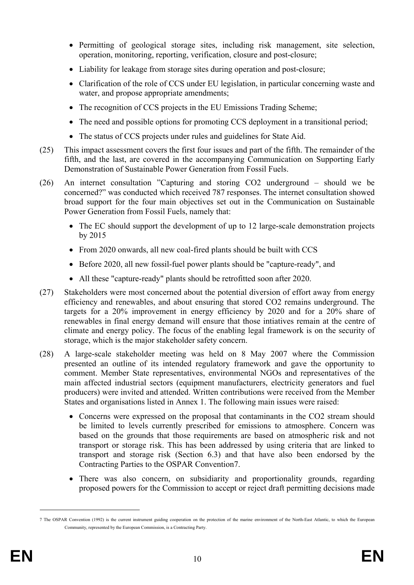- Permitting of geological storage sites, including risk management, site selection, operation, monitoring, reporting, verification, closure and post-closure:
- Liability for leakage from storage sites during operation and post-closure;
- Clarification of the role of CCS under EU legislation, in particular concerning waste and water, and propose appropriate amendments;
- The recognition of CCS projects in the EU Emissions Trading Scheme:
- The need and possible options for promoting CCS deployment in a transitional period;
- The status of CCS projects under rules and guidelines for State Aid.
- (25) This impact assessment covers the first four issues and part of the fifth. The remainder of the fifth, and the last, are covered in the accompanying Communication on Supporting Early Demonstration of Sustainable Power Generation from Fossil Fuels.
- (26) An internet consultation "Capturing and storing CO2 underground should we be concerned?" was conducted which received 787 responses. The internet consultation showed broad support for the four main objectives set out in the Communication on Sustainable Power Generation from Fossil Fuels, namely that:
	- The EC should support the development of up to 12 large-scale demonstration projects by 2015
	- From 2020 onwards, all new coal-fired plants should be built with CCS
	- Before 2020, all new fossil-fuel power plants should be "capture-ready", and
	- All these "capture-ready" plants should be retrofitted soon after 2020.
- (27) Stakeholders were most concerned about the potential diversion of effort away from energy efficiency and renewables, and about ensuring that stored CO2 remains underground. The targets for a 20% improvement in energy efficiency by 2020 and for a 20% share of renewables in final energy demand will ensure that those intiatives remain at the centre of climate and energy policy. The focus of the enabling legal framework is on the security of storage, which is the major stakeholder safety concern.
- (28) A large-scale stakeholder meeting was held on 8 May 2007 where the Commission presented an outline of its intended regulatory framework and gave the opportunity to comment. Member State representatives, environmental NGOs and representatives of the main affected industrial sectors (equipment manufacturers, electricity generators and fuel producers) were invited and attended. Written contributions were received from the Member States and organisations listed in Annex 1. The following main issues were raised:
	- Concerns were expressed on the proposal that contaminants in the CO2 stream should be limited to levels currently prescribed for emissions to atmosphere. Concern was based on the grounds that those requirements are based on atmospheric risk and not transport or storage risk. This has been addressed by using criteria that are linked to transport and storage risk (Section 6.3) and that have also been endorsed by the Contracting Parties to the OSPAR Convention7.
	- There was also concern, on subsidiarity and proportionality grounds, regarding proposed powers for the Commission to accept or reject draft permitting decisions made

<sup>7</sup> The OSPAR Convention (1992) is the current instrument guiding cooperation on the protection of the marine environment of the North-East Atlantic, to which the European Community, represented by the European Commission, is a Contracting Party.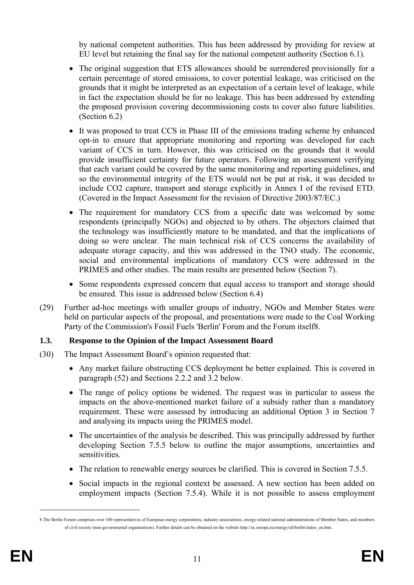by national competent authorities. This has been addressed by providing for review at EU level but retaining the final say for the national competent authority (Section 6.1).

- The original suggestion that ETS allowances should be surrendered provisionally for a certain percentage of stored emissions, to cover potential leakage, was criticised on the grounds that it might be interpreted as an expectation of a certain level of leakage, while in fact the expectation should be for no leakage. This has been addressed by extending the proposed provision covering decommissioning costs to cover also future liabilities. (Section 6.2)
- It was proposed to treat CCS in Phase III of the emissions trading scheme by enhanced opt-in to ensure that appropriate monitoring and reporting was developed for each variant of CCS in turn. However, this was criticised on the grounds that it would provide insufficient certainty for future operators. Following an assessment verifying that each variant could be covered by the same monitoring and reporting guidelines, and so the environmental integrity of the ETS would not be put at risk, it was decided to include CO2 capture, transport and storage explicitly in Annex I of the revised ETD. (Covered in the Impact Assessment for the revision of Directive 2003/87/EC.)
- The requirement for mandatory CCS from a specific date was welcomed by some respondents (principally NGOs) and objected to by others. The objectors claimed that the technology was insufficiently mature to be mandated, and that the implications of doing so were unclear. The main technical risk of CCS concerns the availability of adequate storage capacity, and this was addressed in the TNO study. The economic, social and environmental implications of mandatory CCS were addressed in the PRIMES and other studies. The main results are presented below (Section 7).
- Some respondents expressed concern that equal access to transport and storage should be ensured. This issue is addressed below (Section 6.4)
- (29) Further ad-hoc meetings with smaller groups of industry, NGOs and Member States were held on particular aspects of the proposal, and presentations were made to the Coal Working Party of the Commission's Fossil Fuels 'Berlin' Forum and the Forum itself8.

### **1.3. Response to the Opinion of the Impact Assessment Board**

- (30) The Impact Assessment Board's opinion requested that:
	- Any market failure obstructing CCS deployment be better explained. This is covered in paragraph (52) and Sections 2.2.2 and 3.2 below.
	- The range of policy options be widened. The request was in particular to assess the impacts on the above-mentioned market failure of a subsidy rather than a mandatory requirement. These were assessed by introducing an additional Option 3 in Section 7 and analysing its impacts using the PRIMES model.
	- The uncertainties of the analysis be described. This was principally addressed by further developing Section 7.5.5 below to outline the major assumptions, uncertainties and sensitivities.
	- The relation to renewable energy sources be clarified. This is covered in Section 7.5.5.
	- Social impacts in the regional context be assessed. A new section has been added on employment impacts (Section 7.5.4). While it is not possible to assess employment

<sup>8</sup> The Berlin Forum comprises over 100 representatives of European energy corporations, industry associations, energy-related national administrations of Member States, and members of civil society (non-governmental organisations). Further details can be obtained on the website http://ec.europa.eu/energy/oil/berlin/index\_en.htm.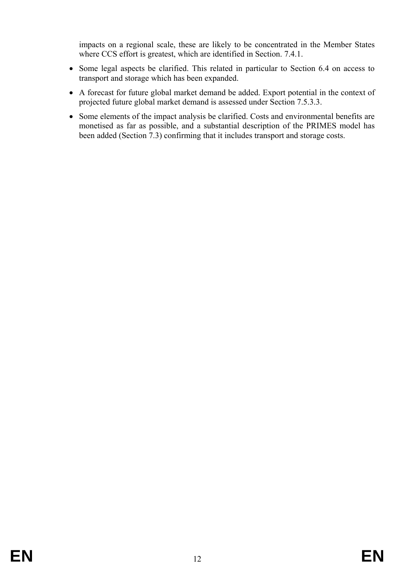impacts on a regional scale, these are likely to be concentrated in the Member States where CCS effort is greatest, which are identified in Section. 7.4.1.

- Some legal aspects be clarified. This related in particular to Section 6.4 on access to transport and storage which has been expanded.
- A forecast for future global market demand be added. Export potential in the context of projected future global market demand is assessed under Section 7.5.3.3.
- Some elements of the impact analysis be clarified. Costs and environmental benefits are monetised as far as possible, and a substantial description of the PRIMES model has been added (Section 7.3) confirming that it includes transport and storage costs.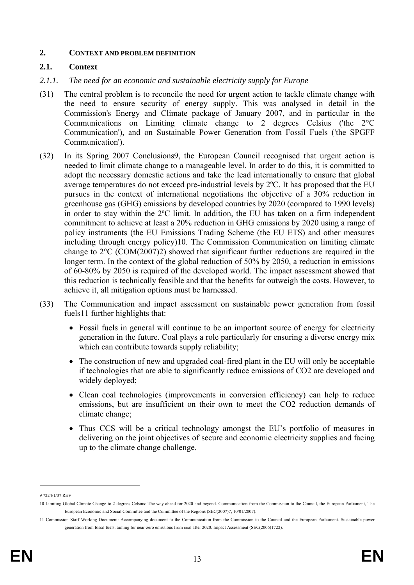#### **2. CONTEXT AND PROBLEM DEFINITION**

### **2.1. Context**

- *2.1.1. The need for an economic and sustainable electricity supply for Europe*
- (31) The central problem is to reconcile the need for urgent action to tackle climate change with the need to ensure security of energy supply. This was analysed in detail in the Commission's Energy and Climate package of January 2007, and in particular in the Communications on Limiting climate change to 2 degrees Celsius ('the 2°C Communication'), and on Sustainable Power Generation from Fossil Fuels ('the SPGFF Communication').
- (32) In its Spring 2007 Conclusions9, the European Council recognised that urgent action is needed to limit climate change to a manageable level. In order to do this, it is committed to adopt the necessary domestic actions and take the lead internationally to ensure that global average temperatures do not exceed pre-industrial levels by 2ºC. It has proposed that the EU pursues in the context of international negotiations the objective of a 30% reduction in greenhouse gas (GHG) emissions by developed countries by 2020 (compared to 1990 levels) in order to stay within the 2ºC limit. In addition, the EU has taken on a firm independent commitment to achieve at least a 20% reduction in GHG emissions by 2020 using a range of policy instruments (the EU Emissions Trading Scheme (the EU ETS) and other measures including through energy policy)10. The Commission Communication on limiting climate change to 2°C (COM(2007)2) showed that significant further reductions are required in the longer term. In the context of the global reduction of 50% by 2050, a reduction in emissions of 60-80% by 2050 is required of the developed world. The impact assessment showed that this reduction is technically feasible and that the benefits far outweigh the costs. However, to achieve it, all mitigation options must be harnessed.
- (33) The Communication and impact assessment on sustainable power generation from fossil fuels11 further highlights that:
	- Fossil fuels in general will continue to be an important source of energy for electricity generation in the future. Coal plays a role particularly for ensuring a diverse energy mix which can contribute towards supply reliability;
	- The construction of new and upgraded coal-fired plant in the EU will only be acceptable if technologies that are able to significantly reduce emissions of CO2 are developed and widely deployed;
	- Clean coal technologies (improvements in conversion efficiency) can help to reduce emissions, but are insufficient on their own to meet the CO2 reduction demands of climate change;
	- Thus CCS will be a critical technology amongst the EU's portfolio of measures in delivering on the joint objectives of secure and economic electricity supplies and facing up to the climate change challenge.

<sup>9 7224/1/07</sup> REV

<sup>10</sup> Limiting Global Climate Change to 2 degrees Celsius: The way ahead for 2020 and beyond. Communication from the Commission to the Council, the European Parliament, The European Economic and Social Committee and the Committee of the Regions (SEC(2007)7, 10/01/2007).

<sup>11</sup> Commission Staff Working Document: Accompanying document to the Communication from the Commission to the Council and the European Parliament. Sustainable power generation from fossil fuels: aiming for near-zero emissions from coal after 2020. Impact Assessment (SEC(2006)1722)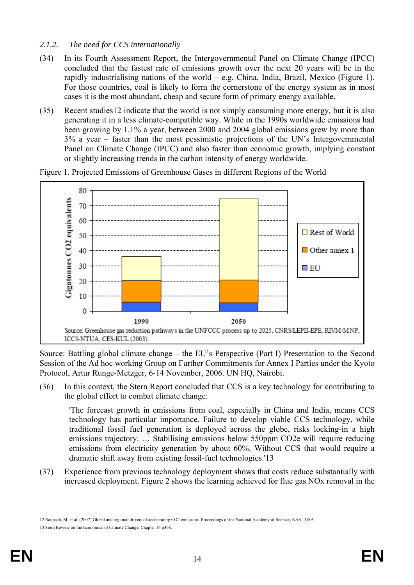## *2.1.2. The need for CCS internationally*

- (34) In its Fourth Assessment Report, the Intergovernmental Panel on Climate Change (IPCC) concluded that the fastest rate of emissions growth over the next 20 years will be in the rapidly industrialising nations of the world – e.g. China, India, Brazil, Mexico (Figure 1). For those countries, coal is likely to form the cornerstone of the energy system as in most cases it is the most abundant, cheap and secure form of primary energy available.
- (35) Recent studies12 indicate that the world is not simply consuming more energy, but it is also generating it in a less climate-compatible way. While in the 1990s worldwide emissions had been growing by 1.1% a year, between 2000 and 2004 global emissions grew by more than 3% a year – faster than the most pessimistic projections of the UN's Intergovernmental Panel on Climate Change (IPCC) and also faster than economic growth, implying constant or slightly increasing trends in the carbon intensity of energy worldwide.

80 **Gigatonnes CO2** equivalents 70 60 □ Rest of World 50  $\Box$  Other annex 1 40 30  $\square$  EU 20 10 0 1990 2050 Source: Greenhouse gas reduction pathways in the UNFCCC process up to 2025, CNRS/LEPII-EPE, RIVM/MNP, ICCS-NTUA, CES-KUL (2003).

Figure 1. Projected Emissions of Greenhouse Gases in different Regions of the World

Source: Battling global climate change – the EU's Perspective (Part I) Presentation to the Second Session of the Ad hoc working Group on Further Commitments for Annex I Parties under the Kyoto Protocol, Artur Runge-Metzger, 6-14 November, 2006. UN HQ, Nairobi.

(36) In this context, the Stern Report concluded that CCS is a key technology for contributing to the global effort to combat climate change:

'The forecast growth in emissions from coal, especially in China and India, means CCS technology has particular importance. Failure to develop viable CCS technology, while traditional fossil fuel generation is deployed across the globe, risks locking-in a high emissions trajectory. ... Stabilising emissions below 550ppm CO2e will require reducing emissions from electricity generation by about 60%. Without CCS that would require a dramatic shift away from existing fossil-fuel technologies.'13

(37) Experience from previous technology deployment shows that costs reduce substantially with increased deployment. Figure 2 shows the learning achieved for flue gas NOx removal in the

<sup>12</sup> Raupach, M. et al. (2007) Global and regional drivers of accelerating CO2 emissions. Proceedings of the National Academy of Science, NAS - USA

<sup>13</sup> Stern Review on the Economics of Climate Change, Chapter 16 p368.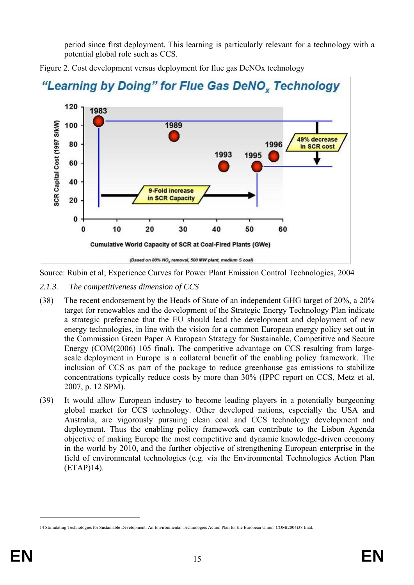period since first deployment. This learning is particularly relevant for a technology with a potential global role such as CCS.



Figure 2. Cost development versus deployment for flue gas DeNOx technology

Source: Rubin et al; Experience Curves for Power Plant Emission Control Technologies, 2004

- *2.1.3. The competitiveness dimension of CCS*
- (38) The recent endorsement by the Heads of State of an independent GHG target of 20%, a 20% target for renewables and the development of the Strategic Energy Technology Plan indicate a strategic preference that the EU should lead the development and deployment of new energy technologies, in line with the vision for a common European energy policy set out in the Commission Green Paper A European Strategy for Sustainable, Competitive and Secure Energy (COM(2006) 105 final). The competitive advantage on CCS resulting from largescale deployment in Europe is a collateral benefit of the enabling policy framework. The inclusion of CCS as part of the package to reduce greenhouse gas emissions to stabilize concentrations typically reduce costs by more than 30% (IPPC report on CCS, Metz et al, 2007, p. 12 SPM).
- (39) It would allow European industry to become leading players in a potentially burgeoning global market for CCS technology. Other developed nations, especially the USA and Australia, are vigorously pursuing clean coal and CCS technology development and deployment. Thus the enabling policy framework can contribute to the Lisbon Agenda objective of making Europe the most competitive and dynamic knowledge-driven economy in the world by 2010, and the further objective of strengthening European enterprise in the field of environmental technologies (e.g. via the Environmental Technologies Action Plan (ETAP)14).

<sup>14</sup> Stimulating Technologies for Sustainable Development: An Environmental Technologies Action Plan for the European Union. COM(2004)38 final.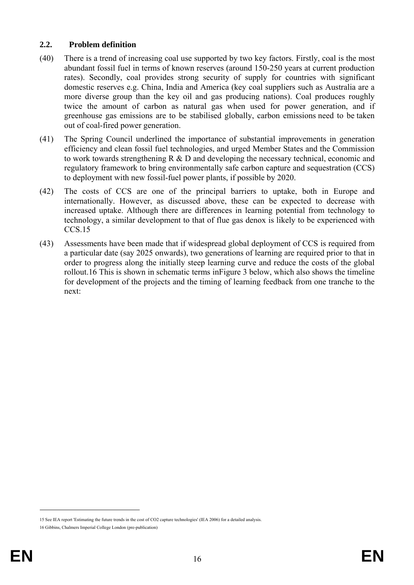## **2.2. Problem definition**

- (40) There is a trend of increasing coal use supported by two key factors. Firstly, coal is the most abundant fossil fuel in terms of known reserves (around 150-250 years at current production rates). Secondly, coal provides strong security of supply for countries with significant domestic reserves e.g. China, India and America (key coal suppliers such as Australia are a more diverse group than the key oil and gas producing nations). Coal produces roughly twice the amount of carbon as natural gas when used for power generation, and if greenhouse gas emissions are to be stabilised globally, carbon emissions need to be taken out of coal-fired power generation.
- (41) The Spring Council underlined the importance of substantial improvements in generation efficiency and clean fossil fuel technologies, and urged Member States and the Commission to work towards strengthening R & D and developing the necessary technical, economic and regulatory framework to bring environmentally safe carbon capture and sequestration (CCS) to deployment with new fossil-fuel power plants, if possible by 2020.
- (42) The costs of CCS are one of the principal barriers to uptake, both in Europe and internationally. However, as discussed above, these can be expected to decrease with increased uptake. Although there are differences in learning potential from technology to technology, a similar development to that of flue gas denox is likely to be experienced with CCS.15
- (43) Assessments have been made that if widespread global deployment of CCS is required from a particular date (say 2025 onwards), two generations of learning are required prior to that in order to progress along the initially steep learning curve and reduce the costs of the global rollout.16 This is shown in schematic terms inFigure 3 below, which also shows the timeline for development of the projects and the timing of learning feedback from one tranche to the next:

<sup>15</sup> See IEA report 'Estimating the future trends in the cost of CO2 capture technologies' (IEA 2006) for a detailed analysis.

<sup>16</sup> Gibbins, Chalmers Imperial College London (pre-publication)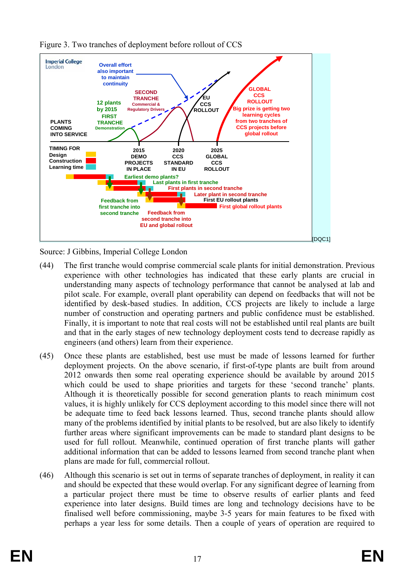

Figure 3. Two tranches of deployment before rollout of CCS

Source: J Gibbins, Imperial College London

- (44) The first tranche would comprise commercial scale plants for initial demonstration. Previous experience with other technologies has indicated that these early plants are crucial in understanding many aspects of technology performance that cannot be analysed at lab and pilot scale. For example, overall plant operability can depend on feedbacks that will not be identified by desk-based studies. In addition, CCS projects are likely to include a large number of construction and operating partners and public confidence must be established. Finally, it is important to note that real costs will not be established until real plants are built and that in the early stages of new technology deployment costs tend to decrease rapidly as engineers (and others) learn from their experience.
- (45) Once these plants are established, best use must be made of lessons learned for further deployment projects. On the above scenario, if first-of-type plants are built from around 2012 onwards then some real operating experience should be available by around 2015 which could be used to shape priorities and targets for these 'second tranche' plants. Although it is theoretically possible for second generation plants to reach minimum cost values, it is highly unlikely for CCS deployment according to this model since there will not be adequate time to feed back lessons learned. Thus, second tranche plants should allow many of the problems identified by initial plants to be resolved, but are also likely to identify further areas where significant improvements can be made to standard plant designs to be used for full rollout. Meanwhile, continued operation of first tranche plants will gather additional information that can be added to lessons learned from second tranche plant when plans are made for full, commercial rollout.
- (46) Although this scenario is set out in terms of separate tranches of deployment, in reality it can and should be expected that these would overlap. For any significant degree of learning from a particular project there must be time to observe results of earlier plants and feed experience into later designs. Build times are long and technology decisions have to be finalised well before commissioning, maybe 3-5 years for main features to be fixed with perhaps a year less for some details. Then a couple of years of operation are required to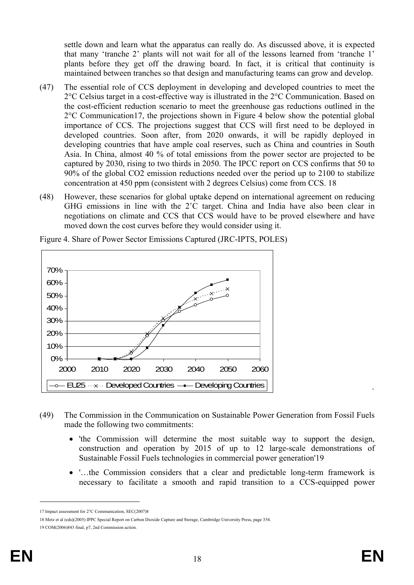settle down and learn what the apparatus can really do. As discussed above, it is expected that many 'tranche 2' plants will not wait for all of the lessons learned from 'tranche 1' plants before they get off the drawing board. In fact, it is critical that continuity is maintained between tranches so that design and manufacturing teams can grow and develop.

- (47) The essential role of CCS deployment in developing and developed countries to meet the 2°C Celsius target in a cost-effective way is illustrated in the 2°C Communication. Based on the cost-efficient reduction scenario to meet the greenhouse gas reductions outlined in the 2°C Communication17, the projections shown in Figure 4 below show the potential global importance of CCS. The projections suggest that CCS will first need to be deployed in developed countries. Soon after, from 2020 onwards, it will be rapidly deployed in developing countries that have ample coal reserves, such as China and countries in South Asia. In China, almost 40 % of total emissions from the power sector are projected to be captured by 2030, rising to two thirds in 2050. The IPCC report on CCS confirms that 50 to 90% of the global CO2 emission reductions needed over the period up to 2100 to stabilize concentration at 450 ppm (consistent with 2 degrees Celsius) come from CCS. 18
- (48) However, these scenarios for global uptake depend on international agreement on reducing GHG emissions in line with the 2˚C target. China and India have also been clear in negotiations on climate and CCS that CCS would have to be proved elsewhere and have moved down the cost curves before they would consider using it.



Figure 4. Share of Power Sector Emissions Captured (JRC-IPTS, POLES)

- (49) The Commission in the Communication on Sustainable Power Generation from Fossil Fuels made the following two commitments:
	- 'the Commission will determine the most suitable way to support the design, construction and operation by 2015 of up to 12 large-scale demonstrations of Sustainable Fossil Fuels technologies in commercial power generation'19
	- '…the Commission considers that a clear and predictable long-term framework is necessary to facilitate a smooth and rapid transition to a CCS-equipped power

<sup>17</sup> Impact assessment for 2°C Communication, SEC(2007)8

<sup>18</sup> Metz et al (eds)(2005) IPPC Special Report on Carbon Dioxide Capture and Storage, Cambridge University Press, page 354.

<sup>19</sup> COM(2006)843 final, p7, 2nd Commission action.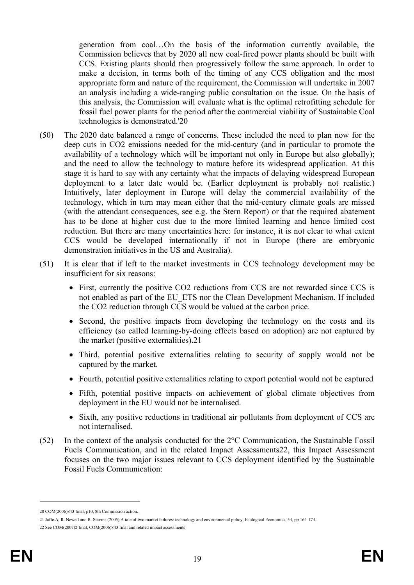generation from coal…On the basis of the information currently available, the Commission believes that by 2020 all new coal-fired power plants should be built with CCS. Existing plants should then progressively follow the same approach. In order to make a decision, in terms both of the timing of any CCS obligation and the most appropriate form and nature of the requirement, the Commission will undertake in 2007 an analysis including a wide-ranging public consultation on the issue. On the basis of this analysis, the Commission will evaluate what is the optimal retrofitting schedule for fossil fuel power plants for the period after the commercial viability of Sustainable Coal technologies is demonstrated.'20

- (50) The 2020 date balanced a range of concerns. These included the need to plan now for the deep cuts in CO2 emissions needed for the mid-century (and in particular to promote the availability of a technology which will be important not only in Europe but also globally); and the need to allow the technology to mature before its widespread application. At this stage it is hard to say with any certainty what the impacts of delaying widespread European deployment to a later date would be. (Earlier deployment is probably not realistic.) Intuitively, later deployment in Europe will delay the commercial availability of the technology, which in turn may mean either that the mid-century climate goals are missed (with the attendant consequences, see e.g. the Stern Report) or that the required abatement has to be done at higher cost due to the more limited learning and hence limited cost reduction. But there are many uncertainties here: for instance, it is not clear to what extent CCS would be developed internationally if not in Europe (there are embryonic demonstration initiatives in the US and Australia).
- (51) It is clear that if left to the market investments in CCS technology development may be insufficient for six reasons:
	- First, currently the positive CO2 reductions from CCS are not rewarded since CCS is not enabled as part of the EU\_ETS nor the Clean Development Mechanism. If included the CO2 reduction through CCS would be valued at the carbon price.
	- Second, the positive impacts from developing the technology on the costs and its efficiency (so called learning-by-doing effects based on adoption) are not captured by the market (positive externalities).21
	- Third, potential positive externalities relating to security of supply would not be captured by the market.
	- Fourth, potential positive externalities relating to export potential would not be captured
	- Fifth, potential positive impacts on achievement of global climate objectives from deployment in the EU would not be internalised.
	- Sixth, any positive reductions in traditional air pollutants from deployment of CCS are not internalised.
- (52) In the context of the analysis conducted for the 2°C Communication, the Sustainable Fossil Fuels Communication, and in the related Impact Assessments22, this Impact Assessment focuses on the two major issues relevant to CCS deployment identified by the Sustainable Fossil Fuels Communication:

<sup>20</sup> COM(2006)843 final, p10, 8th Commission action.

<sup>21</sup> Jaffe.A, R. Newell and R. Stavins (2005) A tale of two market failures: technology and environmental policy, Ecological Economics, 54, pp 164-174.

<sup>22</sup> See COM(2007)2 final, COM(2006)843 final and related impact assessments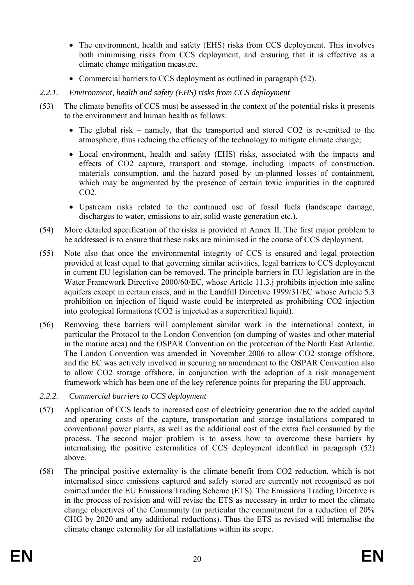- The environment, health and safety (EHS) risks from CCS deployment. This involves both minimising risks from CCS deployment, and ensuring that it is effective as a climate change mitigation measure.
- Commercial barriers to CCS deployment as outlined in paragraph (52).
- *2.2.1. Environment, health and safety (EHS) risks from CCS deployment*
- (53) The climate benefits of CCS must be assessed in the context of the potential risks it presents to the environment and human health as follows:
	- The global risk namely, that the transported and stored CO2 is re-emitted to the atmosphere, thus reducing the efficacy of the technology to mitigate climate change;
	- Local environment, health and safety (EHS) risks, associated with the impacts and effects of CO2 capture, transport and storage, including impacts of construction, materials consumption, and the hazard posed by un-planned losses of containment, which may be augmented by the presence of certain toxic impurities in the captured CO2.
	- Upstream risks related to the continued use of fossil fuels (landscape damage, discharges to water, emissions to air, solid waste generation etc.).
- (54) More detailed specification of the risks is provided at Annex II. The first major problem to be addressed is to ensure that these risks are minimised in the course of CCS deployment.
- (55) Note also that once the environmental integrity of CCS is ensured and legal protection provided at least equal to that governing similar activities, legal barriers to CCS deployment in current EU legislation can be removed. The principle barriers in EU legislation are in the Water Framework Directive 2000/60/EC, whose Article 11.3.j prohibits injection into saline aquifers except in certain cases, and in the Landfill Directive 1999/31/EC whose Article 5.3 prohibition on injection of liquid waste could be interpreted as prohibiting CO2 injection into geological formations (CO2 is injected as a supercritical liquid).
- (56) Removing these barriers will complement similar work in the international context, in particular the Protocol to the London Convention (on dumping of wastes and other material in the marine area) and the OSPAR Convention on the protection of the North East Atlantic. The London Convention was amended in November 2006 to allow CO2 storage offshore, and the EC was actively involved in securing an amendment to the OSPAR Convention also to allow CO2 storage offshore, in conjunction with the adoption of a risk management framework which has been one of the key reference points for preparing the EU approach.
- *2.2.2. Commercial barriers to CCS deployment*
- (57) Application of CCS leads to increased cost of electricity generation due to the added capital and operating costs of the capture, transportation and storage installations compared to conventional power plants, as well as the additional cost of the extra fuel consumed by the process. The second major problem is to assess how to overcome these barriers by internalising the positive externalities of CCS deployment identified in paragraph (52) above.
- (58) The principal positive externality is the climate benefit from CO2 reduction, which is not internalised since emissions captured and safely stored are currently not recognised as not emitted under the EU Emissions Trading Scheme (ETS). The Emissions Trading Directive is in the process of revision and will revise the ETS as necessary in order to meet the climate change objectives of the Community (in particular the commitment for a reduction of 20% GHG by 2020 and any additional reductions). Thus the ETS as revised will internalise the climate change externality for all installations within its scope.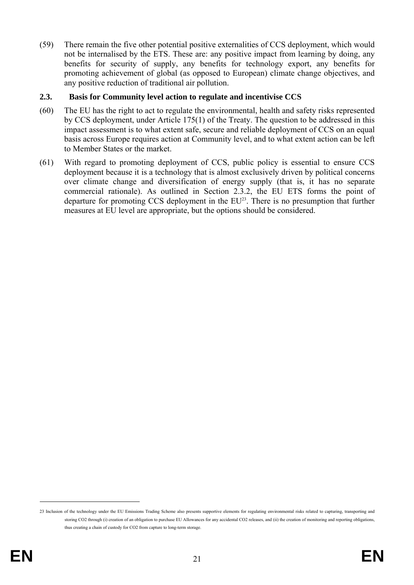(59) There remain the five other potential positive externalities of CCS deployment, which would not be internalised by the ETS. These are: any positive impact from learning by doing, any benefits for security of supply, any benefits for technology export, any benefits for promoting achievement of global (as opposed to European) climate change objectives, and any positive reduction of traditional air pollution.

### **2.3. Basis for Community level action to regulate and incentivise CCS**

- (60) The EU has the right to act to regulate the environmental, health and safety risks represented by CCS deployment, under Article 175(1) of the Treaty. The question to be addressed in this impact assessment is to what extent safe, secure and reliable deployment of CCS on an equal basis across Europe requires action at Community level, and to what extent action can be left to Member States or the market.
- (61) With regard to promoting deployment of CCS, public policy is essential to ensure CCS deployment because it is a technology that is almost exclusively driven by political concerns over climate change and diversification of energy supply (that is, it has no separate commercial rationale). As outlined in Section 2.3.2, the EU ETS forms the point of departure for promoting CCS deployment in the EU<sup>23</sup>. There is no presumption that further measures at EU level are appropriate, but the options should be considered.

<sup>23</sup> Inclusion of the technology under the EU Emissions Trading Scheme also presents supportive elements for regulating environmental risks related to capturing, transporting and storing CO2 through (i) creation of an obligation to purchase EU Allowances for any accidental CO2 releases, and (ii) the creation of monitoring and reporting obligations. thus creating a chain of custody for CO2 from capture to long-term storage.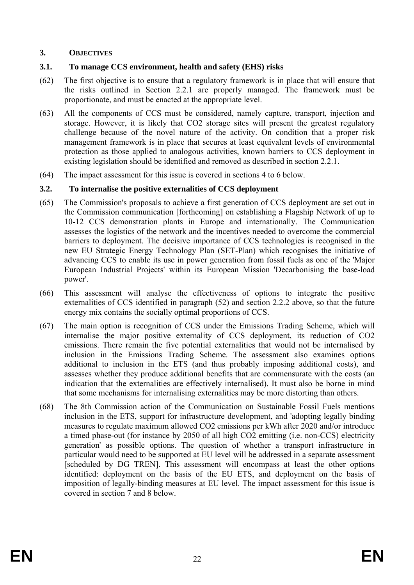### **3. OBJECTIVES**

## **3.1. To manage CCS environment, health and safety (EHS) risks**

- (62) The first objective is to ensure that a regulatory framework is in place that will ensure that the risks outlined in Section 2.2.1 are properly managed. The framework must be proportionate, and must be enacted at the appropriate level.
- (63) All the components of CCS must be considered, namely capture, transport, injection and storage. However, it is likely that CO2 storage sites will present the greatest regulatory challenge because of the novel nature of the activity. On condition that a proper risk management framework is in place that secures at least equivalent levels of environmental protection as those applied to analogous activities, known barriers to CCS deployment in existing legislation should be identified and removed as described in section 2.2.1.
- (64) The impact assessment for this issue is covered in sections 4 to 6 below.

## **3.2. To internalise the positive externalities of CCS deployment**

- (65) The Commission's proposals to achieve a first generation of CCS deployment are set out in the Commission communication [forthcoming] on establishing a Flagship Network of up to 10-12 CCS demonstration plants in Europe and internationally. The Communication assesses the logistics of the network and the incentives needed to overcome the commercial barriers to deployment. The decisive importance of CCS technologies is recognised in the new EU Strategic Energy Technology Plan (SET-Plan) which recognises the initiative of advancing CCS to enable its use in power generation from fossil fuels as one of the 'Major European Industrial Projects' within its European Mission 'Decarbonising the base-load power'.
- (66) This assessment will analyse the effectiveness of options to integrate the positive externalities of CCS identified in paragraph (52) and section 2.2.2 above, so that the future energy mix contains the socially optimal proportions of CCS.
- (67) The main option is recognition of CCS under the Emissions Trading Scheme, which will internalise the major positive externality of CCS deployment, its reduction of CO2 emissions. There remain the five potential externalities that would not be internalised by inclusion in the Emissions Trading Scheme. The assessment also examines options additional to inclusion in the ETS (and thus probably imposing additional costs), and assesses whether they produce additional benefits that are commensurate with the costs (an indication that the externalities are effectively internalised). It must also be borne in mind that some mechanisms for internalising externalities may be more distorting than others.
- (68) The 8th Commission action of the Communication on Sustainable Fossil Fuels mentions inclusion in the ETS, support for infrastructure development, and 'adopting legally binding measures to regulate maximum allowed CO2 emissions per kWh after 2020 and/or introduce a timed phase-out (for instance by 2050 of all high CO2 emitting (i.e. non-CCS) electricity generation' as possible options. The question of whether a transport infrastructure in particular would need to be supported at EU level will be addressed in a separate assessment [scheduled by DG TREN]. This assessment will encompass at least the other options identified: deployment on the basis of the EU ETS, and deployment on the basis of imposition of legally-binding measures at EU level. The impact assessment for this issue is covered in section 7 and 8 below.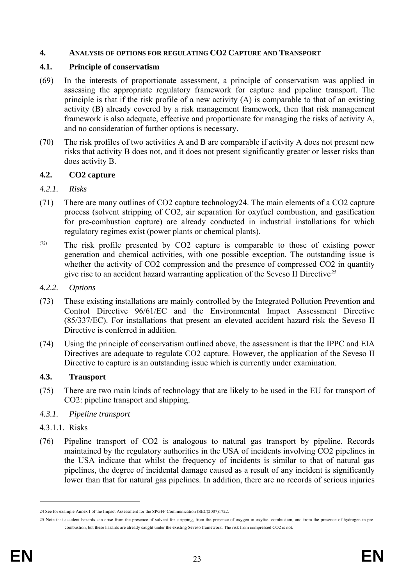#### **4. ANALYSIS OF OPTIONS FOR REGULATING CO2 CAPTURE AND TRANSPORT**

#### **4.1. Principle of conservatism**

- (69) In the interests of proportionate assessment, a principle of conservatism was applied in assessing the appropriate regulatory framework for capture and pipeline transport. The principle is that if the risk profile of a new activity (A) is comparable to that of an existing activity (B) already covered by a risk management framework, then that risk management framework is also adequate, effective and proportionate for managing the risks of activity A, and no consideration of further options is necessary.
- (70) The risk profiles of two activities A and B are comparable if activity A does not present new risks that activity B does not, and it does not present significantly greater or lesser risks than does activity B.

#### **4.2. CO2 capture**

### *4.2.1. Risks*

- (71) There are many outlines of CO2 capture technology24. The main elements of a CO2 capture process (solvent stripping of CO2, air separation for oxyfuel combustion, and gasification for pre-combustion capture) are already conducted in industrial installations for which regulatory regimes exist (power plants or chemical plants).
- (72) The risk profile presented by CO2 capture is comparable to those of existing power generation and chemical activities, with one possible exception. The outstanding issue is whether the activity of CO2 compression and the presence of compressed CO2 in quantity give rise to an accident hazard warranting application of the Seveso II Directive.25

#### *4.2.2. Options*

- (73) These existing installations are mainly controlled by the Integrated Pollution Prevention and Control Directive 96/61/EC and the Environmental Impact Assessment Directive (85/337/EC). For installations that present an elevated accident hazard risk the Seveso II Directive is conferred in addition.
- (74) Using the principle of conservatism outlined above, the assessment is that the IPPC and EIA Directives are adequate to regulate CO2 capture. However, the application of the Seveso II Directive to capture is an outstanding issue which is currently under examination.

### **4.3. Transport**

(75) There are two main kinds of technology that are likely to be used in the EU for transport of CO2: pipeline transport and shipping.

### *4.3.1. Pipeline transport*

- 4.3.1.1. Risks
- (76) Pipeline transport of CO2 is analogous to natural gas transport by pipeline. Records maintained by the regulatory authorities in the USA of incidents involving CO2 pipelines in the USA indicate that whilst the frequency of incidents is similar to that of natural gas pipelines, the degree of incidental damage caused as a result of any incident is significantly lower than that for natural gas pipelines. In addition, there are no records of serious injuries

<sup>24</sup> See for example Annex I of the Impact Assessment for the SPGFF Communication (SEC(2007)1722.

<sup>25</sup> Note that accident hazards can arise from the presence of solvent for stripping, from the presence of oxygen in oxyfuel combustion, and from the presence of hydrogen in precombustion, but these hazards are already caught under the existing Seveso framework. The risk from compressed CO2 is not.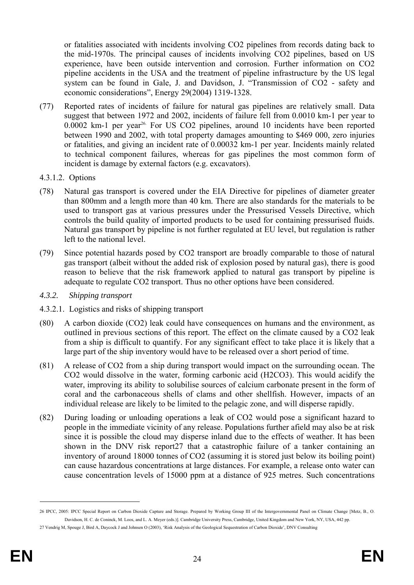or fatalities associated with incidents involving CO2 pipelines from records dating back to the mid-1970s. The principal causes of incidents involving CO2 pipelines, based on US experience, have been outside intervention and corrosion. Further information on CO2 pipeline accidents in the USA and the treatment of pipeline infrastructure by the US legal system can be found in Gale, J. and Davidson, J. "Transmission of CO2 - safety and economic considerations", Energy 29(2004) 1319-1328.

- (77) Reported rates of incidents of failure for natural gas pipelines are relatively small. Data suggest that between 1972 and 2002, incidents of failure fell from 0.0010 km-1 per year to 0.0002 km-1 per year<sup>26.</sup> For US CO2 pipelines, around 10 incidents have been reported between 1990 and 2002, with total property damages amounting to \$469 000, zero injuries or fatalities, and giving an incident rate of 0.00032 km-1 per year. Incidents mainly related to technical component failures, whereas for gas pipelines the most common form of incident is damage by external factors (e.g. excavators).
- 4.3.1.2. Options
- (78) Natural gas transport is covered under the EIA Directive for pipelines of diameter greater than 800mm and a length more than 40 km. There are also standards for the materials to be used to transport gas at various pressures under the Pressurised Vessels Directive, which controls the build quality of imported products to be used for containing pressurised fluids. Natural gas transport by pipeline is not further regulated at EU level, but regulation is rather left to the national level.
- (79) Since potential hazards posed by CO2 transport are broadly comparable to those of natural gas transport (albeit without the added risk of explosion posed by natural gas), there is good reason to believe that the risk framework applied to natural gas transport by pipeline is adequate to regulate CO2 transport. Thus no other options have been considered.
- *4.3.2. Shipping transport*
- 4.3.2.1. Logistics and risks of shipping transport
- (80) A carbon dioxide (CO2) leak could have consequences on humans and the environment, as outlined in previous sections of this report. The effect on the climate caused by a CO2 leak from a ship is difficult to quantify. For any significant effect to take place it is likely that a large part of the ship inventory would have to be released over a short period of time.
- (81) A release of CO2 from a ship during transport would impact on the surrounding ocean. The CO2 would dissolve in the water, forming carbonic acid (H2CO3). This would acidify the water, improving its ability to solubilise sources of calcium carbonate present in the form of coral and the carbonaceous shells of clams and other shellfish. However, impacts of an individual release are likely to be limited to the pelagic zone, and will disperse rapidly.
- (82) During loading or unloading operations a leak of CO2 would pose a significant hazard to people in the immediate vicinity of any release. Populations further afield may also be at risk since it is possible the cloud may disperse inland due to the effects of weather. It has been shown in the DNV risk report27 that a catastrophic failure of a tanker containing an inventory of around 18000 tonnes of CO2 (assuming it is stored just below its boiling point) can cause hazardous concentrations at large distances. For example, a release onto water can cause concentration levels of 15000 ppm at a distance of 925 metres. Such concentrations

<sup>26</sup> IPCC, 2005: IPCC Special Report on Carbon Dioxide Capture and Storage. Prepared by Working Group III of the Intergovernmental Panel on Climate Change [Metz, B., O. Davidson, H. C. de Coninck, M. Loos, and L. A. Meyer (eds.)]. Cambridge University Press, Cambridge, United Kingdom and New York, NY, USA, 442 pp.

<sup>27</sup> Vendrig M, Spouge J, Bird A, Daycock J and Johnsen O (2003), 'Risk Analysis of the Geological Sequestration of Carbon Dioxide', DNV Consulting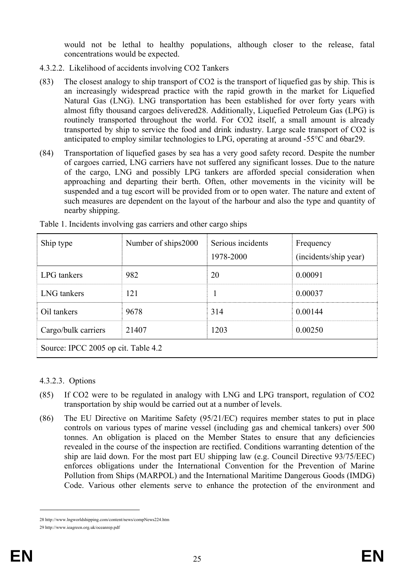would not be lethal to healthy populations, although closer to the release, fatal concentrations would be expected.

- 4.3.2.2. Likelihood of accidents involving CO2 Tankers
- (83) The closest analogy to ship transport of CO2 is the transport of liquefied gas by ship. This is an increasingly widespread practice with the rapid growth in the market for Liquefied Natural Gas (LNG). LNG transportation has been established for over forty years with almost fifty thousand cargoes delivered28. Additionally, Liquefied Petroleum Gas (LPG) is routinely transported throughout the world. For CO2 itself, a small amount is already transported by ship to service the food and drink industry. Large scale transport of CO2 is anticipated to employ similar technologies to LPG, operating at around -55°C and 6bar29.
- (84) Transportation of liquefied gases by sea has a very good safety record. Despite the number of cargoes carried, LNG carriers have not suffered any significant losses. Due to the nature of the cargo, LNG and possibly LPG tankers are afforded special consideration when approaching and departing their berth. Often, other movements in the vicinity will be suspended and a tug escort will be provided from or to open water. The nature and extent of such measures are dependent on the layout of the harbour and also the type and quantity of nearby shipping.

| Ship type                           | Number of ships2000 | Serious incidents<br>1978-2000 | Frequency<br>(incidents/ship year) |  |  |  |
|-------------------------------------|---------------------|--------------------------------|------------------------------------|--|--|--|
| LPG tankers                         | 982                 | 20                             | 0.00091                            |  |  |  |
| LNG tankers                         | 121                 |                                | 0.00037                            |  |  |  |
| Oil tankers                         | 9678                | 314                            | 0.00144                            |  |  |  |
| Cargo/bulk carriers                 | 21407               | 1203                           | 0.00250                            |  |  |  |
| Source: IPCC 2005 op cit. Table 4.2 |                     |                                |                                    |  |  |  |

Table 1. Incidents involving gas carriers and other cargo ships

### 4.3.2.3. Options

- (85) If CO2 were to be regulated in analogy with LNG and LPG transport, regulation of CO2 transportation by ship would be carried out at a number of levels.
- (86) The EU Directive on Maritime Safety (95/21/EC) requires member states to put in place controls on various types of marine vessel (including gas and chemical tankers) over 500 tonnes. An obligation is placed on the Member States to ensure that any deficiencies revealed in the course of the inspection are rectified. Conditions warranting detention of the ship are laid down. For the most part EU shipping law (e.g. Council Directive 93/75/EEC) enforces obligations under the International Convention for the Prevention of Marine Pollution from Ships (MARPOL) and the International Maritime Dangerous Goods (IMDG) Code. Various other elements serve to enhance the protection of the environment and

<sup>28</sup> http://www.lngworldshipping.com/content/news/compNews224.htm

<sup>29</sup> http://www.ieagreen.org.uk/oceanrep.pdf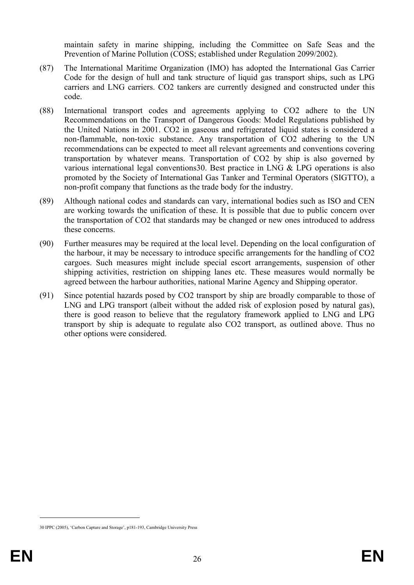maintain safety in marine shipping, including the Committee on Safe Seas and the Prevention of Marine Pollution (COSS; established under Regulation 2099/2002).

- (87) The International Maritime Organization (IMO) has adopted the International Gas Carrier Code for the design of hull and tank structure of liquid gas transport ships, such as LPG carriers and LNG carriers. CO2 tankers are currently designed and constructed under this code.
- (88) International transport codes and agreements applying to CO2 adhere to the UN Recommendations on the Transport of Dangerous Goods: Model Regulations published by the United Nations in 2001. CO2 in gaseous and refrigerated liquid states is considered a non-flammable, non-toxic substance. Any transportation of CO2 adhering to the UN recommendations can be expected to meet all relevant agreements and conventions covering transportation by whatever means. Transportation of CO2 by ship is also governed by various international legal conventions30. Best practice in LNG & LPG operations is also promoted by the Society of International Gas Tanker and Terminal Operators (SIGTTO), a non-profit company that functions as the trade body for the industry.
- (89) Although national codes and standards can vary, international bodies such as ISO and CEN are working towards the unification of these. It is possible that due to public concern over the transportation of CO2 that standards may be changed or new ones introduced to address these concerns.
- (90) Further measures may be required at the local level. Depending on the local configuration of the harbour, it may be necessary to introduce specific arrangements for the handling of CO2 cargoes. Such measures might include special escort arrangements, suspension of other shipping activities, restriction on shipping lanes etc. These measures would normally be agreed between the harbour authorities, national Marine Agency and Shipping operator.
- (91) Since potential hazards posed by CO2 transport by ship are broadly comparable to those of LNG and LPG transport (albeit without the added risk of explosion posed by natural gas), there is good reason to believe that the regulatory framework applied to LNG and LPG transport by ship is adequate to regulate also CO2 transport, as outlined above. Thus no other options were considered.

<sup>30</sup> IPPC (2005), 'Carbon Capture and Storage', p181-193, Cambridge University Press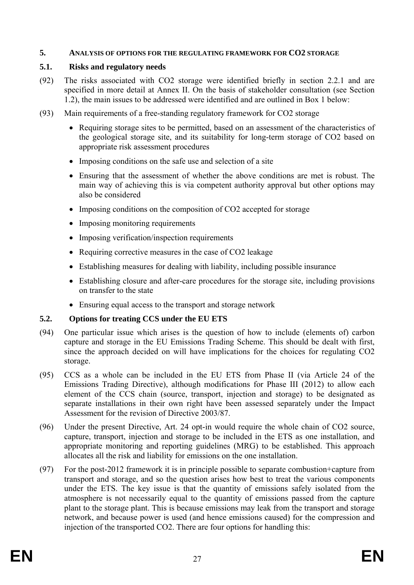#### **5. ANALYSIS OF OPTIONS FOR THE REGULATING FRAMEWORK FOR CO2 STORAGE**

#### **5.1. Risks and regulatory needs**

- (92) The risks associated with CO2 storage were identified briefly in section 2.2.1 and are specified in more detail at Annex II. On the basis of stakeholder consultation (see Section 1.2), the main issues to be addressed were identified and are outlined in Box 1 below:
- (93) Main requirements of a free-standing regulatory framework for CO2 storage
	- Requiring storage sites to be permitted, based on an assessment of the characteristics of the geological storage site, and its suitability for long-term storage of CO2 based on appropriate risk assessment procedures
	- Imposing conditions on the safe use and selection of a site
	- Ensuring that the assessment of whether the above conditions are met is robust. The main way of achieving this is via competent authority approval but other options may also be considered
	- Imposing conditions on the composition of CO2 accepted for storage
	- Imposing monitoring requirements
	- Imposing verification/inspection requirements
	- Requiring corrective measures in the case of CO2 leakage
	- Establishing measures for dealing with liability, including possible insurance
	- Establishing closure and after-care procedures for the storage site, including provisions on transfer to the state
	- Ensuring equal access to the transport and storage network

## **5.2. Options for treating CCS under the EU ETS**

- (94) One particular issue which arises is the question of how to include (elements of) carbon capture and storage in the EU Emissions Trading Scheme. This should be dealt with first, since the approach decided on will have implications for the choices for regulating CO2 storage.
- (95) CCS as a whole can be included in the EU ETS from Phase II (via Article 24 of the Emissions Trading Directive), although modifications for Phase III (2012) to allow each element of the CCS chain (source, transport, injection and storage) to be designated as separate installations in their own right have been assessed separately under the Impact Assessment for the revision of Directive 2003/87.
- (96) Under the present Directive, Art. 24 opt-in would require the whole chain of CO2 source, capture, transport, injection and storage to be included in the ETS as one installation, and appropriate monitoring and reporting guidelines (MRG) to be established. This approach allocates all the risk and liability for emissions on the one installation.
- (97) For the post-2012 framework it is in principle possible to separate combustion+capture from transport and storage, and so the question arises how best to treat the various components under the ETS. The key issue is that the quantity of emissions safely isolated from the atmosphere is not necessarily equal to the quantity of emissions passed from the capture plant to the storage plant. This is because emissions may leak from the transport and storage network, and because power is used (and hence emissions caused) for the compression and injection of the transported CO2. There are four options for handling this: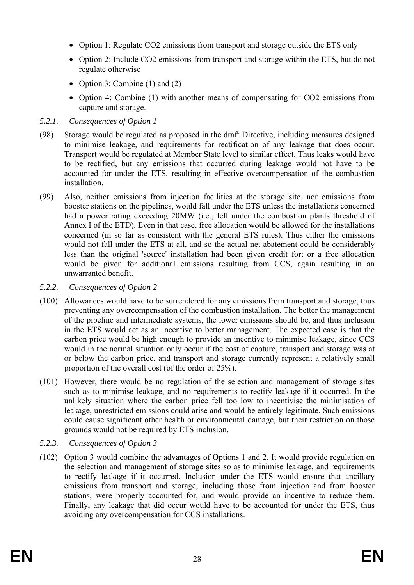- Option 1: Regulate CO2 emissions from transport and storage outside the ETS only
- Option 2: Include CO2 emissions from transport and storage within the ETS, but do not regulate otherwise
- Option 3: Combine (1) and (2)
- Option 4: Combine (1) with another means of compensating for CO2 emissions from capture and storage.

# *5.2.1. Consequences of Option 1*

- (98) Storage would be regulated as proposed in the draft Directive, including measures designed to minimise leakage, and requirements for rectification of any leakage that does occur. Transport would be regulated at Member State level to similar effect. Thus leaks would have to be rectified, but any emissions that occurred during leakage would not have to be accounted for under the ETS, resulting in effective overcompensation of the combustion installation.
- (99) Also, neither emissions from injection facilities at the storage site, nor emissions from booster stations on the pipelines, would fall under the ETS unless the installations concerned had a power rating exceeding 20MW (i.e., fell under the combustion plants threshold of Annex I of the ETD). Even in that case, free allocation would be allowed for the installations concerned (in so far as consistent with the general ETS rules). Thus either the emissions would not fall under the ETS at all, and so the actual net abatement could be considerably less than the original 'source' installation had been given credit for; or a free allocation would be given for additional emissions resulting from CCS, again resulting in an unwarranted benefit.
- *5.2.2. Consequences of Option 2*
- (100) Allowances would have to be surrendered for any emissions from transport and storage, thus preventing any overcompensation of the combustion installation. The better the management of the pipeline and intermediate systems, the lower emissions should be, and thus inclusion in the ETS would act as an incentive to better management. The expected case is that the carbon price would be high enough to provide an incentive to minimise leakage, since CCS would in the normal situation only occur if the cost of capture, transport and storage was at or below the carbon price, and transport and storage currently represent a relatively small proportion of the overall cost (of the order of 25%).
- (101) However, there would be no regulation of the selection and management of storage sites such as to minimise leakage, and no requirements to rectify leakage if it occurred. In the unlikely situation where the carbon price fell too low to incentivise the minimisation of leakage, unrestricted emissions could arise and would be entirely legitimate. Such emissions could cause significant other health or environmental damage, but their restriction on those grounds would not be required by ETS inclusion.
- *5.2.3. Consequences of Option 3*
- (102) Option 3 would combine the advantages of Options 1 and 2. It would provide regulation on the selection and management of storage sites so as to minimise leakage, and requirements to rectify leakage if it occurred. Inclusion under the ETS would ensure that ancillary emissions from transport and storage, including those from injection and from booster stations, were properly accounted for, and would provide an incentive to reduce them. Finally, any leakage that did occur would have to be accounted for under the ETS, thus avoiding any overcompensation for CCS installations.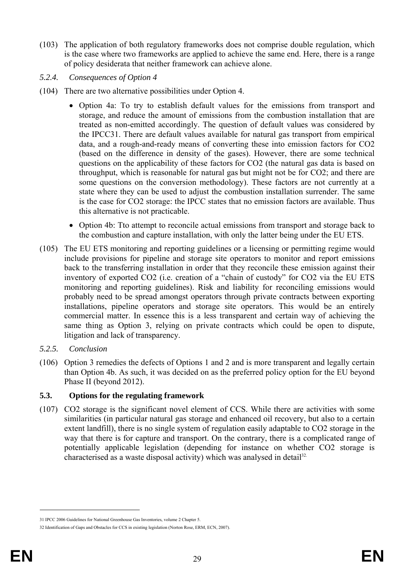- (103) The application of both regulatory frameworks does not comprise double regulation, which is the case where two frameworks are applied to achieve the same end. Here, there is a range of policy desiderata that neither framework can achieve alone.
- *5.2.4. Consequences of Option 4*
- (104) There are two alternative possibilities under Option 4.
	- Option 4a: To try to establish default values for the emissions from transport and storage, and reduce the amount of emissions from the combustion installation that are treated as non-emitted accordingly. The question of default values was considered by the IPCC31. There are default values available for natural gas transport from empirical data, and a rough-and-ready means of converting these into emission factors for CO2 (based on the difference in density of the gases). However, there are some technical questions on the applicability of these factors for CO2 (the natural gas data is based on throughput, which is reasonable for natural gas but might not be for CO2; and there are some questions on the conversion methodology). These factors are not currently at a state where they can be used to adjust the combustion installation surrender. The same is the case for CO2 storage: the IPCC states that no emission factors are available. Thus this alternative is not practicable.
	- Option 4b: Tto attempt to reconcile actual emissions from transport and storage back to the combustion and capture installation, with only the latter being under the EU ETS.
- (105) The EU ETS monitoring and reporting guidelines or a licensing or permitting regime would include provisions for pipeline and storage site operators to monitor and report emissions back to the transferring installation in order that they reconcile these emission against their inventory of exported CO2 (i.e. creation of a "chain of custody" for CO2 via the EU ETS monitoring and reporting guidelines). Risk and liability for reconciling emissions would probably need to be spread amongst operators through private contracts between exporting installations, pipeline operators and storage site operators. This would be an entirely commercial matter. In essence this is a less transparent and certain way of achieving the same thing as Option 3, relying on private contracts which could be open to dispute, litigation and lack of transparency.
- *5.2.5. Conclusion*
- (106) Option 3 remedies the defects of Options 1 and 2 and is more transparent and legally certain than Option 4b. As such, it was decided on as the preferred policy option for the EU beyond Phase II (beyond 2012).

## **5.3. Options for the regulating framework**

(107) CO2 storage is the significant novel element of CCS. While there are activities with some similarities (in particular natural gas storage and enhanced oil recovery, but also to a certain extent landfill), there is no single system of regulation easily adaptable to CO2 storage in the way that there is for capture and transport. On the contrary, there is a complicated range of potentially applicable legislation (depending for instance on whether CO2 storage is characterised as a waste disposal activity) which was analysed in detail<sup>32.</sup>

<sup>31</sup> IPCC 2006 Guidelines for National Greenhouse Gas Inventories, volume 2 Chapter 5.

<sup>32</sup> Identification of Gaps and Obstacles for CCS in existing legislation (Norton Rose, ERM, ECN, 2007).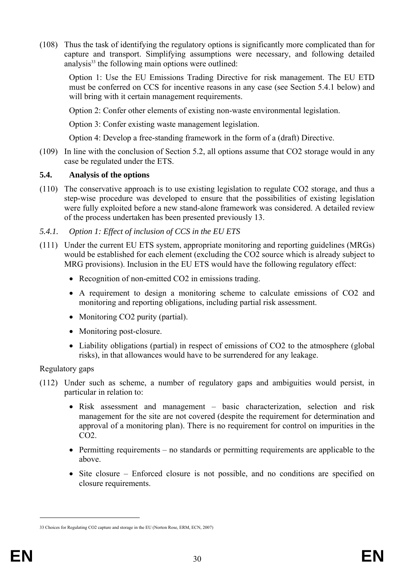(108) Thus the task of identifying the regulatory options is significantly more complicated than for capture and transport. Simplifying assumptions were necessary, and following detailed analysis $33$  the following main options were outlined:

Option 1: Use the EU Emissions Trading Directive for risk management. The EU ETD must be conferred on CCS for incentive reasons in any case (see Section 5.4.1 below) and will bring with it certain management requirements.

Option 2: Confer other elements of existing non-waste environmental legislation.

Option 3: Confer existing waste management legislation.

Option 4: Develop a free-standing framework in the form of a (draft) Directive.

(109) In line with the conclusion of Section 5.2, all options assume that CO2 storage would in any case be regulated under the ETS.

### **5.4. Analysis of the options**

- (110) The conservative approach is to use existing legislation to regulate CO2 storage, and thus a step-wise procedure was developed to ensure that the possibilities of existing legislation were fully exploited before a new stand-alone framework was considered. A detailed review of the process undertaken has been presented previously 13.
- *5.4.1. Option 1: Effect of inclusion of CCS in the EU ETS*
- (111) Under the current EU ETS system, appropriate monitoring and reporting guidelines (MRGs) would be established for each element (excluding the CO2 source which is already subject to MRG provisions). Inclusion in the EU ETS would have the following regulatory effect:
	- Recognition of non-emitted CO2 in emissions trading.
	- A requirement to design a monitoring scheme to calculate emissions of CO2 and monitoring and reporting obligations, including partial risk assessment.
	- Monitoring CO2 purity (partial).
	- Monitoring post-closure.
	- Liability obligations (partial) in respect of emissions of CO2 to the atmosphere (global risks), in that allowances would have to be surrendered for any leakage.

### Regulatory gaps

- (112) Under such as scheme, a number of regulatory gaps and ambiguities would persist, in particular in relation to:
	- Risk assessment and management basic characterization, selection and risk management for the site are not covered (despite the requirement for determination and approval of a monitoring plan). There is no requirement for control on impurities in the CO2.
	- Permitting requirements no standards or permitting requirements are applicable to the above.
	- Site closure Enforced closure is not possible, and no conditions are specified on closure requirements.

<sup>33</sup> Choices for Regulating CO2 capture and storage in the EU (Norton Rose, ERM, ECN, 2007)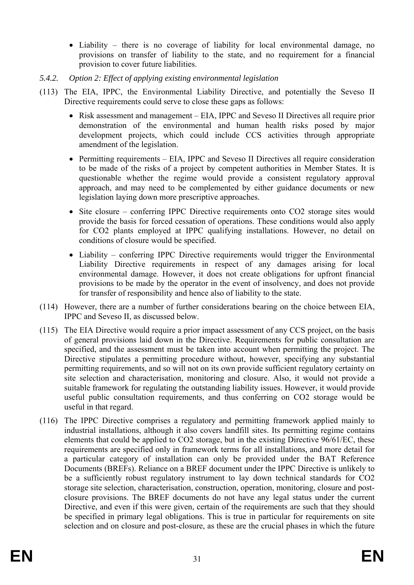- Liability there is no coverage of liability for local environmental damage, no provisions on transfer of liability to the state, and no requirement for a financial provision to cover future liabilities.
- *5.4.2. Option 2: Effect of applying existing environmental legislation*
- (113) The EIA, IPPC, the Environmental Liability Directive, and potentially the Seveso II Directive requirements could serve to close these gaps as follows:
	- Risk assessment and management EIA, IPPC and Seveso II Directives all require prior demonstration of the environmental and human health risks posed by major development projects, which could include CCS activities through appropriate amendment of the legislation.
	- Permitting requirements EIA, IPPC and Seveso II Directives all require consideration to be made of the risks of a project by competent authorities in Member States. It is questionable whether the regime would provide a consistent regulatory approval approach, and may need to be complemented by either guidance documents or new legislation laying down more prescriptive approaches.
	- Site closure conferring IPPC Directive requirements onto CO2 storage sites would provide the basis for forced cessation of operations. These conditions would also apply for CO2 plants employed at IPPC qualifying installations. However, no detail on conditions of closure would be specified.
	- Liability conferring IPPC Directive requirements would trigger the Environmental Liability Directive requirements in respect of any damages arising for local environmental damage. However, it does not create obligations for upfront financial provisions to be made by the operator in the event of insolvency, and does not provide for transfer of responsibility and hence also of liability to the state.
- (114) However, there are a number of further considerations bearing on the choice between EIA, IPPC and Seveso II, as discussed below.
- (115) The EIA Directive would require a prior impact assessment of any CCS project, on the basis of general provisions laid down in the Directive. Requirements for public consultation are specified, and the assessment must be taken into account when permitting the project. The Directive stipulates a permitting procedure without, however, specifying any substantial permitting requirements, and so will not on its own provide sufficient regulatory certainty on site selection and characterisation, monitoring and closure. Also, it would not provide a suitable framework for regulating the outstanding liability issues. However, it would provide useful public consultation requirements, and thus conferring on CO2 storage would be useful in that regard.
- (116) The IPPC Directive comprises a regulatory and permitting framework applied mainly to industrial installations, although it also covers landfill sites. Its permitting regime contains elements that could be applied to CO2 storage, but in the existing Directive 96/61/EC, these requirements are specified only in framework terms for all installations, and more detail for a particular category of installation can only be provided under the BAT Reference Documents (BREFs). Reliance on a BREF document under the IPPC Directive is unlikely to be a sufficiently robust regulatory instrument to lay down technical standards for CO2 storage site selection, characterisation, construction, operation, monitoring, closure and postclosure provisions. The BREF documents do not have any legal status under the current Directive, and even if this were given, certain of the requirements are such that they should be specified in primary legal obligations. This is true in particular for requirements on site selection and on closure and post-closure, as these are the crucial phases in which the future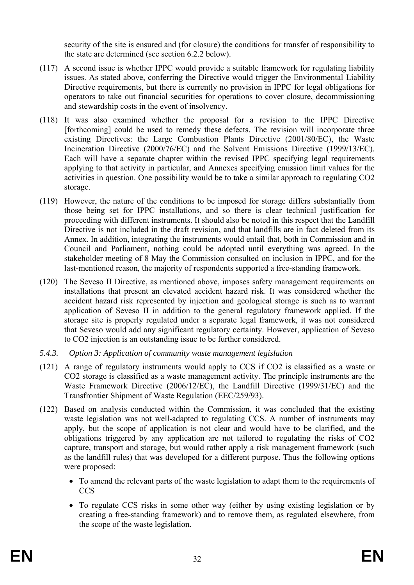security of the site is ensured and (for closure) the conditions for transfer of responsibility to the state are determined (see section 6.2.2 below).

- (117) A second issue is whether IPPC would provide a suitable framework for regulating liability issues. As stated above, conferring the Directive would trigger the Environmental Liability Directive requirements, but there is currently no provision in IPPC for legal obligations for operators to take out financial securities for operations to cover closure, decommissioning and stewardship costs in the event of insolvency.
- (118) It was also examined whether the proposal for a revision to the IPPC Directive [forthcoming] could be used to remedy these defects. The revision will incorporate three existing Directives: the Large Combustion Plants Directive (2001/80/EC), the Waste Incineration Directive (2000/76/EC) and the Solvent Emissions Directive (1999/13/EC). Each will have a separate chapter within the revised IPPC specifying legal requirements applying to that activity in particular, and Annexes specifying emission limit values for the activities in question. One possibility would be to take a similar approach to regulating CO2 storage.
- (119) However, the nature of the conditions to be imposed for storage differs substantially from those being set for IPPC installations, and so there is clear technical justification for proceeding with different instruments. It should also be noted in this respect that the Landfill Directive is not included in the draft revision, and that landfills are in fact deleted from its Annex. In addition, integrating the instruments would entail that, both in Commission and in Council and Parliament, nothing could be adopted until everything was agreed. In the stakeholder meeting of 8 May the Commission consulted on inclusion in IPPC, and for the last-mentioned reason, the majority of respondents supported a free-standing framework.
- (120) The Seveso II Directive, as mentioned above, imposes safety management requirements on installations that present an elevated accident hazard risk. It was considered whether the accident hazard risk represented by injection and geological storage is such as to warrant application of Seveso II in addition to the general regulatory framework applied. If the storage site is properly regulated under a separate legal framework, it was not considered that Seveso would add any significant regulatory certainty. However, application of Seveso to CO2 injection is an outstanding issue to be further considered.
- *5.4.3. Option 3: Application of community waste management legislation*
- (121) A range of regulatory instruments would apply to CCS if CO2 is classified as a waste or CO2 storage is classified as a waste management activity. The principle instruments are the Waste Framework Directive (2006/12/EC), the Landfill Directive (1999/31/EC) and the Transfrontier Shipment of Waste Regulation (EEC/259/93).
- (122) Based on analysis conducted within the Commission, it was concluded that the existing waste legislation was not well-adapted to regulating CCS. A number of instruments may apply, but the scope of application is not clear and would have to be clarified, and the obligations triggered by any application are not tailored to regulating the risks of CO2 capture, transport and storage, but would rather apply a risk management framework (such as the landfill rules) that was developed for a different purpose. Thus the following options were proposed:
	- To amend the relevant parts of the waste legislation to adapt them to the requirements of **CCS**
	- To regulate CCS risks in some other way (either by using existing legislation or by creating a free-standing framework) and to remove them, as regulated elsewhere, from the scope of the waste legislation.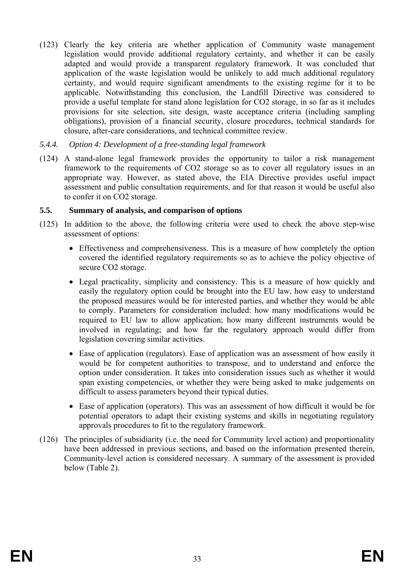(123) Clearly the key criteria are whether application of Community waste management legislation would provide additional regulatory certainty, and whether it can be easily adapted and would provide a transparent regulatory framework. It was concluded that application of the waste legislation would be unlikely to add much additional regulatory certainty, and would require significant amendments to the existing regime for it to be applicable. Notwithstanding this conclusion, the Landfill Directive was considered to provide a useful template for stand alone legislation for CO2 storage, in so far as it includes provisions for site selection, site design, waste acceptance criteria (including sampling obligations), provision of a financial security, closure procedures, technical standards for closure, after-care considerations, and technical committee review.

### *5.4.4. Option 4: Development of a free-standing legal framework*

(124) A stand-alone legal framework provides the opportunity to tailor a risk management framework to the requirements of CO2 storage so as to cover all regulatory issues in an appropriate way. However, as stated above, the EIA Directive provides useful impact assessment and public consultation requirements, and for that reason it would be useful also to confer it on CO2 storage.

### **5.5. Summary of analysis, and comparison of options**

- (125) In addition to the above, the following criteria were used to check the above step-wise assessment of options:
	- Effectiveness and comprehensiveness. This is a measure of how completely the option covered the identified regulatory requirements so as to achieve the policy objective of secure CO2 storage.
	- Legal practicality, simplicity and consistency. This is a measure of how quickly and easily the regulatory option could be brought into the EU law, how easy to understand the proposed measures would be for interested parties, and whether they would be able to comply. Parameters for consideration included: how many modifications would be required to EU law to allow application; how many different instruments would be involved in regulating; and how far the regulatory approach would differ from legislation covering similar activities.
	- Ease of application (regulators). Ease of application was an assessment of how easily it would be for competent authorities to transpose, and to understand and enforce the option under consideration. It takes into consideration issues such as whether it would span existing competencies, or whether they were being asked to make judgements on difficult to assess parameters beyond their typical duties.
	- Ease of application (operators). This was an assessment of how difficult it would be for potential operators to adapt their existing systems and skills in negotiating regulatory approvals procedures to fit to the regulatory framework.
- (126) The principles of subsidiarity (i.e. the need for Community level action) and proportionality have been addressed in previous sections, and based on the information presented therein, Community-level action is considered necessary. A summary of the assessment is provided below (Table 2).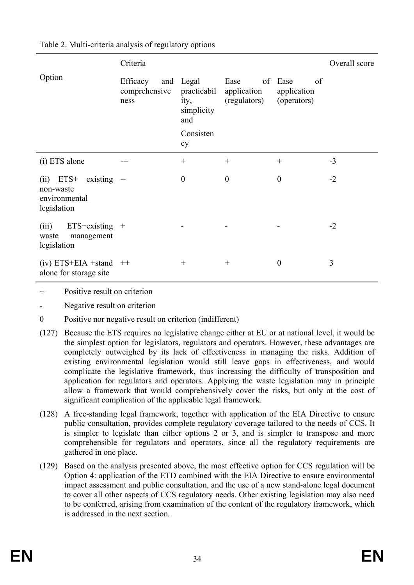|                                                                         | Criteria                                 | Overall score                                     |                                           |                                          |      |
|-------------------------------------------------------------------------|------------------------------------------|---------------------------------------------------|-------------------------------------------|------------------------------------------|------|
| Option                                                                  | Efficacy<br>and<br>comprehensive<br>ness | Legal<br>practicabil<br>ity,<br>simplicity<br>and | Ease<br>of<br>application<br>(regulators) | Ease<br>of<br>application<br>(operators) |      |
|                                                                         |                                          | Consisten<br>cy                                   |                                           |                                          |      |
| (i) ETS alone                                                           |                                          | $^{+}$                                            | $^{+}$                                    | $^{+}$                                   | $-3$ |
| $ETS+$<br>existing<br>(ii)<br>non-waste<br>environmental<br>legislation | $- -$                                    | $\boldsymbol{0}$                                  | $\boldsymbol{0}$                          | $\boldsymbol{0}$                         | $-2$ |
| $ETS$ +existing +<br>(iii)<br>management<br>waste<br>legislation        |                                          |                                                   |                                           |                                          | $-2$ |
| $(iv) ETS+EIA + stand +$<br>alone for storage site                      |                                          | $\hspace{0.1mm} +$                                | $^{+}$                                    | $\boldsymbol{0}$                         | 3    |

Table 2. Multi-criteria analysis of regulatory options

+ Positive result on criterion

Negative result on criterion

- 0 Positive nor negative result on criterion (indifferent)
- (127) Because the ETS requires no legislative change either at EU or at national level, it would be the simplest option for legislators, regulators and operators. However, these advantages are completely outweighed by its lack of effectiveness in managing the risks. Addition of existing environmental legislation would still leave gaps in effectiveness, and would complicate the legislative framework, thus increasing the difficulty of transposition and application for regulators and operators. Applying the waste legislation may in principle allow a framework that would comprehensively cover the risks, but only at the cost of significant complication of the applicable legal framework.
- (128) A free-standing legal framework, together with application of the EIA Directive to ensure public consultation, provides complete regulatory coverage tailored to the needs of CCS. It is simpler to legislate than either options 2 or 3, and is simpler to transpose and more comprehensible for regulators and operators, since all the regulatory requirements are gathered in one place.
- (129) Based on the analysis presented above, the most effective option for CCS regulation will be Option 4: application of the ETD combined with the EIA Directive to ensure environmental impact assessment and public consultation, and the use of a new stand-alone legal document to cover all other aspects of CCS regulatory needs. Other existing legislation may also need to be conferred, arising from examination of the content of the regulatory framework, which is addressed in the next section.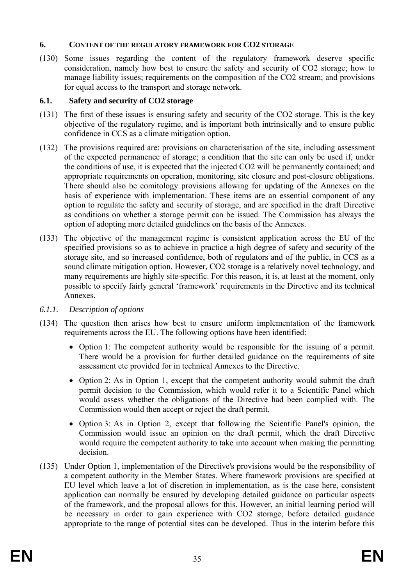### **6. CONTENT OF THE REGULATORY FRAMEWORK FOR CO2 STORAGE**

(130) Some issues regarding the content of the regulatory framework deserve specific consideration, namely how best to ensure the safety and security of CO2 storage; how to manage liability issues; requirements on the composition of the CO2 stream; and provisions for equal access to the transport and storage network.

# **6.1. Safety and security of CO2 storage**

- (131) The first of these issues is ensuring safety and security of the CO2 storage. This is the key objective of the regulatory regime, and is important both intrinsically and to ensure public confidence in CCS as a climate mitigation option.
- (132) The provisions required are: provisions on characterisation of the site, including assessment of the expected permanence of storage; a condition that the site can only be used if, under the conditions of use, it is expected that the injected CO2 will be permanently contained; and appropriate requirements on operation, monitoring, site closure and post-closure obligations. There should also be comitology provisions allowing for updating of the Annexes on the basis of experience with implementation. These items are an essential component of any option to regulate the safety and security of storage, and are specified in the draft Directive as conditions on whether a storage permit can be issued. The Commission has always the option of adopting more detailed guidelines on the basis of the Annexes.
- (133) The objective of the management regime is consistent application across the EU of the specified provisions so as to achieve in practice a high degree of safety and security of the storage site, and so increased confidence, both of regulators and of the public, in CCS as a sound climate mitigation option. However, CO2 storage is a relatively novel technology, and many requirements are highly site-specific. For this reason, it is, at least at the moment, only possible to specify fairly general 'framework' requirements in the Directive and its technical Annexes.
- *6.1.1. Description of options*
- (134) The question then arises how best to ensure uniform implementation of the framework requirements across the EU. The following options have been identified:
	- Option 1: The competent authority would be responsible for the issuing of a permit. There would be a provision for further detailed guidance on the requirements of site assessment etc provided for in technical Annexes to the Directive.
	- Option 2: As in Option 1, except that the competent authority would submit the draft permit decision to the Commission, which would refer it to a Scientific Panel which would assess whether the obligations of the Directive had been complied with. The Commission would then accept or reject the draft permit.
	- Option 3: As in Option 2, except that following the Scientific Panel's opinion, the Commission would issue an opinion on the draft permit, which the draft Directive would require the competent authority to take into account when making the permitting decision.
- (135) Under Option 1, implementation of the Directive's provisions would be the responsibility of a competent authority in the Member States. Where framework provisions are specified at EU level which leave a lot of discretion in implementation, as is the case here, consistent application can normally be ensured by developing detailed guidance on particular aspects of the framework, and the proposal allows for this. However, an initial learning period will be necessary in order to gain experience with CO2 storage, before detailed guidance appropriate to the range of potential sites can be developed. Thus in the interim before this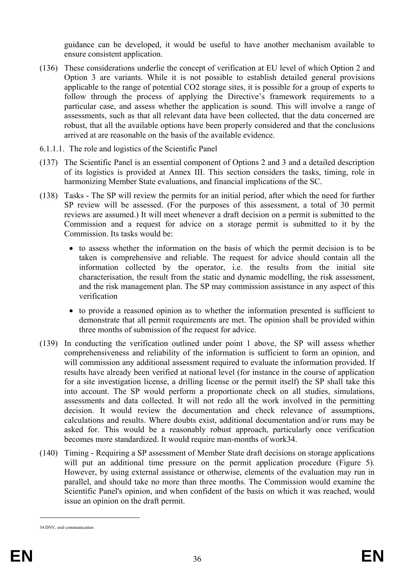guidance can be developed, it would be useful to have another mechanism available to ensure consistent application.

- (136) These considerations underlie the concept of verification at EU level of which Option 2 and Option 3 are variants. While it is not possible to establish detailed general provisions applicable to the range of potential CO2 storage sites, it is possible for a group of experts to follow through the process of applying the Directive's framework requirements to a particular case, and assess whether the application is sound. This will involve a range of assessments, such as that all relevant data have been collected, that the data concerned are robust, that all the available options have been properly considered and that the conclusions arrived at are reasonable on the basis of the available evidence.
- 6.1.1.1. The role and logistics of the Scientific Panel
- (137) The Scientific Panel is an essential component of Options 2 and 3 and a detailed description of its logistics is provided at Annex III. This section considers the tasks, timing, role in harmonizing Member State evaluations, and financial implications of the SC.
- (138) Tasks The SP will review the permits for an initial period, after which the need for further SP review will be assessed. (For the purposes of this assessment, a total of 30 permit reviews are assumed.) It will meet whenever a draft decision on a permit is submitted to the Commission and a request for advice on a storage permit is submitted to it by the Commission. Its tasks would be:
	- to assess whether the information on the basis of which the permit decision is to be taken is comprehensive and reliable. The request for advice should contain all the information collected by the operator, i.e. the results from the initial site characterisation, the result from the static and dynamic modelling, the risk assessment, and the risk management plan. The SP may commission assistance in any aspect of this verification
	- to provide a reasoned opinion as to whether the information presented is sufficient to demonstrate that all permit requirements are met. The opinion shall be provided within three months of submission of the request for advice.
- (139) In conducting the verification outlined under point 1 above, the SP will assess whether comprehensiveness and reliability of the information is sufficient to form an opinion, and will commission any additional assessment required to evaluate the information provided. If results have already been verified at national level (for instance in the course of application for a site investigation license, a drilling license or the permit itself) the SP shall take this into account. The SP would perform a proportionate check on all studies, simulations, assessments and data collected. It will not redo all the work involved in the permitting decision. It would review the documentation and check relevance of assumptions, calculations and results. Where doubts exist, additional documentation and/or runs may be asked for. This would be a reasonably robust approach, particularly once verification becomes more standardized. It would require man-months of work34.
- (140) Timing Requiring a SP assessment of Member State draft decisions on storage applications will put an additional time pressure on the permit application procedure (Figure 5). However, by using external assistance or otherwise, elements of the evaluation may run in parallel, and should take no more than three months. The Commission would examine the Scientific Panel's opinion, and when confident of the basis on which it was reached, would issue an opinion on the draft permit.

<sup>34</sup> DNV, oral communication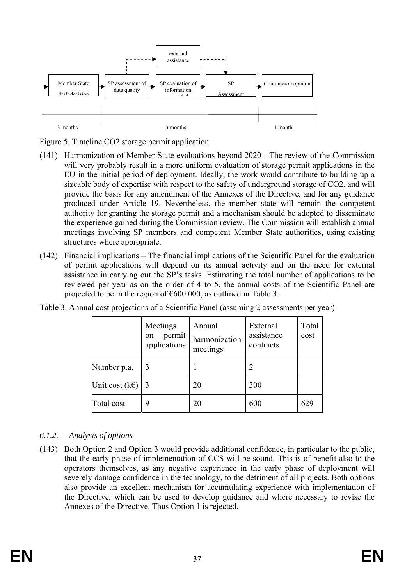

Figure 5. Timeline CO2 storage permit application

- (141) Harmonization of Member State evaluations beyond 2020 The review of the Commission will very probably result in a more uniform evaluation of storage permit applications in the EU in the initial period of deployment. Ideally, the work would contribute to building up a sizeable body of expertise with respect to the safety of underground storage of CO2, and will provide the basis for any amendment of the Annexes of the Directive, and for any guidance produced under Article 19. Nevertheless, the member state will remain the competent authority for granting the storage permit and a mechanism should be adopted to disseminate the experience gained during the Commission review. The Commission will establish annual meetings involving SP members and competent Member State authorities, using existing structures where appropriate.
- (142) Financial implications The financial implications of the Scientific Panel for the evaluation of permit applications will depend on its annual activity and on the need for external assistance in carrying out the SP's tasks. Estimating the total number of applications to be reviewed per year as on the order of 4 to 5, the annual costs of the Scientific Panel are projected to be in the region of  $\epsilon$ 600 000, as outlined in Table 3.

|                     | Meetings<br>permit<br>on<br>applications | Annual<br>harmonization<br>meetings | External<br>assistance<br>contracts | Total<br>cost |
|---------------------|------------------------------------------|-------------------------------------|-------------------------------------|---------------|
| Number p.a.         | 3                                        |                                     | 2                                   |               |
| Unit cost $(k \in)$ | 3                                        | 20                                  | 300                                 |               |
| Total cost          | 9                                        | 20                                  | 600                                 | 629           |

Table 3. Annual cost projections of a Scientific Panel (assuming 2 assessments per year)

# *6.1.2. Analysis of options*

(143) Both Option 2 and Option 3 would provide additional confidence, in particular to the public, that the early phase of implementation of CCS will be sound. This is of benefit also to the operators themselves, as any negative experience in the early phase of deployment will severely damage confidence in the technology, to the detriment of all projects. Both options also provide an excellent mechanism for accumulating experience with implementation of the Directive, which can be used to develop guidance and where necessary to revise the Annexes of the Directive. Thus Option 1 is rejected.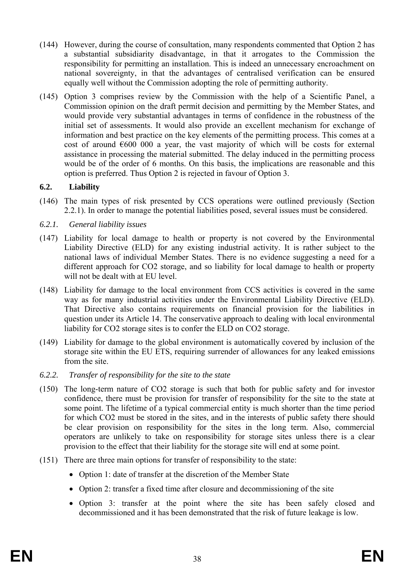- (144) However, during the course of consultation, many respondents commented that Option 2 has a substantial subsidiarity disadvantage, in that it arrogates to the Commission the responsibility for permitting an installation. This is indeed an unnecessary encroachment on national sovereignty, in that the advantages of centralised verification can be ensured equally well without the Commission adopting the role of permitting authority.
- (145) Option 3 comprises review by the Commission with the help of a Scientific Panel, a Commission opinion on the draft permit decision and permitting by the Member States, and would provide very substantial advantages in terms of confidence in the robustness of the initial set of assessments. It would also provide an excellent mechanism for exchange of information and best practice on the key elements of the permitting process. This comes at a cost of around  $6000000$  a year, the vast majority of which will be costs for external assistance in processing the material submitted. The delay induced in the permitting process would be of the order of 6 months. On this basis, the implications are reasonable and this option is preferred. Thus Option 2 is rejected in favour of Option 3.

# **6.2. Liability**

- (146) The main types of risk presented by CCS operations were outlined previously (Section 2.2.1). In order to manage the potential liabilities posed, several issues must be considered.
- *6.2.1. General liability issues*
- (147) Liability for local damage to health or property is not covered by the Environmental Liability Directive (ELD) for any existing industrial activity. It is rather subject to the national laws of individual Member States. There is no evidence suggesting a need for a different approach for CO2 storage, and so liability for local damage to health or property will not be dealt with at EU level.
- (148) Liability for damage to the local environment from CCS activities is covered in the same way as for many industrial activities under the Environmental Liability Directive (ELD). That Directive also contains requirements on financial provision for the liabilities in question under its Article 14. The conservative approach to dealing with local environmental liability for CO2 storage sites is to confer the ELD on CO2 storage.
- (149) Liability for damage to the global environment is automatically covered by inclusion of the storage site within the EU ETS, requiring surrender of allowances for any leaked emissions from the site.
- *6.2.2. Transfer of responsibility for the site to the state*
- (150) The long-term nature of CO2 storage is such that both for public safety and for investor confidence, there must be provision for transfer of responsibility for the site to the state at some point. The lifetime of a typical commercial entity is much shorter than the time period for which CO2 must be stored in the sites, and in the interests of public safety there should be clear provision on responsibility for the sites in the long term. Also, commercial operators are unlikely to take on responsibility for storage sites unless there is a clear provision to the effect that their liability for the storage site will end at some point.
- (151) There are three main options for transfer of responsibility to the state:
	- Option 1: date of transfer at the discretion of the Member State
	- Option 2: transfer a fixed time after closure and decommissioning of the site
	- Option 3: transfer at the point where the site has been safely closed and decommissioned and it has been demonstrated that the risk of future leakage is low.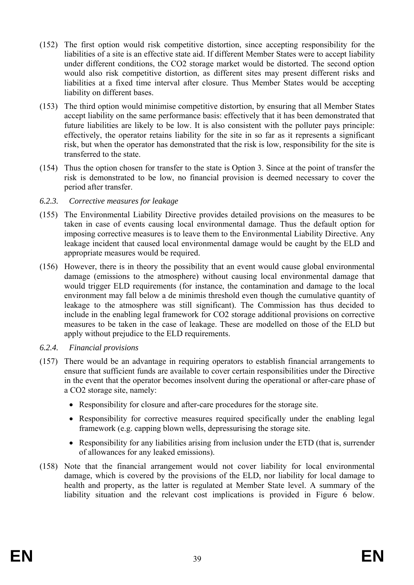- (152) The first option would risk competitive distortion, since accepting responsibility for the liabilities of a site is an effective state aid. If different Member States were to accept liability under different conditions, the CO2 storage market would be distorted. The second option would also risk competitive distortion, as different sites may present different risks and liabilities at a fixed time interval after closure. Thus Member States would be accepting liability on different bases.
- (153) The third option would minimise competitive distortion, by ensuring that all Member States accept liability on the same performance basis: effectively that it has been demonstrated that future liabilities are likely to be low. It is also consistent with the polluter pays principle: effectively, the operator retains liability for the site in so far as it represents a significant risk, but when the operator has demonstrated that the risk is low, responsibility for the site is transferred to the state.
- (154) Thus the option chosen for transfer to the state is Option 3. Since at the point of transfer the risk is demonstrated to be low, no financial provision is deemed necessary to cover the period after transfer.
- *6.2.3. Corrective measures for leakage*
- (155) The Environmental Liability Directive provides detailed provisions on the measures to be taken in case of events causing local environmental damage. Thus the default option for imposing corrective measures is to leave them to the Environmental Liability Directive. Any leakage incident that caused local environmental damage would be caught by the ELD and appropriate measures would be required.
- (156) However, there is in theory the possibility that an event would cause global environmental damage (emissions to the atmosphere) without causing local environmental damage that would trigger ELD requirements (for instance, the contamination and damage to the local environment may fall below a de minimis threshold even though the cumulative quantity of leakage to the atmosphere was still significant). The Commission has thus decided to include in the enabling legal framework for CO2 storage additional provisions on corrective measures to be taken in the case of leakage. These are modelled on those of the ELD but apply without prejudice to the ELD requirements.
- *6.2.4. Financial provisions*
- (157) There would be an advantage in requiring operators to establish financial arrangements to ensure that sufficient funds are available to cover certain responsibilities under the Directive in the event that the operator becomes insolvent during the operational or after-care phase of a CO2 storage site, namely:
	- Responsibility for closure and after-care procedures for the storage site.
	- Responsibility for corrective measures required specifically under the enabling legal framework (e.g. capping blown wells, depressurising the storage site.
	- Responsibility for any liabilities arising from inclusion under the ETD (that is, surrender of allowances for any leaked emissions).
- (158) Note that the financial arrangement would not cover liability for local environmental damage, which is covered by the provisions of the ELD, nor liability for local damage to health and property, as the latter is regulated at Member State level. A summary of the liability situation and the relevant cost implications is provided in Figure 6 below.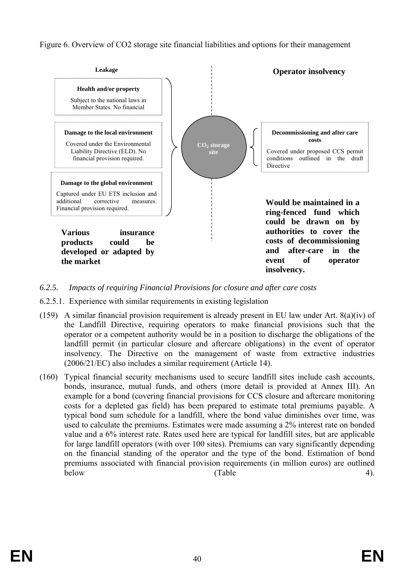Figure 6. Overview of CO2 storage site financial liabilities and options for their management



- *6.2.5. Impacts of requiring Financial Provisions for closure and after care costs*
- 6.2.5.1. Experience with similar requirements in existing legislation
- (159) A similar financial provision requirement is already present in EU law under Art. 8(a)(iv) of the Landfill Directive, requiring operators to make financial provisions such that the operator or a competent authority would be in a position to discharge the obligations of the landfill permit (in particular closure and aftercare obligations) in the event of operator insolvency. The Directive on the management of waste from extractive industries (2006/21/EC) also includes a similar requirement (Article 14).
- (160) Typical financial security mechanisms used to secure landfill sites include cash accounts, bonds, insurance, mutual funds, and others (more detail is provided at Annex III). An example for a bond (covering financial provisions for CCS closure and aftercare monitoring costs for a depleted gas field) has been prepared to estimate total premiums payable. A typical bond sum schedule for a landfill, where the bond value diminishes over time, was used to calculate the premiums. Estimates were made assuming a 2% interest rate on bonded value and a 6% interest rate. Rates used here are typical for landfill sites, but are applicable for large landfill operators (with over 100 sites). Premiums can vary significantly depending on the financial standing of the operator and the type of the bond. Estimation of bond premiums associated with financial provision requirements (in million euros) are outlined below (Table 4).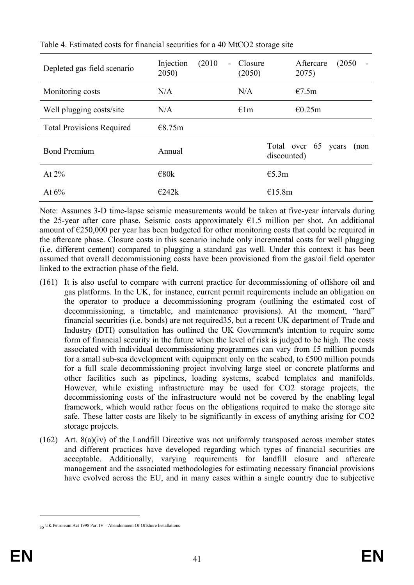| Depleted gas field scenario      | (2010)<br>Injection<br>2050) | Closure<br>$\sim$ 10 $\pm$<br>(2050) | (2050)<br>Aftercare<br>$\blacksquare$<br>2075) |
|----------------------------------|------------------------------|--------------------------------------|------------------------------------------------|
| Monitoring costs                 | N/A                          | N/A                                  | E7.5m                                          |
| Well plugging costs/site         | N/A                          | $\epsilon$ 1m                        | €0.25m                                         |
| <b>Total Provisions Required</b> | €8.75m                       |                                      |                                                |
| <b>Bond Premium</b>              | Annual                       |                                      | Total over 65<br>years<br>(non<br>discounted)  |
| At $2\%$                         | $\epsilon$ 80 $k$            |                                      | E5.3m                                          |
| At $6\%$                         | E242k                        |                                      | €15.8m                                         |

Table 4. Estimated costs for financial securities for a 40 MtCO2 storage site

Note: Assumes 3-D time-lapse seismic measurements would be taken at five-year intervals during the 25-year after care phase. Seismic costs approximately  $E1.5$  million per shot. An additional amount of €250,000 per year has been budgeted for other monitoring costs that could be required in the aftercare phase. Closure costs in this scenario include only incremental costs for well plugging (i.e. different cement) compared to plugging a standard gas well. Under this context it has been assumed that overall decommissioning costs have been provisioned from the gas/oil field operator linked to the extraction phase of the field.

- (161) It is also useful to compare with current practice for decommissioning of offshore oil and gas platforms. In the UK, for instance, current permit requirements include an obligation on the operator to produce a decommissioning program (outlining the estimated cost of decommissioning, a timetable, and maintenance provisions). At the moment, "hard" financial securities (i.e. bonds) are not required35, but a recent UK department of Trade and Industry (DTI) consultation has outlined the UK Government's intention to require some form of financial security in the future when the level of risk is judged to be high. The costs associated with individual decommissioning programmes can vary from £5 million pounds for a small sub-sea development with equipment only on the seabed, to £500 million pounds for a full scale decommissioning project involving large steel or concrete platforms and other facilities such as pipelines, loading systems, seabed templates and manifolds. However, while existing infrastructure may be used for CO2 storage projects, the decommissioning costs of the infrastructure would not be covered by the enabling legal framework, which would rather focus on the obligations required to make the storage site safe. These latter costs are likely to be significantly in excess of anything arising for CO2 storage projects.
- (162) Art. 8(a)(iv) of the Landfill Directive was not uniformly transposed across member states and different practices have developed regarding which types of financial securities are acceptable. Additionally, varying requirements for landfill closure and aftercare management and the associated methodologies for estimating necessary financial provisions have evolved across the EU, and in many cases within a single country due to subjective

<sup>35</sup> UK Petroleum Act 1998 Part IV – Abandonment Of Offshore Installations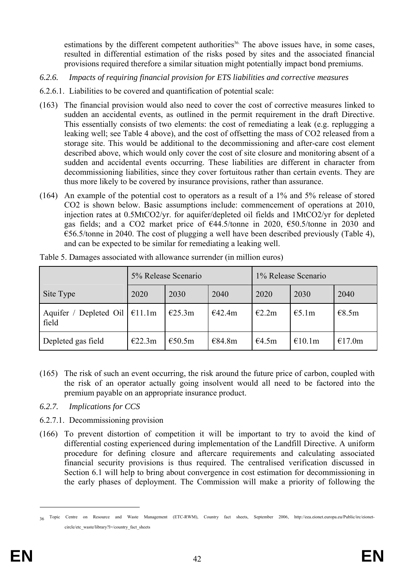estimations by the different competent authorities<sup>36</sup>. The above issues have, in some cases, resulted in differential estimation of the risks posed by sites and the associated financial provisions required therefore a similar situation might potentially impact bond premiums.

- *6.2.6. Impacts of requiring financial provision for ETS liabilities and corrective measures*
- 6.2.6.1. Liabilities to be covered and quantification of potential scale:
- (163) The financial provision would also need to cover the cost of corrective measures linked to sudden an accidental events, as outlined in the permit requirement in the draft Directive. This essentially consists of two elements: the cost of remediating a leak (e.g. replugging a leaking well; see Table 4 above), and the cost of offsetting the mass of CO2 released from a storage site. This would be additional to the decommissioning and after-care cost element described above, which would only cover the cost of site closure and monitoring absent of a sudden and accidental events occurring. These liabilities are different in character from decommissioning liabilities, since they cover fortuitous rather than certain events. They are thus more likely to be covered by insurance provisions, rather than assurance.
- (164) An example of the potential cost to operators as a result of a 1% and 5% release of stored CO2 is shown below. Basic assumptions include: commencement of operations at 2010, injection rates at 0.5MtCO2/yr. for aquifer/depleted oil fields and 1MtCO2/yr for depleted gas fields; and a CO2 market price of €44.5/tonne in 2020, €50.5/tonne in 2030 and  $\epsilon$ 56.5/tonne in 2040. The cost of plugging a well have been described previously (Table 4), and can be expected to be similar for remediating a leaking well.

|                                             | 5% Release Scenario |        |        | 1% Release Scenario |        |        |
|---------------------------------------------|---------------------|--------|--------|---------------------|--------|--------|
| Site Type                                   | 2020                | 2030   | 2040   | 2020                | 2030   | 2040   |
| Aquifer / Depleted Oil $\in$ 11.1m<br>field |                     | E25.3m | €42.4m | E2.2m               | E5.1m  | E8.5m  |
| Depleted gas field                          | E22.3m              | €50.5m | €84.8m | €4.5m               | €10.1m | €17.0m |

Table 5. Damages associated with allowance surrender (in million euros)

- (165) The risk of such an event occurring, the risk around the future price of carbon, coupled with the risk of an operator actually going insolvent would all need to be factored into the premium payable on an appropriate insurance product.
- *6.2.7. Implications for CCS*
- 6.2.7.1. Decommissioning provision
- (166) To prevent distortion of competition it will be important to try to avoid the kind of differential costing experienced during implementation of the Landfill Directive. A uniform procedure for defining closure and aftercare requirements and calculating associated financial security provisions is thus required. The centralised verification discussed in Section 6.1 will help to bring about convergence in cost estimation for decommissioning in the early phases of deployment. The Commission will make a priority of following the

<sup>36</sup> Topic Centre on Resource and Waste Management (ETC-RWM), Country fact sheets, September 2006, http://eea.eionet.europa.eu/Public/irc/eionetcircle/etc\_waste/library?l=/country\_fact\_sheets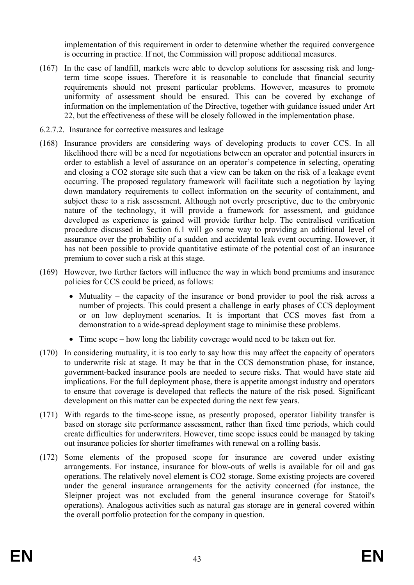implementation of this requirement in order to determine whether the required convergence is occurring in practice. If not, the Commission will propose additional measures.

- (167) In the case of landfill, markets were able to develop solutions for assessing risk and longterm time scope issues. Therefore it is reasonable to conclude that financial security requirements should not present particular problems. However, measures to promote uniformity of assessment should be ensured. This can be covered by exchange of information on the implementation of the Directive, together with guidance issued under Art 22, but the effectiveness of these will be closely followed in the implementation phase.
- 6.2.7.2. Insurance for corrective measures and leakage
- (168) Insurance providers are considering ways of developing products to cover CCS. In all likelihood there will be a need for negotiations between an operator and potential insurers in order to establish a level of assurance on an operator's competence in selecting, operating and closing a CO2 storage site such that a view can be taken on the risk of a leakage event occurring. The proposed regulatory framework will facilitate such a negotiation by laying down mandatory requirements to collect information on the security of containment, and subject these to a risk assessment. Although not overly prescriptive, due to the embryonic nature of the technology, it will provide a framework for assessment, and guidance developed as experience is gained will provide further help. The centralised verification procedure discussed in Section 6.1 will go some way to providing an additional level of assurance over the probability of a sudden and accidental leak event occurring. However, it has not been possible to provide quantitative estimate of the potential cost of an insurance premium to cover such a risk at this stage.
- (169) However, two further factors will influence the way in which bond premiums and insurance policies for CCS could be priced, as follows:
	- Mutuality the capacity of the insurance or bond provider to pool the risk across a number of projects. This could present a challenge in early phases of CCS deployment or on low deployment scenarios. It is important that CCS moves fast from a demonstration to a wide-spread deployment stage to minimise these problems.
	- Time scope how long the liability coverage would need to be taken out for.
- (170) In considering mutuality, it is too early to say how this may affect the capacity of operators to underwrite risk at stage. It may be that in the CCS demonstration phase, for instance, government-backed insurance pools are needed to secure risks. That would have state aid implications. For the full deployment phase, there is appetite amongst industry and operators to ensure that coverage is developed that reflects the nature of the risk posed. Significant development on this matter can be expected during the next few years.
- (171) With regards to the time-scope issue, as presently proposed, operator liability transfer is based on storage site performance assessment, rather than fixed time periods, which could create difficulties for underwriters. However, time scope issues could be managed by taking out insurance policies for shorter timeframes with renewal on a rolling basis.
- (172) Some elements of the proposed scope for insurance are covered under existing arrangements. For instance, insurance for blow-outs of wells is available for oil and gas operations. The relatively novel element is CO2 storage. Some existing projects are covered under the general insurance arrangements for the activity concerned (for instance, the Sleipner project was not excluded from the general insurance coverage for Statoil's operations). Analogous activities such as natural gas storage are in general covered within the overall portfolio protection for the company in question.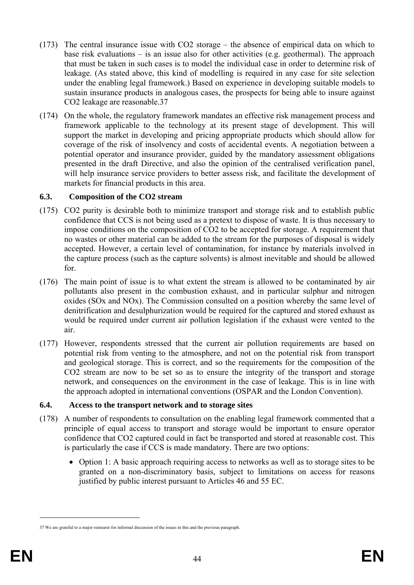- (173) The central insurance issue with CO2 storage the absence of empirical data on which to base risk evaluations – is an issue also for other activities (e.g. geothermal). The approach that must be taken in such cases is to model the individual case in order to determine risk of leakage. (As stated above, this kind of modelling is required in any case for site selection under the enabling legal framework.) Based on experience in developing suitable models to sustain insurance products in analogous cases, the prospects for being able to insure against CO2 leakage are reasonable.37
- (174) On the whole, the regulatory framework mandates an effective risk management process and framework applicable to the technology at its present stage of development. This will support the market in developing and pricing appropriate products which should allow for coverage of the risk of insolvency and costs of accidental events. A negotiation between a potential operator and insurance provider, guided by the mandatory assessment obligations presented in the draft Directive, and also the opinion of the centralised verification panel, will help insurance service providers to better assess risk, and facilitate the development of markets for financial products in this area.

### **6.3. Composition of the CO2 stream**

- (175) CO2 purity is desirable both to minimize transport and storage risk and to establish public confidence that CCS is not being used as a pretext to dispose of waste. It is thus necessary to impose conditions on the composition of CO2 to be accepted for storage. A requirement that no wastes or other material can be added to the stream for the purposes of disposal is widely accepted. However, a certain level of contamination, for instance by materials involved in the capture process (such as the capture solvents) is almost inevitable and should be allowed for.
- (176) The main point of issue is to what extent the stream is allowed to be contaminated by air pollutants also present in the combustion exhaust, and in particular sulphur and nitrogen oxides (SOx and NOx). The Commission consulted on a position whereby the same level of denitrification and desulphurization would be required for the captured and stored exhaust as would be required under current air pollution legislation if the exhaust were vented to the air.
- (177) However, respondents stressed that the current air pollution requirements are based on potential risk from venting to the atmosphere, and not on the potential risk from transport and geological storage. This is correct, and so the requirements for the composition of the CO2 stream are now to be set so as to ensure the integrity of the transport and storage network, and consequences on the environment in the case of leakage. This is in line with the approach adopted in international conventions (OSPAR and the London Convention).

# **6.4. Access to the transport network and to storage sites**

- (178) A number of respondents to consultation on the enabling legal framework commented that a principle of equal access to transport and storage would be important to ensure operator confidence that CO2 captured could in fact be transported and stored at reasonable cost. This is particularly the case if CCS is made mandatory. There are two options:
	- Option 1: A basic approach requiring access to networks as well as to storage sites to be granted on a non-discriminatory basis, subject to limitations on access for reasons justified by public interest pursuant to Articles 46 and 55 EC.

<sup>37</sup> We are grateful to a major reinsurer for informal discussion of the issues in this and the previous paragraph.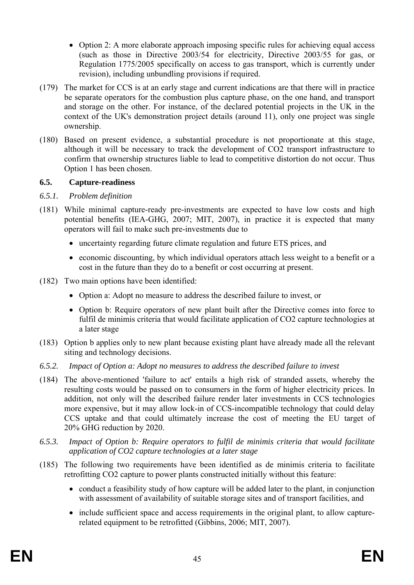- Option 2: A more elaborate approach imposing specific rules for achieving equal access (such as those in Directive 2003/54 for electricity, Directive 2003/55 for gas, or Regulation 1775/2005 specifically on access to gas transport, which is currently under revision), including unbundling provisions if required.
- (179) The market for CCS is at an early stage and current indications are that there will in practice be separate operators for the combustion plus capture phase, on the one hand, and transport and storage on the other. For instance, of the declared potential projects in the UK in the context of the UK's demonstration project details (around 11), only one project was single ownership.
- (180) Based on present evidence, a substantial procedure is not proportionate at this stage, although it will be necessary to track the development of CO2 transport infrastructure to confirm that ownership structures liable to lead to competitive distortion do not occur. Thus Option 1 has been chosen.

### **6.5. Capture-readiness**

### *6.5.1. Problem definition*

- (181) While minimal capture-ready pre-investments are expected to have low costs and high potential benefits (IEA-GHG, 2007; MIT, 2007), in practice it is expected that many operators will fail to make such pre-investments due to
	- uncertainty regarding future climate regulation and future ETS prices, and
	- economic discounting, by which individual operators attach less weight to a benefit or a cost in the future than they do to a benefit or cost occurring at present.
- (182) Two main options have been identified:
	- Option a: Adopt no measure to address the described failure to invest, or
	- Option b: Require operators of new plant built after the Directive comes into force to fulfil de minimis criteria that would facilitate application of CO2 capture technologies at a later stage
- (183) Option b applies only to new plant because existing plant have already made all the relevant siting and technology decisions.
- *6.5.2. Impact of Option a: Adopt no measures to address the described failure to invest*
- (184) The above-mentioned 'failure to act' entails a high risk of stranded assets, whereby the resulting costs would be passed on to consumers in the form of higher electricity prices. In addition, not only will the described failure render later investments in CCS technologies more expensive, but it may allow lock-in of CCS-incompatible technology that could delay CCS uptake and that could ultimately increase the cost of meeting the EU target of 20% GHG reduction by 2020.
- *6.5.3. Impact of Option b: Require operators to fulfil de minimis criteria that would facilitate application of CO2 capture technologies at a later stage*
- (185) The following two requirements have been identified as de minimis criteria to facilitate retrofitting CO2 capture to power plants constructed initially without this feature:
	- conduct a feasibility study of how capture will be added later to the plant, in conjunction with assessment of availability of suitable storage sites and of transport facilities, and
	- include sufficient space and access requirements in the original plant, to allow capturerelated equipment to be retrofitted (Gibbins, 2006; MIT, 2007).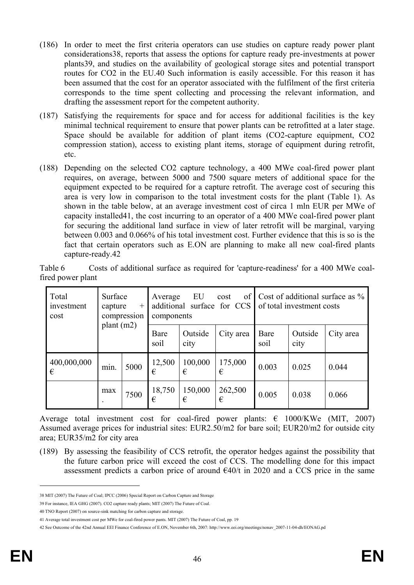- (186) In order to meet the first criteria operators can use studies on capture ready power plant considerations38, reports that assess the options for capture ready pre-investments at power plants39, and studies on the availability of geological storage sites and potential transport routes for CO2 in the EU.40 Such information is easily accessible. For this reason it has been assumed that the cost for an operator associated with the fulfilment of the first criteria corresponds to the time spent collecting and processing the relevant information, and drafting the assessment report for the competent authority.
- (187) Satisfying the requirements for space and for access for additional facilities is the key minimal technical requirement to ensure that power plants can be retrofitted at a later stage. Space should be available for addition of plant items (CO2-capture equipment, CO2 compression station), access to existing plant items, storage of equipment during retrofit, etc.
- (188) Depending on the selected CO2 capture technology, a 400 MWe coal-fired power plant requires, on average, between 5000 and 7500 square meters of additional space for the equipment expected to be required for a capture retrofit. The average cost of securing this area is very low in comparison to the total investment costs for the plant (Table 1). As shown in the table below, at an average investment cost of circa 1 mln EUR per MWe of capacity installed41, the cost incurring to an operator of a 400 MWe coal-fired power plant for securing the additional land surface in view of later retrofit will be marginal, varying between 0.003 and 0.066% of his total investment cost. Further evidence that this is so is the fact that certain operators such as E.ON are planning to make all new coal-fired plants capture-ready.42

| Table 6           |  |  | Costs of additional surface as required for 'capture-readiness' for a 400 MWe coal- |  |  |
|-------------------|--|--|-------------------------------------------------------------------------------------|--|--|
| fired power plant |  |  |                                                                                     |  |  |

| Total<br>Surface<br>investment<br>capture<br>$^{+}$<br>compression<br>cost<br>plant $(m2)$ |      |      | Average<br>additional<br>components | EU              | οf<br>cost<br>surface for CCS |              | of total investment costs | Cost of additional surface as $\%$ |
|--------------------------------------------------------------------------------------------|------|------|-------------------------------------|-----------------|-------------------------------|--------------|---------------------------|------------------------------------|
|                                                                                            |      |      | Bare<br>soil                        | Outside<br>city | City area                     | Bare<br>soil | Outside<br>city           | City area                          |
| 400,000,000<br>€                                                                           | min. | 5000 | 12,500<br>€                         | 100,000<br>€    | 175,000<br>€                  | 0.003        | 0.025                     | 0.044                              |
|                                                                                            | max  | 7500 | 18,750<br>€                         | 150,000<br>€    | 262,500<br>€                  | 0.005        | 0.038                     | 0.066                              |

Average total investment cost for coal-fired power plants:  $\epsilon$  1000/KWe (MIT, 2007) Assumed average prices for industrial sites: EUR2.50/m2 for bare soil; EUR20/m2 for outside city area; EUR35/m2 for city area

(189) By assessing the feasibility of CCS retrofit, the operator hedges against the possibility that the future carbon price will exceed the cost of CCS. The modelling done for this impact assessment predicts a carbon price of around  $\epsilon$ 40/t in 2020 and a CCS price in the same

<u>.</u>

<sup>38</sup> MIT (2007) The Future of Coal; IPCC (2006) Special Report on Carbon Capture and Storage

<sup>39</sup> For instance, IEA GHG (2007). CO2 capture ready plants; MIT (2007) The Future of Coal.

<sup>40</sup> TNO Report (2007) on source-sink matching for carbon capture and storage.

<sup>41</sup> Average total investment cost per MWe for coal-fired power pants. MIT (2007) The Future of Coal, pp. 19

<sup>42</sup> See Outcome of the 42nd Annual EEI Finance Conference of E.ON, November 6th, 2007: http://www.eei.org/meetings/nonav\_2007-11-04-dh/EONAG.pd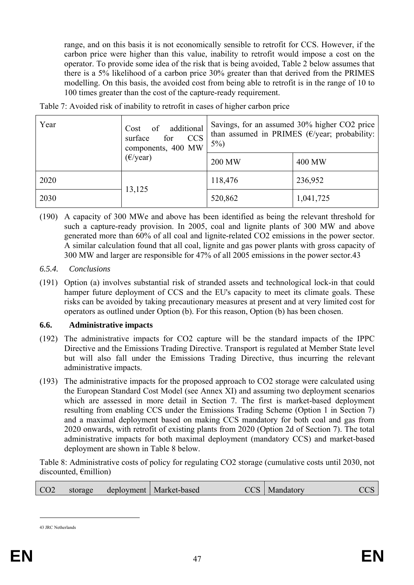range, and on this basis it is not economically sensible to retrofit for CCS. However, if the carbon price were higher than this value, inability to retrofit would impose a cost on the operator. To provide some idea of the risk that is being avoided, Table 2 below assumes that there is a 5% likelihood of a carbon price 30% greater than that derived from the PRIMES modelling. On this basis, the avoided cost from being able to retrofit is in the range of 10 to 100 times greater than the cost of the capture-ready requirement.

| Year | of additional<br>Cost<br><b>CCS</b><br>surface<br>for<br>components, 400 MW | Savings, for an assumed 30% higher CO2 price<br>than assumed in PRIMES ( $\epsilon$ /year; probability:<br>$5\%$ ) |           |  |
|------|-----------------------------------------------------------------------------|--------------------------------------------------------------------------------------------------------------------|-----------|--|
|      | $(\epsilon$ /year)                                                          | <b>200 MW</b>                                                                                                      | 400 MW    |  |
| 2020 |                                                                             | 118,476                                                                                                            | 236,952   |  |
| 2030 | 13,125                                                                      | 520,862                                                                                                            | 1,041,725 |  |

Table 7: Avoided risk of inability to retrofit in cases of higher carbon price

- (190) A capacity of 300 MWe and above has been identified as being the relevant threshold for such a capture-ready provision. In 2005, coal and lignite plants of 300 MW and above generated more than 60% of all coal and lignite-related CO2 emissions in the power sector. A similar calculation found that all coal, lignite and gas power plants with gross capacity of 300 MW and larger are responsible for 47% of all 2005 emissions in the power sector.43
- *6.5.4. Conclusions*
- (191) Option (a) involves substantial risk of stranded assets and technological lock-in that could hamper future deployment of CCS and the EU's capacity to meet its climate goals. These risks can be avoided by taking precautionary measures at present and at very limited cost for operators as outlined under Option (b). For this reason, Option (b) has been chosen.

#### **6.6. Administrative impacts**

- (192) The administrative impacts for CO2 capture will be the standard impacts of the IPPC Directive and the Emissions Trading Directive. Transport is regulated at Member State level but will also fall under the Emissions Trading Directive, thus incurring the relevant administrative impacts.
- (193) The administrative impacts for the proposed approach to CO2 storage were calculated using the European Standard Cost Model (see Annex XI) and assuming two deployment scenarios which are assessed in more detail in Section 7. The first is market-based deployment resulting from enabling CCS under the Emissions Trading Scheme (Option 1 in Section 7) and a maximal deployment based on making CCS mandatory for both coal and gas from 2020 onwards, with retrofit of existing plants from 2020 (Option 2d of Section 7). The total administrative impacts for both maximal deployment (mandatory CCS) and market-based deployment are shown in Table 8 below.

Table 8: Administrative costs of policy for regulating CO2 storage (cumulative costs until 2030, not discounted, €million)

|  | CO <sub>2</sub><br>storage | deployment   Market-based | CCS   Mandatory |  |
|--|----------------------------|---------------------------|-----------------|--|
|--|----------------------------|---------------------------|-----------------|--|

<sup>43</sup> JRC Netherlands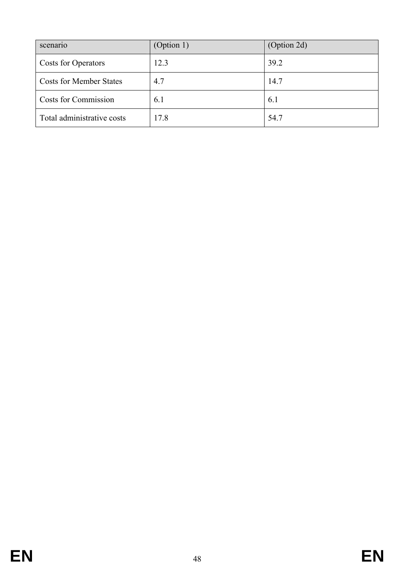| scenario                       | (Option 1) | (Option 2d) |
|--------------------------------|------------|-------------|
| <b>Costs for Operators</b>     | 12.3       | 39.2        |
| <b>Costs for Member States</b> | 4.7        | 14.7        |
| <b>Costs for Commission</b>    | 6.1        | 6.1         |
| Total administrative costs     | 17.8       | 54.7        |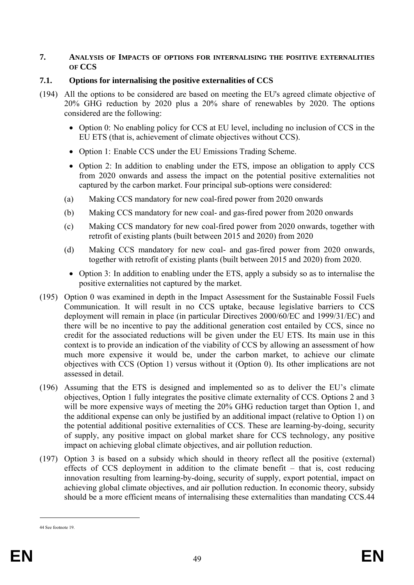#### **7. ANALYSIS OF IMPACTS OF OPTIONS FOR INTERNALISING THE POSITIVE EXTERNALITIES OF CCS**

## **7.1. Options for internalising the positive externalities of CCS**

- (194) All the options to be considered are based on meeting the EU's agreed climate objective of 20% GHG reduction by 2020 plus a 20% share of renewables by 2020. The options considered are the following:
	- Option 0: No enabling policy for CCS at EU level, including no inclusion of CCS in the EU ETS (that is, achievement of climate objectives without CCS).
	- Option 1: Enable CCS under the EU Emissions Trading Scheme.
	- Option 2: In addition to enabling under the ETS, impose an obligation to apply CCS from 2020 onwards and assess the impact on the potential positive externalities not captured by the carbon market. Four principal sub-options were considered:
	- (a) Making CCS mandatory for new coal-fired power from 2020 onwards
	- (b) Making CCS mandatory for new coal- and gas-fired power from 2020 onwards
	- (c) Making CCS mandatory for new coal-fired power from 2020 onwards, together with retrofit of existing plants (built between 2015 and 2020) from 2020
	- (d) Making CCS mandatory for new coal- and gas-fired power from 2020 onwards, together with retrofit of existing plants (built between 2015 and 2020) from 2020.
		- Option 3: In addition to enabling under the ETS, apply a subsidy so as to internalise the positive externalities not captured by the market.
- (195) Option 0 was examined in depth in the Impact Assessment for the Sustainable Fossil Fuels Communication. It will result in no CCS uptake, because legislative barriers to CCS deployment will remain in place (in particular Directives 2000/60/EC and 1999/31/EC) and there will be no incentive to pay the additional generation cost entailed by CCS, since no credit for the associated reductions will be given under the EU ETS. Its main use in this context is to provide an indication of the viability of CCS by allowing an assessment of how much more expensive it would be, under the carbon market, to achieve our climate objectives with CCS (Option 1) versus without it (Option 0). Its other implications are not assessed in detail.
- (196) Assuming that the ETS is designed and implemented so as to deliver the EU's climate objectives, Option 1 fully integrates the positive climate externality of CCS. Options 2 and 3 will be more expensive ways of meeting the 20% GHG reduction target than Option 1, and the additional expense can only be justified by an additional impact (relative to Option 1) on the potential additional positive externalities of CCS. These are learning-by-doing, security of supply, any positive impact on global market share for CCS technology, any positive impact on achieving global climate objectives, and air pollution reduction.
- (197) Option 3 is based on a subsidy which should in theory reflect all the positive (external) effects of CCS deployment in addition to the climate benefit – that is, cost reducing innovation resulting from learning-by-doing, security of supply, export potential, impact on achieving global climate objectives, and air pollution reduction. In economic theory, subsidy should be a more efficient means of internalising these externalities than mandating CCS.44

<sup>44</sup> See footnote 19.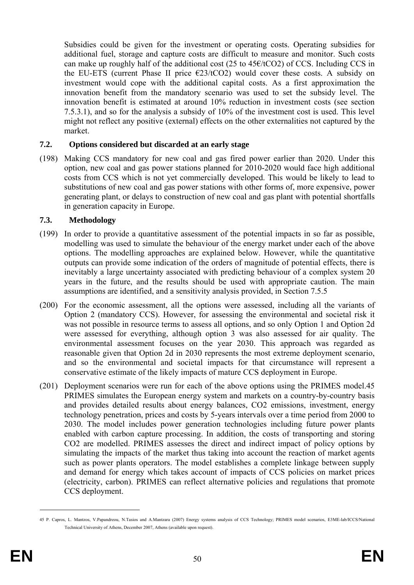Subsidies could be given for the investment or operating costs. Operating subsidies for additional fuel, storage and capture costs are difficult to measure and monitor. Such costs can make up roughly half of the additional cost (25 to 45 $\epsilon$ /tCO2) of CCS. Including CCS in the EU-ETS (current Phase II price  $\epsilon$ 23/tCO2) would cover these costs. A subsidy on investment would cope with the additional capital costs. As a first approximation the innovation benefit from the mandatory scenario was used to set the subsidy level. The innovation benefit is estimated at around 10% reduction in investment costs (see section 7.5.3.1), and so for the analysis a subsidy of 10% of the investment cost is used. This level might not reflect any positive (external) effects on the other externalities not captured by the market.

### **7.2. Options considered but discarded at an early stage**

(198) Making CCS mandatory for new coal and gas fired power earlier than 2020. Under this option, new coal and gas power stations planned for 2010-2020 would face high additional costs from CCS which is not yet commercially developed. This would be likely to lead to substitutions of new coal and gas power stations with other forms of, more expensive, power generating plant, or delays to construction of new coal and gas plant with potential shortfalls in generation capacity in Europe.

### **7.3. Methodology**

- (199) In order to provide a quantitative assessment of the potential impacts in so far as possible, modelling was used to simulate the behaviour of the energy market under each of the above options. The modelling approaches are explained below. However, while the quantitative outputs can provide some indication of the orders of magnitude of potential effects, there is inevitably a large uncertainty associated with predicting behaviour of a complex system 20 years in the future, and the results should be used with appropriate caution. The main assumptions are identified, and a sensitivity analysis provided, in Section 7.5.5
- (200) For the economic assessment, all the options were assessed, including all the variants of Option 2 (mandatory CCS). However, for assessing the environmental and societal risk it was not possible in resource terms to assess all options, and so only Option 1 and Option 2d were assessed for everything, although option 3 was also assessed for air quality. The environmental assessment focuses on the year 2030. This approach was regarded as reasonable given that Option 2d in 2030 represents the most extreme deployment scenario, and so the environmental and societal impacts for that circumstance will represent a conservative estimate of the likely impacts of mature CCS deployment in Europe.
- (201) Deployment scenarios were run for each of the above options using the PRIMES model.45 PRIMES simulates the European energy system and markets on a country-by-country basis and provides detailed results about energy balances, CO2 emissions, investment, energy technology penetration, prices and costs by 5-years intervals over a time period from 2000 to 2030. The model includes power generation technologies including future power plants enabled with carbon capture processing. In addition, the costs of transporting and storing CO2 are modelled. PRIMES assesses the direct and indirect impact of policy options by simulating the impacts of the market thus taking into account the reaction of market agents such as power plants operators. The model establishes a complete linkage between supply and demand for energy which takes account of impacts of CCS policies on market prices (electricity, carbon). PRIMES can reflect alternative policies and regulations that promote CCS deployment.

<u>.</u>

<sup>45</sup> P. Capros, L. Mantzos, V.Papandreou, N.Tasios and A.Mantzara (2007) Energy systems analysis of CCS Technology; PRIMES model scenarios, E3ME-lab/ICCS/National Technical University of Athens, December 2007, Athens (available upon request).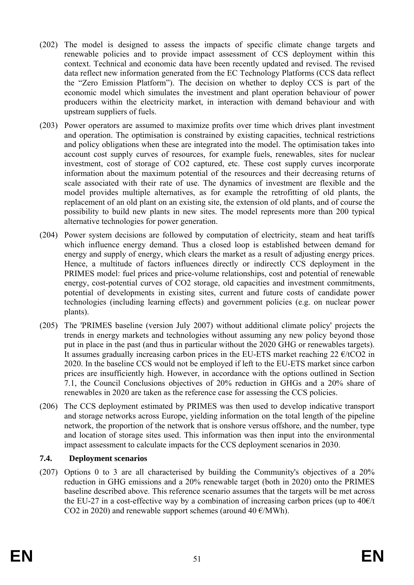- (202) The model is designed to assess the impacts of specific climate change targets and renewable policies and to provide impact assessment of CCS deployment within this context. Technical and economic data have been recently updated and revised. The revised data reflect new information generated from the EC Technology Platforms (CCS data reflect the "Zero Emission Platform"). The decision on whether to deploy CCS is part of the economic model which simulates the investment and plant operation behaviour of power producers within the electricity market, in interaction with demand behaviour and with upstream suppliers of fuels.
- (203) Power operators are assumed to maximize profits over time which drives plant investment and operation. The optimisation is constrained by existing capacities, technical restrictions and policy obligations when these are integrated into the model. The optimisation takes into account cost supply curves of resources, for example fuels, renewables, sites for nuclear investment, cost of storage of CO2 captured, etc. These cost supply curves incorporate information about the maximum potential of the resources and their decreasing returns of scale associated with their rate of use. The dynamics of investment are flexible and the model provides multiple alternatives, as for example the retrofitting of old plants, the replacement of an old plant on an existing site, the extension of old plants, and of course the possibility to build new plants in new sites. The model represents more than 200 typical alternative technologies for power generation.
- (204) Power system decisions are followed by computation of electricity, steam and heat tariffs which influence energy demand. Thus a closed loop is established between demand for energy and supply of energy, which clears the market as a result of adjusting energy prices. Hence, a multitude of factors influences directly or indirectly CCS deployment in the PRIMES model: fuel prices and price-volume relationships, cost and potential of renewable energy, cost-potential curves of CO2 storage, old capacities and investment commitments, potential of developments in existing sites, current and future costs of candidate power technologies (including learning effects) and government policies (e.g. on nuclear power plants).
- (205) The 'PRIMES baseline (version July 2007) without additional climate policy' projects the trends in energy markets and technologies without assuming any new policy beyond those put in place in the past (and thus in particular without the 2020 GHG or renewables targets). It assumes gradually increasing carbon prices in the EU-ETS market reaching 22  $\epsilon$ /tCO2 in 2020. In the baseline CCS would not be employed if left to the EU-ETS market since carbon prices are insufficiently high. However, in accordance with the options outlined in Section 7.1, the Council Conclusions objectives of 20% reduction in GHGs and a 20% share of renewables in 2020 are taken as the reference case for assessing the CCS policies.
- (206) The CCS deployment estimated by PRIMES was then used to develop indicative transport and storage networks across Europe, yielding information on the total length of the pipeline network, the proportion of the network that is onshore versus offshore, and the number, type and location of storage sites used. This information was then input into the environmental impact assessment to calculate impacts for the CCS deployment scenarios in 2030.

#### **7.4. Deployment scenarios**

(207) Options 0 to 3 are all characterised by building the Community's objectives of a 20% reduction in GHG emissions and a 20% renewable target (both in 2020) onto the PRIMES baseline described above. This reference scenario assumes that the targets will be met across the EU-27 in a cost-effective way by a combination of increasing carbon prices (up to  $40\epsilon/t$ ) CO2 in 2020) and renewable support schemes (around  $40 \text{ }\epsilon/\text{MWh}$ ).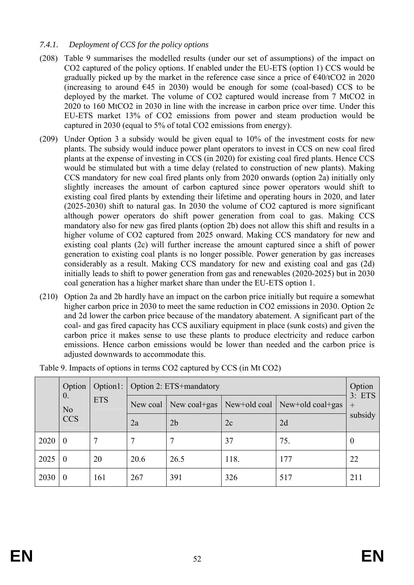### *7.4.1. Deployment of CCS for the policy options*

- (208) Table 9 summarises the modelled results (under our set of assumptions) of the impact on CO2 captured of the policy options. If enabled under the EU-ETS (option 1) CCS would be gradually picked up by the market in the reference case since a price of  $\epsilon$ 40/tCO2 in 2020 (increasing to around  $\epsilon$ 45 in 2030) would be enough for some (coal-based) CCS to be deployed by the market. The volume of CO2 captured would increase from 7 MtCO2 in 2020 to 160 MtCO2 in 2030 in line with the increase in carbon price over time. Under this EU-ETS market 13% of CO2 emissions from power and steam production would be captured in 2030 (equal to 5% of total CO2 emissions from energy).
- (209) Under Option 3 a subsidy would be given equal to 10% of the investment costs for new plants. The subsidy would induce power plant operators to invest in CCS on new coal fired plants at the expense of investing in CCS (in 2020) for existing coal fired plants. Hence CCS would be stimulated but with a time delay (related to construction of new plants). Making CCS mandatory for new coal fired plants only from 2020 onwards (option 2a) initially only slightly increases the amount of carbon captured since power operators would shift to existing coal fired plants by extending their lifetime and operating hours in 2020, and later (2025-2030) shift to natural gas. In 2030 the volume of CO2 captured is more significant although power operators do shift power generation from coal to gas. Making CCS mandatory also for new gas fired plants (option 2b) does not allow this shift and results in a higher volume of CO2 captured from 2025 onward. Making CCS mandatory for new and existing coal plants (2c) will further increase the amount captured since a shift of power generation to existing coal plants is no longer possible. Power generation by gas increases considerably as a result. Making CCS mandatory for new and existing coal and gas (2d) initially leads to shift to power generation from gas and renewables (2020-2025) but in 2030 coal generation has a higher market share than under the EU-ETS option 1.
- (210) Option 2a and 2b hardly have an impact on the carbon price initially but require a somewhat higher carbon price in 2030 to meet the same reduction in CO2 emissions in 2030. Option 2c and 2d lower the carbon price because of the mandatory abatement. A significant part of the coal- and gas fired capacity has CCS auxiliary equipment in place (sunk costs) and given the carbon price it makes sense to use these plants to produce electricity and reduce carbon emissions. Hence carbon emissions would be lower than needed and the carbon price is adjusted downwards to accommodate this.

|      | Option                                     | Option $1:$ |          | Option 2: ETS+mandatory |      |                                 |                  |  |  |
|------|--------------------------------------------|-------------|----------|-------------------------|------|---------------------------------|------------------|--|--|
|      | $\theta$ .<br><b>ETS</b><br>N <sub>o</sub> |             | New coal | New coal+gas            |      | New+old coal   New+old coal+gas | 3: ETS<br>$^{+}$ |  |  |
|      | <b>CCS</b>                                 |             | 2a       | 2 <sub>b</sub>          | 2c   | 2d                              | subsidy          |  |  |
| 2020 | $\boldsymbol{0}$                           |             |          |                         | 37   | 75.                             | $\theta$         |  |  |
| 2025 | $\boldsymbol{0}$                           | 20          | 20.6     | 26.5                    | 118. | 177                             | 22               |  |  |
| 2030 | $\theta$                                   | 161         | 267      | 391                     | 326  | 517                             | 211              |  |  |

Table 9. Impacts of options in terms CO2 captured by CCS (in Mt CO2)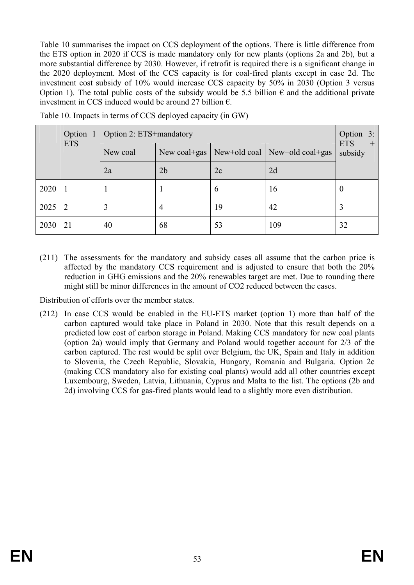Table 10 summarises the impact on CCS deployment of the options. There is little difference from the ETS option in 2020 if CCS is made mandatory only for new plants (options 2a and 2b), but a more substantial difference by 2030. However, if retrofit is required there is a significant change in the 2020 deployment. Most of the CCS capacity is for coal-fired plants except in case 2d. The investment cost subsidy of 10% would increase CCS capacity by 50% in 2030 (Option 3 versus Option 1). The total public costs of the subsidy would be 5.5 billion  $\epsilon$  and the additional private investment in CCS induced would be around 27 billion  $\epsilon$ .

|      | Option 1   |          | Option 2: ETS+mandatory |    |                                 |                                 |  |  |
|------|------------|----------|-------------------------|----|---------------------------------|---------------------------------|--|--|
|      | <b>ETS</b> | New coal | New coal+gas            |    | New+old coal   New+old coal+gas | <b>ETS</b><br>$^{+}$<br>subsidy |  |  |
|      |            | 2a       | 2 <sub>b</sub>          | 2c | 2d                              |                                 |  |  |
| 2020 |            |          |                         | 6  | 16                              | $\theta$                        |  |  |
| 2025 | 2          | 3        | 4                       | 19 | 42                              | 3                               |  |  |
| 2030 | 21         | 40       | 68                      | 53 | 109                             | 32                              |  |  |

Table 10. Impacts in terms of CCS deployed capacity (in GW)

(211) The assessments for the mandatory and subsidy cases all assume that the carbon price is affected by the mandatory CCS requirement and is adjusted to ensure that both the 20% reduction in GHG emissions and the 20% renewables target are met. Due to rounding there might still be minor differences in the amount of CO2 reduced between the cases.

Distribution of efforts over the member states.

(212) In case CCS would be enabled in the EU-ETS market (option 1) more than half of the carbon captured would take place in Poland in 2030. Note that this result depends on a predicted low cost of carbon storage in Poland. Making CCS mandatory for new coal plants (option 2a) would imply that Germany and Poland would together account for 2/3 of the carbon captured. The rest would be split over Belgium, the UK, Spain and Italy in addition to Slovenia, the Czech Republic, Slovakia, Hungary, Romania and Bulgaria. Option 2c (making CCS mandatory also for existing coal plants) would add all other countries except Luxembourg, Sweden, Latvia, Lithuania, Cyprus and Malta to the list. The options (2b and 2d) involving CCS for gas-fired plants would lead to a slightly more even distribution.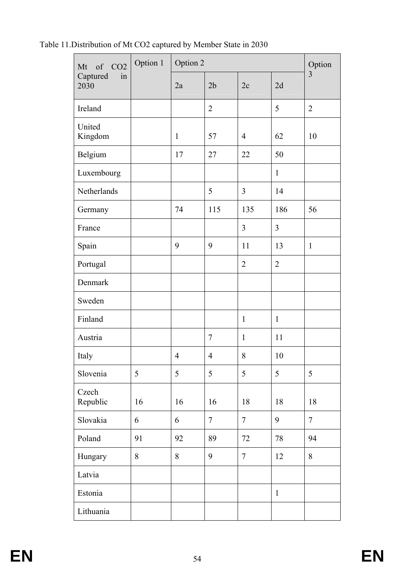Table 11.Distribution of Mt CO2 captured by Member State in 2030

| of CO <sub>2</sub><br>Mt | Option 1 | Option 2       |                |                |                | Option         |
|--------------------------|----------|----------------|----------------|----------------|----------------|----------------|
| Captured<br>in<br>2030   |          | 2a             | 2 <sub>b</sub> | 2c             | 2d             | $\overline{3}$ |
| Ireland                  |          |                | $\overline{2}$ |                | 5              | $\overline{2}$ |
| United<br>Kingdom        |          | $\mathbf{1}$   | 57             | $\overline{4}$ | 62             | 10             |
| Belgium                  |          | 17             | 27             | 22             | 50             |                |
| Luxembourg               |          |                |                |                | $\mathbf{1}$   |                |
| Netherlands              |          |                | 5              | $\overline{3}$ | 14             |                |
| Germany                  |          | 74             | 115            | 135            | 186            | 56             |
| France                   |          |                |                | 3              | 3              |                |
| Spain                    |          | 9              | 9              | 11             | 13             | $\mathbf{1}$   |
| Portugal                 |          |                |                | $\overline{2}$ | $\overline{2}$ |                |
| Denmark                  |          |                |                |                |                |                |
| Sweden                   |          |                |                |                |                |                |
| Finland                  |          |                |                | $\mathbf{1}$   | $\mathbf{1}$   |                |
| Austria                  |          |                | $\overline{7}$ | $\mathbf{1}$   | 11             |                |
| Italy                    |          | $\overline{4}$ | 4              | 8              | 10             |                |
| Slovenia                 | 5        | 5              | 5              | 5              | 5              | 5              |
| Czech<br>Republic        | 16       | 16             | 16             | 18             | 18             | 18             |
| Slovakia                 | 6        | 6              | $\overline{7}$ | $\overline{7}$ | 9              | $\overline{7}$ |
| Poland                   | 91       | 92             | 89             | 72             | 78             | 94             |
| Hungary                  | 8        | 8              | 9              | $\overline{7}$ | 12             | 8              |
| Latvia                   |          |                |                |                |                |                |
| Estonia                  |          |                |                |                | $\mathbf{1}$   |                |
| Lithuania                |          |                |                |                |                |                |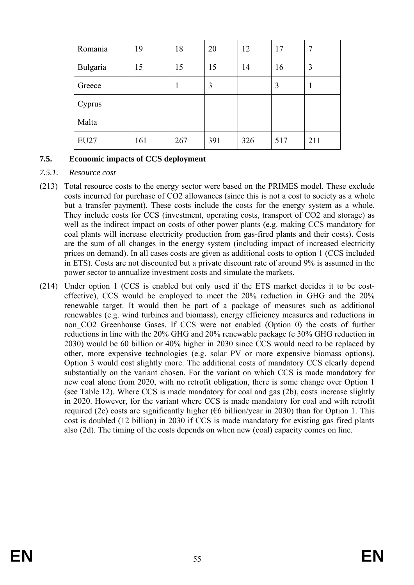| Romania     | 19  | 18  | 20  | 12  | 17  |     |
|-------------|-----|-----|-----|-----|-----|-----|
| Bulgaria    | 15  | 15  | 15  | 14  | 16  | 3   |
| Greece      |     |     | 3   |     | 3   |     |
| Cyprus      |     |     |     |     |     |     |
| Malta       |     |     |     |     |     |     |
| <b>EU27</b> | 161 | 267 | 391 | 326 | 517 | 211 |

### **7.5. Economic impacts of CCS deployment**

#### *7.5.1. Resource cost*

- (213) Total resource costs to the energy sector were based on the PRIMES model. These exclude costs incurred for purchase of CO2 allowances (since this is not a cost to society as a whole but a transfer payment). These costs include the costs for the energy system as a whole. They include costs for CCS (investment, operating costs, transport of CO2 and storage) as well as the indirect impact on costs of other power plants (e.g. making CCS mandatory for coal plants will increase electricity production from gas-fired plants and their costs). Costs are the sum of all changes in the energy system (including impact of increased electricity prices on demand). In all cases costs are given as additional costs to option 1 (CCS included in ETS). Costs are not discounted but a private discount rate of around 9% is assumed in the power sector to annualize investment costs and simulate the markets.
- (214) Under option 1 (CCS is enabled but only used if the ETS market decides it to be costeffective), CCS would be employed to meet the 20% reduction in GHG and the 20% renewable target. It would then be part of a package of measures such as additional renewables (e.g. wind turbines and biomass), energy efficiency measures and reductions in non CO2 Greenhouse Gases. If CCS were not enabled (Option 0) the costs of further reductions in line with the 20% GHG and 20% renewable package (c 30% GHG reduction in 2030) would be 60 billion or 40% higher in 2030 since CCS would need to be replaced by other, more expensive technologies (e.g. solar PV or more expensive biomass options). Option 3 would cost slightly more. The additional costs of mandatory CCS clearly depend substantially on the variant chosen. For the variant on which CCS is made mandatory for new coal alone from 2020, with no retrofit obligation, there is some change over Option 1 (see Table 12). Where CCS is made mandatory for coal and gas (2b), costs increase slightly in 2020. However, for the variant where CCS is made mandatory for coal and with retrofit required (2c) costs are significantly higher ( $\epsilon$ 6 billion/year in 2030) than for Option 1. This cost is doubled (12 billion) in 2030 if CCS is made mandatory for existing gas fired plants also (2d). The timing of the costs depends on when new (coal) capacity comes on line.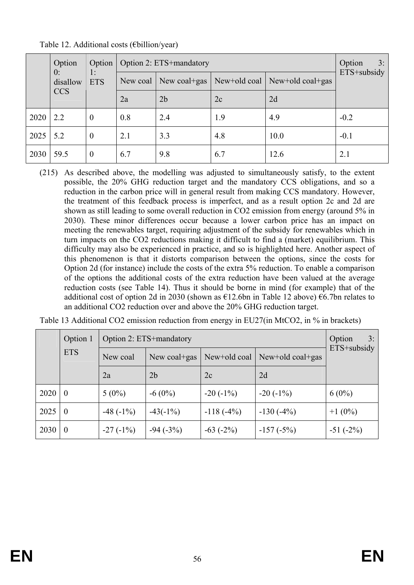|      | Option         | Option           | Option 2: ETS+mandatory | 3:<br>Option   |                                 |      |             |  |
|------|----------------|------------------|-------------------------|----------------|---------------------------------|------|-------------|--|
|      | 0:<br>disallow | 1:<br><b>ETS</b> | New coal                | New coal+gas   | New+old coal   New+old coal+gas |      | ETS+subsidy |  |
|      | <b>CCS</b>     |                  | 2a                      | 2 <sub>b</sub> | 2c                              | 2d   |             |  |
| 2020 | 2.2            | $\theta$         | 0.8                     | 2.4            | 1.9                             | 4.9  | $-0.2$      |  |
| 2025 | 5.2            | $\boldsymbol{0}$ | 2.1                     | 3.3            | 4.8                             | 10.0 | $-0.1$      |  |
| 2030 | 59.5           | $\overline{0}$   | 6.7                     | 9.8            | 6.7                             | 12.6 | 2.1         |  |

Table 12. Additional costs (€billion/year)

(215) As described above, the modelling was adjusted to simultaneously satisfy, to the extent possible, the 20% GHG reduction target and the mandatory CCS obligations, and so a reduction in the carbon price will in general result from making CCS mandatory. However, the treatment of this feedback process is imperfect, and as a result option 2c and 2d are shown as still leading to some overall reduction in CO2 emission from energy (around 5% in 2030). These minor differences occur because a lower carbon price has an impact on meeting the renewables target, requiring adjustment of the subsidy for renewables which in turn impacts on the CO2 reductions making it difficult to find a (market) equilibrium. This difficulty may also be experienced in practice, and so is highlighted here. Another aspect of this phenomenon is that it distorts comparison between the options, since the costs for Option 2d (for instance) include the costs of the extra 5% reduction. To enable a comparison of the options the additional costs of the extra reduction have been valued at the average reduction costs (see Table 14). Thus it should be borne in mind (for example) that of the additional cost of option 2d in 2030 (shown as  $\epsilon$ 12.6bn in Table 12 above)  $\epsilon$ 6.7bn relates to an additional CO2 reduction over and above the 20% GHG reduction target.

|      | Option 1       | Option 2: ETS+mandatory | 3:<br>Option   |              |                    |             |  |
|------|----------------|-------------------------|----------------|--------------|--------------------|-------------|--|
|      | <b>ETS</b>     | New coal                | New coal+gas   | New+old coal | New+old $coal+gas$ | ETS+subsidy |  |
|      |                | 2a                      | 2 <sub>b</sub> | 2c           | 2d                 |             |  |
| 2020 | $\bf{0}$       | $5(0\%)$                | $-6(0\%)$      | $-20(-1\%)$  | $-20(-1%)$         | $6(0\%)$    |  |
| 2025 | $\theta$       | $-48(-1%)$              | $-43(-1%)$     | $-118(-4%)$  | $-130(-4%)$        | $+1(0\%)$   |  |
| 2030 | $\overline{0}$ | $-27(-1%)$              | $-94 (-3%)$    | $-63(-2%)$   | $-157(-5%)$        | $-51(-2%)$  |  |

| Table 13 Additional CO2 emission reduction from energy in EU27(in MtCO2, in % in brackets) |  |  |
|--------------------------------------------------------------------------------------------|--|--|
|--------------------------------------------------------------------------------------------|--|--|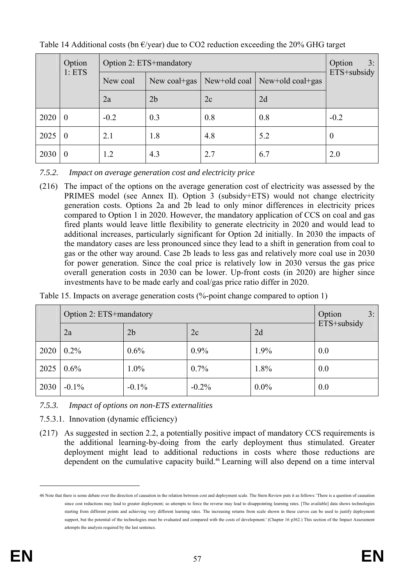|      | Option<br>1: ETS | Option 2: ETS+mandatory | 3:<br>Option<br>ETS+subsidy                         |     |     |                  |  |
|------|------------------|-------------------------|-----------------------------------------------------|-----|-----|------------------|--|
|      |                  | New coal                | New+old coal   New+old coal+gas<br>New coal $+$ gas |     |     |                  |  |
|      |                  | 2a                      | 2 <sub>b</sub>                                      | 2c  | 2d  |                  |  |
| 2020 | $\theta$         | $-0.2$                  | 0.3                                                 | 0.8 | 0.8 | $-0.2$           |  |
| 2025 | $\overline{0}$   | 2.1                     | 1.8                                                 | 4.8 | 5.2 | $\boldsymbol{0}$ |  |
| 2030 | $\overline{0}$   | 1.2                     | 4.3                                                 | 2.7 | 6.7 | 2.0              |  |

Table 14 Additional costs (bn  $\epsilon$ /year) due to CO2 reduction exceeding the 20% GHG target

*7.5.2. Impact on average generation cost and electricity price* 

(216) The impact of the options on the average generation cost of electricity was assessed by the PRIMES model (see Annex II). Option 3 (subsidy+ETS) would not change electricity generation costs. Options 2a and 2b lead to only minor differences in electricity prices compared to Option 1 in 2020. However, the mandatory application of CCS on coal and gas fired plants would leave little flexibility to generate electricity in 2020 and would lead to additional increases, particularly significant for Option 2d initially. In 2030 the impacts of the mandatory cases are less pronounced since they lead to a shift in generation from coal to gas or the other way around. Case 2b leads to less gas and relatively more coal use in 2030 for power generation. Since the coal price is relatively low in 2030 versus the gas price overall generation costs in 2030 can be lower. Up-front costs (in 2020) are higher since investments have to be made early and coal/gas price ratio differ in 2020.

| Table 15. Impacts on average generation costs (%-point change compared to option 1) |  |  |  |
|-------------------------------------------------------------------------------------|--|--|--|
|-------------------------------------------------------------------------------------|--|--|--|

|      | Option 2: ETS+mandatory | Option<br>3:   |          |         |             |
|------|-------------------------|----------------|----------|---------|-------------|
|      | 2a                      | 2 <sub>b</sub> | 2c       | 2d      | ETS+subsidy |
| 2020 | $0.2\%$                 | 0.6%           | $0.9\%$  | 1.9%    | 0.0         |
| 2025 | $0.6\%$                 | $1.0\%$        | $0.7\%$  | 1.8%    | 0.0         |
| 2030 | $-0.1\%$                | $-0.1\%$       | $-0.2\%$ | $0.0\%$ | 0.0         |

*7.5.3. Impact of options on non-ETS externalities* 

7.5.3.1. Innovation (dynamic efficiency)

(217) As suggested in section 2.2, a potentially positive impact of mandatory CCS requirements is the additional learning-by-doing from the early deployment thus stimulated. Greater deployment might lead to additional reductions in costs where those reductions are dependent on the cumulative capacity build.46 Learning will also depend on a time interval

<u>.</u>

<sup>46</sup> Note that there is some debate over the direction of causation in the relation between cost and deployment scale. The Stern Review puts it as follows: 'There is a question of causation since cost reductions may lead to greater deployment; so attempts to force the reverse may lead to disappointing learning rates. [The available] data shows technologies starting from different points and achieving very different learning rates. The increasing returns from scale shown in these curves can be used to justify deployment support, but the potential of the technologies must be evaluated and compared with the costs of development.' (Chapter 16 p362) This section of the Impact Assessment attempts the analysis required by the last sentence.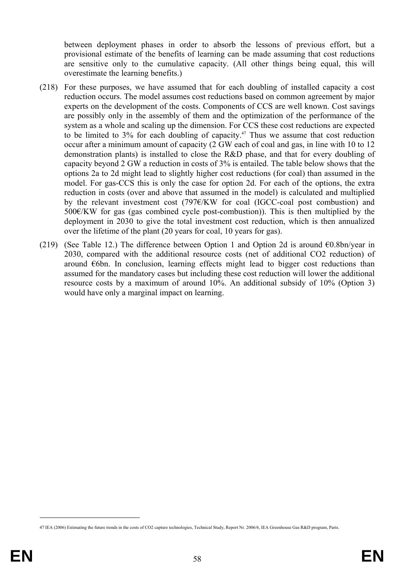between deployment phases in order to absorb the lessons of previous effort, but a provisional estimate of the benefits of learning can be made assuming that cost reductions are sensitive only to the cumulative capacity. (All other things being equal, this will overestimate the learning benefits.)

- (218) For these purposes, we have assumed that for each doubling of installed capacity a cost reduction occurs. The model assumes cost reductions based on common agreement by major experts on the development of the costs. Components of CCS are well known. Cost savings are possibly only in the assembly of them and the optimization of the performance of the system as a whole and scaling up the dimension. For CCS these cost reductions are expected to be limited to  $3\%$  for each doubling of capacity.<sup>47</sup> Thus we assume that cost reduction occur after a minimum amount of capacity (2 GW each of coal and gas, in line with 10 to 12 demonstration plants) is installed to close the R&D phase, and that for every doubling of capacity beyond 2 GW a reduction in costs of 3% is entailed. The table below shows that the options 2a to 2d might lead to slightly higher cost reductions (for coal) than assumed in the model. For gas-CCS this is only the case for option 2d. For each of the options, the extra reduction in costs (over and above that assumed in the model) is calculated and multiplied by the relevant investment cost (797€/KW for coal (IGCC-coal post combustion) and 500€/KW for gas (gas combined cycle post-combustion)). This is then multiplied by the deployment in 2030 to give the total investment cost reduction, which is then annualized over the lifetime of the plant (20 years for coal, 10 years for gas).
- (219) (See Table 12.) The difference between Option 1 and Option 2d is around  $\epsilon$ 0.8bn/year in 2030, compared with the additional resource costs (net of additional CO2 reduction) of around  $\epsilon$ 6bn. In conclusion, learning effects might lead to bigger cost reductions than assumed for the mandatory cases but including these cost reduction will lower the additional resource costs by a maximum of around 10%. An additional subsidy of 10% (Option 3) would have only a marginal impact on learning.

<sup>47</sup> IEA (2006) Estimating the future trends in the costs of CO2 capture technologies, Technical Study, Report Nr. 2006/6, IEA Greenhouse Gas R&D program, Paris.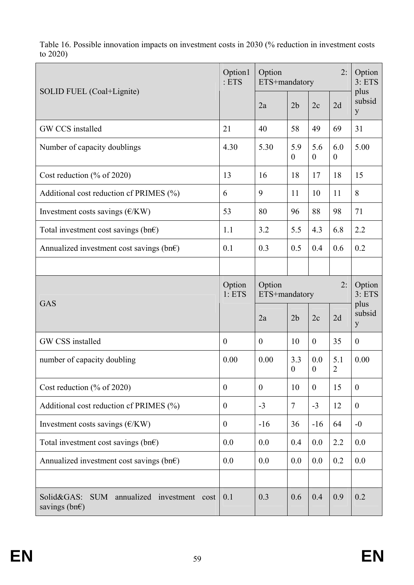Table 16. Possible innovation impacts on investment costs in 2030 (% reduction in investment costs to 2020)

|                                                                                    | Option1<br>: ETS | 2:<br>Option<br>ETS+mandatory |                         |                         |                         | Option<br>3: ETS<br>plus |
|------------------------------------------------------------------------------------|------------------|-------------------------------|-------------------------|-------------------------|-------------------------|--------------------------|
| SOLID FUEL (Coal+Lignite)                                                          |                  | 2a                            | 2 <sub>b</sub>          | 2c                      | 2d                      | subsid<br>y              |
| GW CCS installed                                                                   | 21               | 40                            | 58                      | 49                      | 69                      | 31                       |
| Number of capacity doublings                                                       | 4.30             | 5.30                          | 5.9<br>$\theta$         | 5.6<br>$\theta$         | 6.0<br>$\boldsymbol{0}$ | 5.00                     |
| Cost reduction $(\%$ of 2020)                                                      | 13               | 16                            | 18                      | 17                      | 18                      | 15                       |
| Additional cost reduction of PRIMES (%)                                            | 6                | 9                             | 11                      | 10                      | 11                      | 8                        |
| Investment costs savings $(E/KW)$                                                  | 53               | 80                            | 96                      | 88                      | 98                      | 71                       |
| Total investment cost savings (bn $\epsilon$ )                                     | 1.1              | 3.2                           | 5.5                     | 4.3                     | 6.8                     | 2.2                      |
| Annualized investment cost savings (bn $\epsilon$ )                                | 0.1              | 0.3                           | 0.5                     | 0.4                     | 0.6                     | 0.2                      |
|                                                                                    |                  |                               |                         |                         |                         |                          |
| GAS                                                                                | Option<br>1:ETS  | 2:<br>Option<br>ETS+mandatory |                         |                         | Option<br>3: ETS        |                          |
|                                                                                    |                  | 2a                            | 2 <sub>b</sub>          | 2c                      | 2d                      | plus<br>subsid<br>y      |
| GW CSS installed                                                                   | $\overline{0}$   | $\mathbf{0}$                  | 10                      | $\boldsymbol{0}$        | 35                      | $\overline{0}$           |
| number of capacity doubling                                                        | 0.00             | 0.00                          | 3.3<br>$\boldsymbol{0}$ | 0.0<br>$\boldsymbol{0}$ | 5.1<br>$\overline{2}$   | 0.00                     |
| Cost reduction $(\%$ of 2020)                                                      | $\overline{0}$   | $\mathbf{0}$                  | 10                      | $\boldsymbol{0}$        | 15                      | $\overline{0}$           |
| Additional cost reduction of PRIMES (%)                                            | $\boldsymbol{0}$ | $-3$                          | $\overline{7}$          | $-3$                    | 12                      | $\boldsymbol{0}$         |
| Investment costs savings $(E/KW)$                                                  | $\boldsymbol{0}$ | $-16$                         | 36                      | $-16$                   | 64                      | $-0$                     |
| Total investment cost savings (bn $\epsilon$ )                                     | 0.0              | 0.0                           | 0.4                     | 0.0                     | 2.2                     | 0.0                      |
| Annualized investment cost savings (bn $\epsilon$ )                                | 0.0              | 0.0                           | 0.0                     | 0.0                     | 0.2                     | 0.0                      |
|                                                                                    |                  |                               |                         |                         |                         |                          |
| Solid&GAS:<br><b>SUM</b><br>annualized investment cost<br>savings (bn $\epsilon$ ) | 0.1              | 0.3                           | 0.6                     | 0.4                     | 0.9                     | 0.2                      |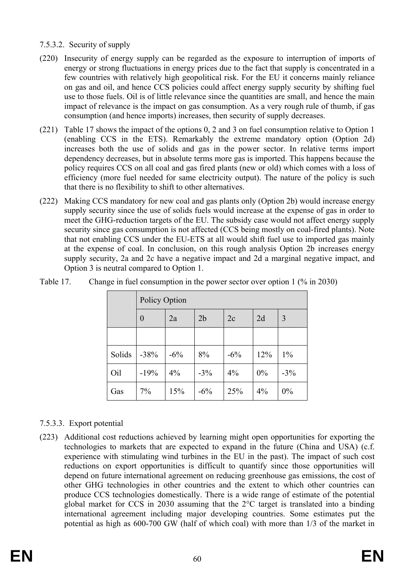# 7.5.3.2. Security of supply

- (220) Insecurity of energy supply can be regarded as the exposure to interruption of imports of energy or strong fluctuations in energy prices due to the fact that supply is concentrated in a few countries with relatively high geopolitical risk. For the EU it concerns mainly reliance on gas and oil, and hence CCS policies could affect energy supply security by shifting fuel use to those fuels. Oil is of little relevance since the quantities are small, and hence the main impact of relevance is the impact on gas consumption. As a very rough rule of thumb, if gas consumption (and hence imports) increases, then security of supply decreases.
- (221) Table 17 shows the impact of the options 0, 2 and 3 on fuel consumption relative to Option 1 (enabling CCS in the ETS). Remarkably the extreme mandatory option (Option 2d) increases both the use of solids and gas in the power sector. In relative terms import dependency decreases, but in absolute terms more gas is imported. This happens because the policy requires CCS on all coal and gas fired plants (new or old) which comes with a loss of efficiency (more fuel needed for same electricity output). The nature of the policy is such that there is no flexibility to shift to other alternatives.
- (222) Making CCS mandatory for new coal and gas plants only (Option 2b) would increase energy supply security since the use of solids fuels would increase at the expense of gas in order to meet the GHG-reduction targets of the EU. The subsidy case would not affect energy supply security since gas consumption is not affected (CCS being mostly on coal-fired plants). Note that not enabling CCS under the EU-ETS at all would shift fuel use to imported gas mainly at the expense of coal. In conclusion, on this rough analysis Option 2b increases energy supply security, 2a and 2c have a negative impact and 2d a marginal negative impact, and Option 3 is neutral compared to Option 1.

|        | Policy Option    |        |                |        |     |       |  |  |  |  |
|--------|------------------|--------|----------------|--------|-----|-------|--|--|--|--|
|        | $\boldsymbol{0}$ | 2a     | 2 <sub>b</sub> | 2c     | 2d  | 3     |  |  |  |  |
|        |                  |        |                |        |     |       |  |  |  |  |
| Solids | $-38%$           | $-6\%$ | 8%             | $-6\%$ | 12% | $1\%$ |  |  |  |  |
| Oil    | $-19%$           | $4\%$  | $-3%$          | 4%     | 0%  | $-3%$ |  |  |  |  |
| Gas    | 7%               | 15%    | $-6\%$         | 25%    | 4%  | 0%    |  |  |  |  |

Table 17. Change in fuel consumption in the power sector over option 1 (% in 2030)

# 7.5.3.3. Export potential

(223) Additional cost reductions achieved by learning might open opportunities for exporting the technologies to markets that are expected to expand in the future (China and USA) (c.f. experience with stimulating wind turbines in the EU in the past). The impact of such cost reductions on export opportunities is difficult to quantify since those opportunities will depend on future international agreement on reducing greenhouse gas emissions, the cost of other GHG technologies in other countries and the extent to which other countries can produce CCS technologies domestically. There is a wide range of estimate of the potential global market for CCS in 2030 assuming that the 2°C target is translated into a binding international agreement including major developing countries. Some estimates put the potential as high as 600-700 GW (half of which coal) with more than 1/3 of the market in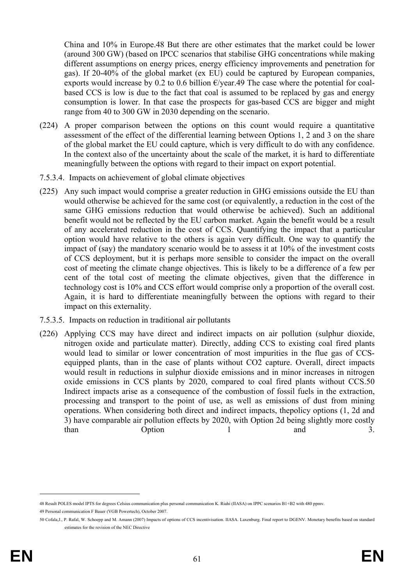China and 10% in Europe.48 But there are other estimates that the market could be lower (around 300 GW) (based on IPCC scenarios that stabilise GHG concentrations while making different assumptions on energy prices, energy efficiency improvements and penetration for gas). If 20-40% of the global market (ex EU) could be captured by European companies, exports would increase by 0.2 to 0.6 billion  $E$ /year.49 The case where the potential for coalbased CCS is low is due to the fact that coal is assumed to be replaced by gas and energy consumption is lower. In that case the prospects for gas-based CCS are bigger and might range from 40 to 300 GW in 2030 depending on the scenario.

- (224) A proper comparison between the options on this count would require a quantitative assessment of the effect of the differential learning between Options 1, 2 and 3 on the share of the global market the EU could capture, which is very difficult to do with any confidence. In the context also of the uncertainty about the scale of the market, it is hard to differentiate meaningfully between the options with regard to their impact on export potential.
- 7.5.3.4. Impacts on achievement of global climate objectives
- (225) Any such impact would comprise a greater reduction in GHG emissions outside the EU than would otherwise be achieved for the same cost (or equivalently, a reduction in the cost of the same GHG emissions reduction that would otherwise be achieved). Such an additional benefit would not be reflected by the EU carbon market. Again the benefit would be a result of any accelerated reduction in the cost of CCS. Quantifying the impact that a particular option would have relative to the others is again very difficult. One way to quantify the impact of (say) the mandatory scenario would be to assess it at 10% of the investment costs of CCS deployment, but it is perhaps more sensible to consider the impact on the overall cost of meeting the climate change objectives. This is likely to be a difference of a few per cent of the total cost of meeting the climate objectives, given that the difference in technology cost is 10% and CCS effort would comprise only a proportion of the overall cost. Again, it is hard to differentiate meaningfully between the options with regard to their impact on this externality.
- 7.5.3.5. Impacts on reduction in traditional air pollutants
- (226) Applying CCS may have direct and indirect impacts on air pollution (sulphur dioxide, nitrogen oxide and particulate matter). Directly, adding CCS to existing coal fired plants would lead to similar or lower concentration of most impurities in the flue gas of CCSequipped plants, than in the case of plants without CO2 capture. Overall, direct impacts would result in reductions in sulphur dioxide emissions and in minor increases in nitrogen oxide emissions in CCS plants by 2020, compared to coal fired plants without CCS.50 Indirect impacts arise as a consequence of the combustion of fossil fuels in the extraction, processing and transport to the point of use, as well as emissions of dust from mining operations. When considering both direct and indirect impacts, thepolicy options (1, 2d and 3) have comparable air pollution effects by 2020, with Option 2d being slightly more costly than Option 1 and 3.

<sup>48</sup> Result POLES model IPTS for degrees Celsius communication plus personal communication K. Riahi (IIASA) on IPPC scenarios B1+B2 with 480 ppmv. 49 Personal communication F Bauer (VGB Powertech), October 2007.

<sup>50</sup> Cofala,J., P. Rafal, W. Schoepp and M. Amann (2007) Impacts of options of CCS incentivisation. IIASA. Laxenburg. Final report to DGENV. Monetary benefits based on standard estimates for the revision of the NEC Directive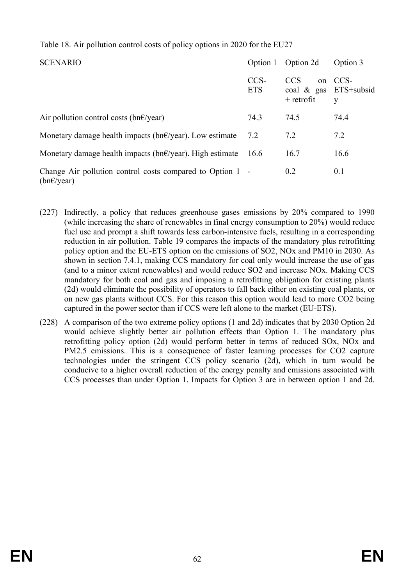## Table 18. Air pollution control costs of policy options in 2020 for the EU27

| <b>SCENARIO</b>                                                                     | Option 1           | Option 2d                                                         | Option 3  |
|-------------------------------------------------------------------------------------|--------------------|-------------------------------------------------------------------|-----------|
|                                                                                     | CCS-<br><b>ETS</b> | <b>CCS</b><br>$^{on}$<br>coal $\&$ gas ETS+subsid<br>$+$ retrofit | CCS-<br>y |
| Air pollution control costs (bn $\epsilon$ /year)                                   | 74.3               | 74.5                                                              | 74.4      |
| Monetary damage health impacts (bn $\epsilon$ /year). Low estimate                  | 7.2                | 7.2                                                               | 7.2       |
| Monetary damage health impacts ( $bn \in \forall$ year). High estimate              | 16.6               | 16.7                                                              | 16.6      |
| Change Air pollution control costs compared to Option 1 -<br>$(bn \in \sqrt{year})$ |                    | 0.2                                                               | 0.1       |

- (227) Indirectly, a policy that reduces greenhouse gases emissions by 20% compared to 1990 (while increasing the share of renewables in final energy consumption to 20%) would reduce fuel use and prompt a shift towards less carbon-intensive fuels, resulting in a corresponding reduction in air pollution. Table 19 compares the impacts of the mandatory plus retrofitting policy option and the EU-ETS option on the emissions of SO2, NOx and PM10 in 2030. As shown in section 7.4.1, making CCS mandatory for coal only would increase the use of gas (and to a minor extent renewables) and would reduce SO2 and increase NOx. Making CCS mandatory for both coal and gas and imposing a retrofitting obligation for existing plants (2d) would eliminate the possibility of operators to fall back either on existing coal plants, or on new gas plants without CCS. For this reason this option would lead to more CO2 being captured in the power sector than if CCS were left alone to the market (EU-ETS).
- (228) A comparison of the two extreme policy options (1 and 2d) indicates that by 2030 Option 2d would achieve slightly better air pollution effects than Option 1. The mandatory plus retrofitting policy option (2d) would perform better in terms of reduced SOx, NOx and PM2.5 emissions. This is a consequence of faster learning processes for CO2 capture technologies under the stringent CCS policy scenario (2d), which in turn would be conducive to a higher overall reduction of the energy penalty and emissions associated with CCS processes than under Option 1. Impacts for Option 3 are in between option 1 and 2d.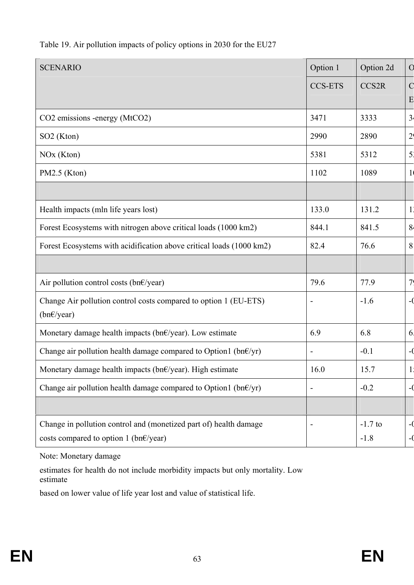| <b>SCENARIO</b>                                                                                                       | Option 1                     | Option 2d           | $\overline{O}$       |
|-----------------------------------------------------------------------------------------------------------------------|------------------------------|---------------------|----------------------|
|                                                                                                                       | <b>CCS-ETS</b>               | CCS2R               | $\mathcal{C}$        |
|                                                                                                                       |                              |                     | E                    |
| CO2 emissions -energy (MtCO2)                                                                                         | 3471                         | 3333                | 3 <sup>1</sup>       |
| SO <sub>2</sub> (Kton)                                                                                                | 2990                         | 2890                | 2 <sub>1</sub>       |
| NO <sub>x</sub> (Kton)                                                                                                | 5381                         | 5312                | 5 <sup>1</sup>       |
| PM2.5 (Kton)                                                                                                          | 1102                         | 1089                | $\frac{1}{2}$        |
|                                                                                                                       |                              |                     |                      |
| Health impacts (mln life years lost)                                                                                  | 133.0                        | 131.2               | 11                   |
| Forest Ecosystems with nitrogen above critical loads (1000 km2)                                                       | 844.1                        | 841.5               | 8 <sup>1</sup>       |
| Forest Ecosystems with acidification above critical loads (1000 km2)                                                  | 82.4                         | 76.6                | 8                    |
|                                                                                                                       |                              |                     |                      |
| Air pollution control costs (bn $\epsilon$ /year)                                                                     | 79.6                         | 77.9                | 7 <sub>1</sub>       |
| Change Air pollution control costs compared to option 1 (EU-ETS)<br>$(bn \in \text{year})$                            | $\qquad \qquad \blacksquare$ | $-1.6$              | $-$ (                |
| Monetary damage health impacts ( $bn \in \text{year}$ ). Low estimate                                                 | 6.9                          | 6.8                 | 6                    |
| Change air pollution health damage compared to Option1 (bn $\epsilon$ /yr)                                            | $\overline{\phantom{a}}$     | $-0.1$              | $ ($                 |
| Monetary damage health impacts (bn€/year). High estimate                                                              | 16.0                         | 15.7                | 1 <sub>1</sub><br>1, |
| Change air pollution health damage compared to Option1 (bn $\epsilon$ /yr)                                            | $\overline{\phantom{a}}$     | $-0.2$              | $ ($                 |
|                                                                                                                       |                              |                     |                      |
| Change in pollution control and (monetized part of) health damage<br>costs compared to option 1 (bn $\epsilon$ /year) |                              | $-1.7$ to<br>$-1.8$ | -0                   |

# Table 19. Air pollution impacts of policy options in 2030 for the EU27

Note: Monetary damage

estimates for health do not include morbidity impacts but only mortality. Low estimate

based on lower value of life year lost and value of statistical life.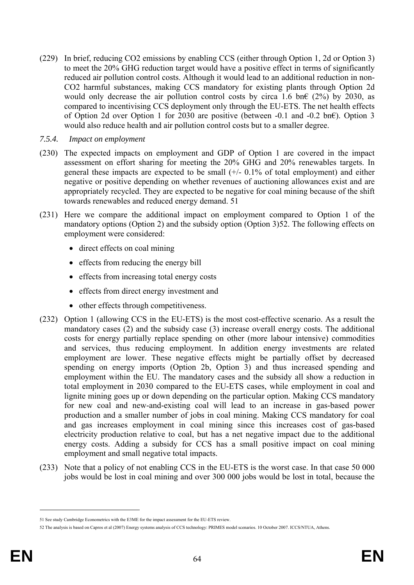- (229) In brief, reducing CO2 emissions by enabling CCS (either through Option 1, 2d or Option 3) to meet the 20% GHG reduction target would have a positive effect in terms of significantly reduced air pollution control costs. Although it would lead to an additional reduction in non-CO2 harmful substances, making CCS mandatory for existing plants through Option 2d would only decrease the air pollution control costs by circa 1.6 bn $\epsilon$  (2%) by 2030, as compared to incentivising CCS deployment only through the EU-ETS. The net health effects of Option 2d over Option 1 for 2030 are positive (between -0.1 and -0.2 bn€). Option 3 would also reduce health and air pollution control costs but to a smaller degree.
- *7.5.4. Impact on employment*
- (230) The expected impacts on employment and GDP of Option 1 are covered in the impact assessment on effort sharing for meeting the 20% GHG and 20% renewables targets. In general these impacts are expected to be small  $(+/- 0.1\%$  of total employment) and either negative or positive depending on whether revenues of auctioning allowances exist and are appropriately recycled. They are expected to be negative for coal mining because of the shift towards renewables and reduced energy demand. 51
- (231) Here we compare the additional impact on employment compared to Option 1 of the mandatory options (Option 2) and the subsidy option (Option 3)52. The following effects on employment were considered:
	- direct effects on coal mining
	- effects from reducing the energy bill
	- effects from increasing total energy costs
	- effects from direct energy investment and
	- other effects through competitiveness.
- (232) Option 1 (allowing CCS in the EU-ETS) is the most cost-effective scenario. As a result the mandatory cases (2) and the subsidy case (3) increase overall energy costs. The additional costs for energy partially replace spending on other (more labour intensive) commodities and services, thus reducing employment. In addition energy investments are related employment are lower. These negative effects might be partially offset by decreased spending on energy imports (Option 2b, Option 3) and thus increased spending and employment within the EU. The mandatory cases and the subsidy all show a reduction in total employment in 2030 compared to the EU-ETS cases, while employment in coal and lignite mining goes up or down depending on the particular option. Making CCS mandatory for new coal and new-and-existing coal will lead to an increase in gas-based power production and a smaller number of jobs in coal mining. Making CCS mandatory for coal and gas increases employment in coal mining since this increases cost of gas-based electricity production relative to coal, but has a net negative impact due to the additional energy costs. Adding a subsidy for CCS has a small positive impact on coal mining employment and small negative total impacts.
- (233) Note that a policy of not enabling CCS in the EU-ETS is the worst case. In that case 50 000 jobs would be lost in coal mining and over 300 000 jobs would be lost in total, because the

<u>.</u>

<sup>51</sup> See study Cambridge Econometrics with the E3ME for the impact assessment for the EU-ETS review.

<sup>52</sup> The analysis is based on Capros et al (2007) Energy systems analysis of CCS technology: PRIMES model scenarios. 10 October 2007. ICCS/NTUA, Athens.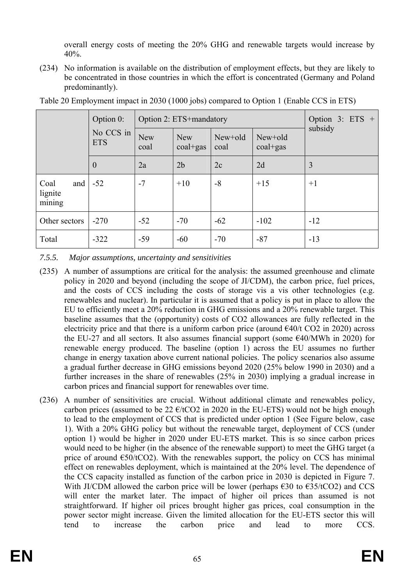overall energy costs of meeting the 20% GHG and renewable targets would increase by 40%.

(234) No information is available on the distribution of employment effects, but they are likely to be concentrated in those countries in which the effort is concentrated (Germany and Poland predominantly).

|                                  | Option 0:               |                    | Option 2: ETS+mandatory | Option 3: $ETS +$ |                       |         |  |
|----------------------------------|-------------------------|--------------------|-------------------------|-------------------|-----------------------|---------|--|
|                                  | No CCS in<br><b>ETS</b> | <b>New</b><br>coal | <b>New</b><br>coal+gas  | New+old<br>coal   | New+old<br>$coal+gas$ | subsidy |  |
|                                  | $\theta$                | 2a                 | 2 <sub>b</sub>          | 2c                | 2d                    | 3       |  |
| Coal<br>and<br>lignite<br>mining | $-52$                   | $-7$               | $+10$                   | $-8$              | $+15$                 | $+1$    |  |
| Other sectors                    | $-270$                  | $-52$              | $-70$                   | $-62$             | $-102$                | $-12$   |  |
| Total                            | $-322$                  | $-59$              | $-60$                   | $-70$             | $-87$                 | $-13$   |  |

Table 20 Employment impact in 2030 (1000 jobs) compared to Option 1 (Enable CCS in ETS)

*7.5.5. Major assumptions, uncertainty and sensitivities* 

- (235) A number of assumptions are critical for the analysis: the assumed greenhouse and climate policy in 2020 and beyond (including the scope of JI/CDM), the carbon price, fuel prices, and the costs of CCS including the costs of storage vis a vis other technologies (e.g. renewables and nuclear). In particular it is assumed that a policy is put in place to allow the EU to efficiently meet a 20% reduction in GHG emissions and a 20% renewable target. This baseline assumes that the (opportunity) costs of CO2 allowances are fully reflected in the electricity price and that there is a uniform carbon price (around  $\epsilon$ 40/t CO2 in 2020) across the EU-27 and all sectors. It also assumes financial support (some  $E40/MWh$  in 2020) for renewable energy produced. The baseline (option 1) across the EU assumes no further change in energy taxation above current national policies. The policy scenarios also assume a gradual further decrease in GHG emissions beyond 2020 (25% below 1990 in 2030) and a further increases in the share of renewables (25% in 2030) implying a gradual increase in carbon prices and financial support for renewables over time.
- (236) A number of sensitivities are crucial. Without additional climate and renewables policy, carbon prices (assumed to be 22  $\epsilon$ /tCO2 in 2020 in the EU-ETS) would not be high enough to lead to the employment of CCS that is predicted under option 1 (See Figure below, case 1). With a 20% GHG policy but without the renewable target, deployment of CCS (under option 1) would be higher in 2020 under EU-ETS market. This is so since carbon prices would need to be higher (in the absence of the renewable support) to meet the GHG target (a price of around  $\epsilon$ 50/tCO2). With the renewables support, the policy on CCS has minimal effect on renewables deployment, which is maintained at the 20% level. The dependence of the CCS capacity installed as function of the carbon price in 2030 is depicted in Figure 7. With JI/CDM allowed the carbon price will be lower (perhaps  $\epsilon$ 30 to  $\epsilon$ 35/tCO2) and CCS will enter the market later. The impact of higher oil prices than assumed is not straightforward. If higher oil prices brought higher gas prices, coal consumption in the power sector might increase. Given the limited allocation for the EU-ETS sector this will tend to increase the carbon price and lead to more CCS.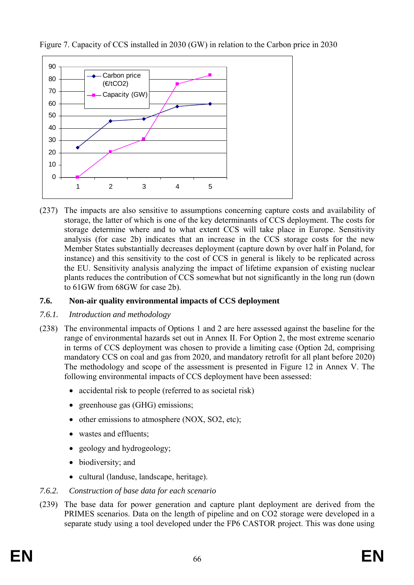

Figure 7. Capacity of CCS installed in 2030 (GW) in relation to the Carbon price in 2030

(237) The impacts are also sensitive to assumptions concerning capture costs and availability of storage, the latter of which is one of the key determinants of CCS deployment. The costs for storage determine where and to what extent CCS will take place in Europe. Sensitivity analysis (for case 2b) indicates that an increase in the CCS storage costs for the new Member States substantially decreases deployment (capture down by over half in Poland, for instance) and this sensitivity to the cost of CCS in general is likely to be replicated across the EU. Sensitivity analysis analyzing the impact of lifetime expansion of existing nuclear plants reduces the contribution of CCS somewhat but not significantly in the long run (down to 61GW from 68GW for case 2b).

# **7.6. Non-air quality environmental impacts of CCS deployment**

# *7.6.1. Introduction and methodology*

- (238) The environmental impacts of Options 1 and 2 are here assessed against the baseline for the range of environmental hazards set out in Annex II. For Option 2, the most extreme scenario in terms of CCS deployment was chosen to provide a limiting case (Option 2d, comprising mandatory CCS on coal and gas from 2020, and mandatory retrofit for all plant before 2020) The methodology and scope of the assessment is presented in Figure 12 in Annex V. The following environmental impacts of CCS deployment have been assessed:
	- accidental risk to people (referred to as societal risk)
	- greenhouse gas (GHG) emissions;
	- other emissions to atmosphere (NOX, SO2, etc);
	- wastes and effluents;
	- geology and hydrogeology;
	- biodiversity; and
	- cultural (landuse, landscape, heritage).
- *7.6.2. Construction of base data for each scenario*
- (239) The base data for power generation and capture plant deployment are derived from the PRIMES scenarios. Data on the length of pipeline and on CO2 storage were developed in a separate study using a tool developed under the FP6 CASTOR project. This was done using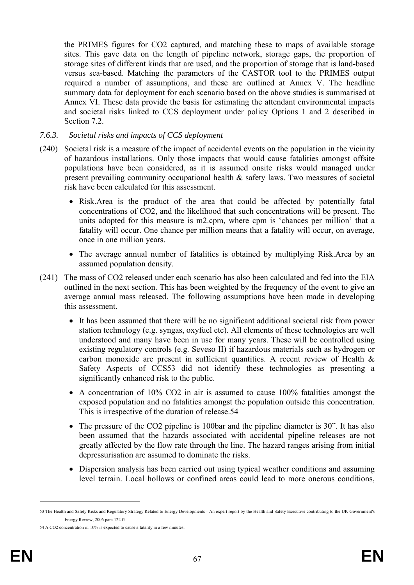the PRIMES figures for CO2 captured, and matching these to maps of available storage sites. This gave data on the length of pipeline network, storage gaps, the proportion of storage sites of different kinds that are used, and the proportion of storage that is land-based versus sea-based. Matching the parameters of the CASTOR tool to the PRIMES output required a number of assumptions, and these are outlined at Annex V. The headline summary data for deployment for each scenario based on the above studies is summarised at Annex VI. These data provide the basis for estimating the attendant environmental impacts and societal risks linked to CCS deployment under policy Options 1 and 2 described in Section 7.2.

#### *7.6.3. Societal risks and impacts of CCS deployment*

- (240) Societal risk is a measure of the impact of accidental events on the population in the vicinity of hazardous installations. Only those impacts that would cause fatalities amongst offsite populations have been considered, as it is assumed onsite risks would managed under present prevailing community occupational health & safety laws. Two measures of societal risk have been calculated for this assessment.
	- Risk.Area is the product of the area that could be affected by potentially fatal concentrations of CO2, and the likelihood that such concentrations will be present. The units adopted for this measure is m2.cpm, where cpm is 'chances per million' that a fatality will occur. One chance per million means that a fatality will occur, on average, once in one million years.
	- The average annual number of fatalities is obtained by multiplying Risk.Area by an assumed population density.
- (241) The mass of CO2 released under each scenario has also been calculated and fed into the EIA outlined in the next section. This has been weighted by the frequency of the event to give an average annual mass released. The following assumptions have been made in developing this assessment.
	- It has been assumed that there will be no significant additional societal risk from power station technology (e.g. syngas, oxyfuel etc). All elements of these technologies are well understood and many have been in use for many years. These will be controlled using existing regulatory controls (e.g. Seveso II) if hazardous materials such as hydrogen or carbon monoxide are present in sufficient quantities. A recent review of Health & Safety Aspects of CCS53 did not identify these technologies as presenting a significantly enhanced risk to the public.
	- A concentration of 10% CO2 in air is assumed to cause 100% fatalities amongst the exposed population and no fatalities amongst the population outside this concentration. This is irrespective of the duration of release.54
	- The pressure of the CO2 pipeline is 100bar and the pipeline diameter is 30". It has also been assumed that the hazards associated with accidental pipeline releases are not greatly affected by the flow rate through the line. The hazard ranges arising from initial depressurisation are assumed to dominate the risks.
	- Dispersion analysis has been carried out using typical weather conditions and assuming level terrain. Local hollows or confined areas could lead to more onerous conditions,

<sup>53</sup> The Health and Safety Risks and Regulatory Strategy Related to Energy Developments - An expert report by the Health and Safety Executive contributing to the UK Government's Energy Review, 2006 para 122 ff

<sup>54</sup> A CO2 concentration of 10% is expected to cause a fatality in a few minutes.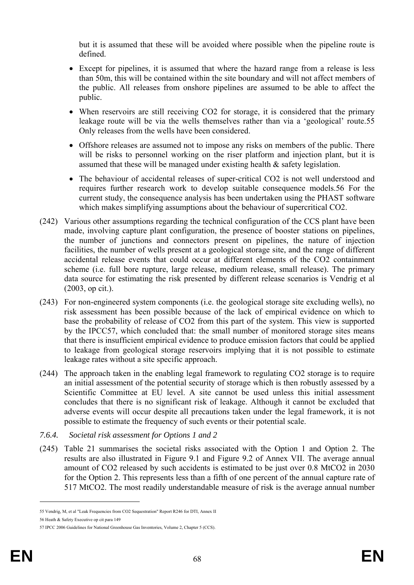but it is assumed that these will be avoided where possible when the pipeline route is defined.

- Except for pipelines, it is assumed that where the hazard range from a release is less than 50m, this will be contained within the site boundary and will not affect members of the public. All releases from onshore pipelines are assumed to be able to affect the public.
- When reservoirs are still receiving CO2 for storage, it is considered that the primary leakage route will be via the wells themselves rather than via a 'geological' route.55 Only releases from the wells have been considered.
- Offshore releases are assumed not to impose any risks on members of the public. There will be risks to personnel working on the riser platform and injection plant, but it is assumed that these will be managed under existing health & safety legislation.
- The behaviour of accidental releases of super-critical CO2 is not well understood and requires further research work to develop suitable consequence models.56 For the current study, the consequence analysis has been undertaken using the PHAST software which makes simplifying assumptions about the behaviour of supercritical CO2.
- (242) Various other assumptions regarding the technical configuration of the CCS plant have been made, involving capture plant configuration, the presence of booster stations on pipelines, the number of junctions and connectors present on pipelines, the nature of injection facilities, the number of wells present at a geological storage site, and the range of different accidental release events that could occur at different elements of the CO2 containment scheme (i.e. full bore rupture, large release, medium release, small release). The primary data source for estimating the risk presented by different release scenarios is Vendrig et al (2003, op cit.).
- (243) For non-engineered system components (i.e. the geological storage site excluding wells), no risk assessment has been possible because of the lack of empirical evidence on which to base the probability of release of CO2 from this part of the system. This view is supported by the IPCC57, which concluded that: the small number of monitored storage sites means that there is insufficient empirical evidence to produce emission factors that could be applied to leakage from geological storage reservoirs implying that it is not possible to estimate leakage rates without a site specific approach.
- (244) The approach taken in the enabling legal framework to regulating CO2 storage is to require an initial assessment of the potential security of storage which is then robustly assessed by a Scientific Committee at EU level. A site cannot be used unless this initial assessment concludes that there is no significant risk of leakage. Although it cannot be excluded that adverse events will occur despite all precautions taken under the legal framework, it is not possible to estimate the frequency of such events or their potential scale.
- *7.6.4. Societal risk assessment for Options 1 and 2*
- (245) Table 21 summarises the societal risks associated with the Option 1 and Option 2. The results are also illustrated in Figure 9.1 and Figure 9.2 of Annex VII. The average annual amount of CO2 released by such accidents is estimated to be just over 0.8 MtCO2 in 2030 for the Option 2. This represents less than a fifth of one percent of the annual capture rate of 517 MtCO2. The most readily understandable measure of risk is the average annual number

<sup>55</sup> Vendrig, M, et al "Leak Frequencies from CO2 Sequestration" Report R246 for DTI, Annex II

<sup>56</sup> Heath & Safety Executive op cit para 149

<sup>57</sup> IPCC 2006 Guidelines for National Greenhouse Gas Inventories, Volume 2, Chapter 5 (CCS).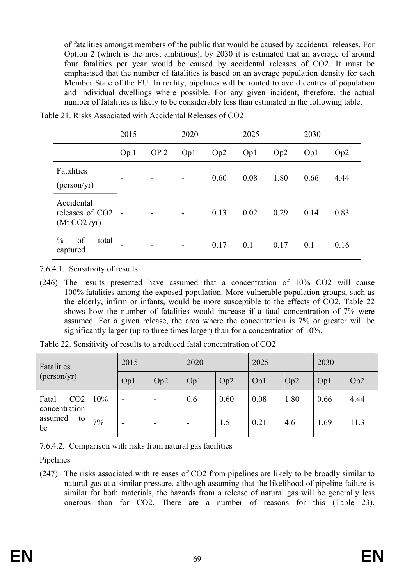of fatalities amongst members of the public that would be caused by accidental releases. For Option 2 (which is the most ambitious), by 2030 it is estimated that an average of around four fatalities per year would be caused by accidental releases of CO2. It must be emphasised that the number of fatalities is based on an average population density for each Member State of the EU. In reality, pipelines will be routed to avoid centres of population and individual dwellings where possible. For any given incident, therefore, the actual number of fatalities is likely to be considerably less than estimated in the following table.

|                                                            | 2015            |                 | 2020                     |      | 2025 |      | 2030 |                 |
|------------------------------------------------------------|-----------------|-----------------|--------------------------|------|------|------|------|-----------------|
|                                                            | Op <sub>1</sub> | OP <sub>2</sub> | Op1                      | Op2  | Op1  | Op2  | Op1  | Op <sub>2</sub> |
| Fatalities<br>(person/yr)                                  | -               |                 | -                        | 0.60 | 0.08 | 1.80 | 0.66 | 4.44            |
| Accidental<br>releases of CO <sub>2</sub> -<br>(Mt CO2/yr) |                 |                 |                          | 0.13 | 0.02 | 0.29 | 0.14 | 0.83            |
| $\frac{0}{0}$<br>of<br>total<br>captured                   |                 |                 | $\overline{\phantom{a}}$ | 0.17 | 0.1  | 0.17 | 0.1  | 0.16            |

Table 21. Risks Associated with Accidental Releases of CO2

7.6.4.1. Sensitivity of results

(246) The results presented have assumed that a concentration of 10% CO2 will cause 100% fatalities among the exposed population. More vulnerable population groups, such as the elderly, infirm or infants, would be more susceptible to the effects of CO2. Table 22 shows how the number of fatalities would increase if a fatal concentration of 7% were assumed. For a given release, the area where the concentration is 7% or greater will be significantly larger (up to three times larger) than for a concentration of 10%.

| Fatalities<br>(person/yr)                                        |     | 2015                     |     | 2020 |      | 2025 |      | 2030 |      |
|------------------------------------------------------------------|-----|--------------------------|-----|------|------|------|------|------|------|
|                                                                  |     | Op1                      | Op2 | Op1  | Op2  | Op1  | Op2  | Op1  | Op2  |
| CO <sub>2</sub><br>Fatal<br>concentration<br>assumed<br>to<br>be | 10% | -                        |     | 0.6  | 0.60 | 0.08 | 1.80 | 0.66 | 4.44 |
|                                                                  | 7%  | $\overline{\phantom{0}}$ | -   | -    | 1.5  | 0.21 | 4.6  | 1.69 | 11.3 |

Table 22. Sensitivity of results to a reduced fatal concentration of CO2

7.6.4.2. Comparison with risks from natural gas facilities

Pipelines

(247) The risks associated with releases of CO2 from pipelines are likely to be broadly similar to natural gas at a similar pressure, although assuming that the likelihood of pipeline failure is similar for both materials, the hazards from a release of natural gas will be generally less onerous than for CO2. There are a number of reasons for this (Table 23).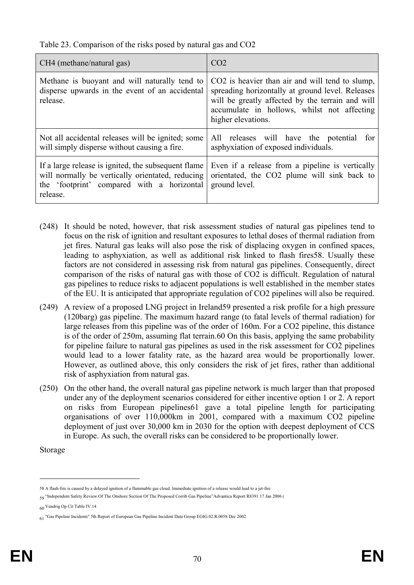Table 23. Comparison of the risks posed by natural gas and CO2

| CH4 (methane/natural gas)                                                                                                                                         | CO <sub>2</sub>                                                                                                                                                                                                              |
|-------------------------------------------------------------------------------------------------------------------------------------------------------------------|------------------------------------------------------------------------------------------------------------------------------------------------------------------------------------------------------------------------------|
| Methane is buoyant and will naturally tend to<br>disperse upwards in the event of an accidental<br>release.                                                       | CO2 is heavier than air and will tend to slump,<br>spreading horizontally at ground level. Releases<br>will be greatly affected by the terrain and will<br>accumulate in hollows, whilst not affecting<br>higher elevations. |
| Not all accidental releases will be ignited; some<br>will simply disperse without causing a fire.                                                                 | All releases will have the potential<br>for<br>asphyxiation of exposed individuals.                                                                                                                                          |
| If a large release is ignited, the subsequent flame<br>will normally be vertically orientated, reducing<br>the 'footprint' compared with a horizontal<br>release. | Even if a release from a pipeline is vertically<br>orientated, the CO2 plume will sink back to<br>ground level.                                                                                                              |

- (248) It should be noted, however, that risk assessment studies of natural gas pipelines tend to focus on the risk of ignition and resultant exposures to lethal doses of thermal radiation from jet fires. Natural gas leaks will also pose the risk of displacing oxygen in confined spaces, leading to asphyxiation, as well as additional risk linked to flash fires58. Usually these factors are not considered in assessing risk from natural gas pipelines. Consequently, direct comparison of the risks of natural gas with those of CO2 is difficult. Regulation of natural gas pipelines to reduce risks to adjacent populations is well established in the member states of the EU. It is anticipated that appropriate regulation of CO2 pipelines will also be required.
- (249) A review of a proposed LNG project in Ireland59 presented a risk profile for a high pressure (120barg) gas pipeline. The maximum hazard range (to fatal levels of thermal radiation) for large releases from this pipeline was of the order of 160m. For a CO2 pipeline, this distance is of the order of 250m, assuming flat terrain.60 On this basis, applying the same probability for pipeline failure to natural gas pipelines as used in the risk assessment for CO2 pipelines would lead to a lower fatality rate, as the hazard area would be proportionally lower. However, as outlined above, this only considers the risk of jet fires, rather than additional risk of asphyxiation from natural gas.
- (250) On the other hand, the overall natural gas pipeline network is much larger than that proposed under any of the deployment scenarios considered for either incentive option 1 or 2. A report on risks from European pipelines61 gave a total pipeline length for participating organisations of over 110,000km in 2001, compared with a maximum CO2 pipeline deployment of just over 30,000 km in 2030 for the option with deepest deployment of CCS in Europe. As such, the overall risks can be considered to be proportionally lower.

Storage

<u>.</u>

<sup>58</sup> A flash-fire is caused by a delayed ignition of a flammable gas cloud. Immediate ignition of a release would lead to a jet-fire

<sup>59 &</sup>quot;Independent Safety Review Of The Onshore Section Of The Proposed Corrib Gas Pipeline"Advantica Report R8391 17 Jan 2006 (

<sup>60</sup> Vendrig Op Cit Table IV.14

<sup>61 &</sup>quot;Gas Pipeline Incidents" 5th Report of European Gas Pipeline Incident Data Group EGIG.02.R.0058 Dec 2002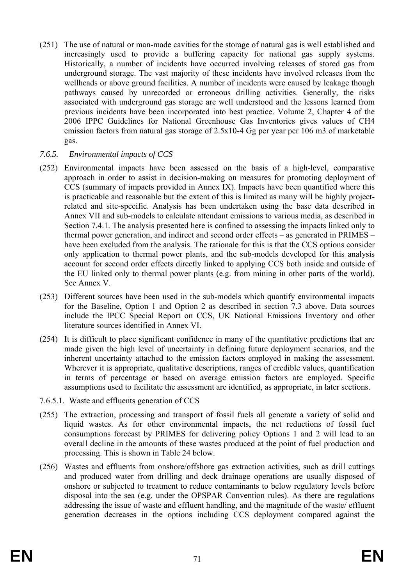(251) The use of natural or man-made cavities for the storage of natural gas is well established and increasingly used to provide a buffering capacity for national gas supply systems. Historically, a number of incidents have occurred involving releases of stored gas from underground storage. The vast majority of these incidents have involved releases from the wellheads or above ground facilities. A number of incidents were caused by leakage though pathways caused by unrecorded or erroneous drilling activities. Generally, the risks associated with underground gas storage are well understood and the lessons learned from previous incidents have been incorporated into best practice. Volume 2, Chapter 4 of the 2006 IPPC Guidelines for National Greenhouse Gas Inventories gives values of CH4 emission factors from natural gas storage of 2.5x10-4 Gg per year per 106 m3 of marketable gas.

### *7.6.5. Environmental impacts of CCS*

- (252) Environmental impacts have been assessed on the basis of a high-level, comparative approach in order to assist in decision-making on measures for promoting deployment of CCS (summary of impacts provided in Annex IX). Impacts have been quantified where this is practicable and reasonable but the extent of this is limited as many will be highly projectrelated and site-specific. Analysis has been undertaken using the base data described in Annex VII and sub-models to calculate attendant emissions to various media, as described in Section 7.4.1. The analysis presented here is confined to assessing the impacts linked only to thermal power generation, and indirect and second order effects – as generated in PRIMES – have been excluded from the analysis. The rationale for this is that the CCS options consider only application to thermal power plants, and the sub-models developed for this analysis account for second order effects directly linked to applying CCS both inside and outside of the EU linked only to thermal power plants (e.g. from mining in other parts of the world). See Annex V.
- (253) Different sources have been used in the sub-models which quantify environmental impacts for the Baseline, Option 1 and Option 2 as described in section 7.3 above. Data sources include the IPCC Special Report on CCS, UK National Emissions Inventory and other literature sources identified in Annex VI.
- (254) It is difficult to place significant confidence in many of the quantitative predictions that are made given the high level of uncertainty in defining future deployment scenarios, and the inherent uncertainty attached to the emission factors employed in making the assessment. Wherever it is appropriate, qualitative descriptions, ranges of credible values, quantification in terms of percentage or based on average emission factors are employed. Specific assumptions used to facilitate the assessment are identified, as appropriate, in later sections.
- 7.6.5.1. Waste and effluents generation of CCS
- (255) The extraction, processing and transport of fossil fuels all generate a variety of solid and liquid wastes. As for other environmental impacts, the net reductions of fossil fuel consumptions forecast by PRIMES for delivering policy Options 1 and 2 will lead to an overall decline in the amounts of these wastes produced at the point of fuel production and processing. This is shown in Table 24 below.
- (256) Wastes and effluents from onshore/offshore gas extraction activities, such as drill cuttings and produced water from drilling and deck drainage operations are usually disposed of onshore or subjected to treatment to reduce contaminants to below regulatory levels before disposal into the sea (e.g. under the OPSPAR Convention rules). As there are regulations addressing the issue of waste and effluent handling, and the magnitude of the waste/ effluent generation decreases in the options including CCS deployment compared against the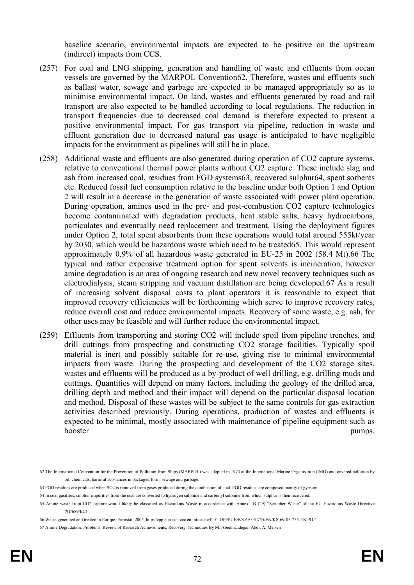baseline scenario, environmental impacts are expected to be positive on the upstream (indirect) impacts from CCS.

- (257) For coal and LNG shipping, generation and handling of waste and effluents from ocean vessels are governed by the MARPOL Convention62. Therefore, wastes and effluents such as ballast water, sewage and garbage are expected to be managed appropriately so as to minimise environmental impact. On land, wastes and effluents generated by road and rail transport are also expected to be handled according to local regulations. The reduction in transport frequencies due to decreased coal demand is therefore expected to present a positive environmental impact. For gas transport via pipeline, reduction in waste and effluent generation due to decreased natural gas usage is anticipated to have negligible impacts for the environment as pipelines will still be in place.
- (258) Additional waste and effluents are also generated during operation of CO2 capture systems, relative to conventional thermal power plants without CO2 capture. These include slag and ash from increased coal, residues from FGD systems63, recovered sulphur64, spent sorbents etc. Reduced fossil fuel consumption relative to the baseline under both Option 1 and Option 2 will result in a decrease in the generation of waste associated with power plant operation. During operation, amines used in the pre- and post-combustion CO2 capture technologies become contaminated with degradation products, heat stable salts, heavy hydrocarbons, particulates and eventually need replacement and treatment. Using the deployment figures under Option 2, total spent absorbents from these operations would total around 555kt/year by 2030, which would be hazardous waste which need to be treated65. This would represent approximately 0.9% of all hazardous waste generated in EU-25 in 2002 (58.4 Mt).66 The typical and rather expensive treatment option for spent solvents is incineration, however amine degradation is an area of ongoing research and new novel recovery techniques such as electrodialysis, steam stripping and vacuum distillation are being developed.67 As a result of increasing solvent disposal costs to plant operators it is reasonable to expect that improved recovery efficiencies will be forthcoming which serve to improve recovery rates, reduce overall cost and reduce environmental impacts. Recovery of some waste, e.g. ash, for other uses may be feasible and will further reduce the environmental impact.
- (259) Effluents from transporting and storing CO2 will include spoil from pipeline trenches, and drill cuttings from prospecting and constructing CO2 storage facilities. Typically spoil material is inert and possibly suitable for re-use, giving rise to minimal environmental impacts from waste. During the prospecting and development of the CO2 storage sites, wastes and effluents will be produced as a by-product of well drilling, e.g. drilling muds and cuttings. Quantities will depend on many factors, including the geology of the drilled area, drilling depth and method and their impact will depend on the particular disposal location and method. Disposal of these wastes will be subject to the same controls for gas extraction activities described previously. During operations, production of wastes and effluents is expected to be minimal, mostly associated with maintenance of pipeline equipment such as booster pumps.

<u>.</u>

<sup>62</sup> The International Convention for the Prevention of Pollution from Ships (MARPOL) was adopted in 1973 at the International Marine Organisation (IMO) and covered pollution by oil, chemicals, harmful substances in packaged form, sewage and garbage.

<sup>63</sup> FGD residues are produced when SO2 is removed from gases produced during the combustion of coal. FGD residues are composed mainly of gypsum.

<sup>64</sup> In coal gasifiers, sulphur impurities from the coal are converted to hydrogen sulphide and carbonyl sulphide from which sulphur is then recovered.

<sup>65</sup> Amine waste from CO2 capture would likely be classified as Hazardous Waste in accordance with Annex I.B (29) "Scrubber Waste" of the EU Hazardous Waste Directive (91/689/EC)

<sup>66</sup> Waste generated and treated in Europe, Eurostat, 2005, http://epp.eurostat.cec.eu.int/cache/ITY\_OFFPUB/KS-69-05-755/EN/KS-69-05-755-EN.PDF

<sup>67</sup> Amine Degradation: Problems, Review of Research Achievements, Recovery Techniques By M. Abedinzadegan Abdi, A. Meisen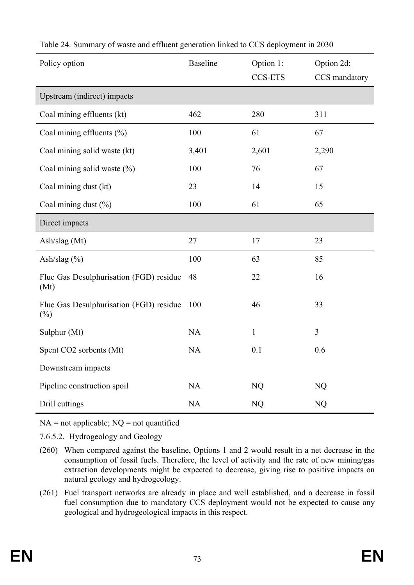| Policy option                                     | <b>Baseline</b> | Option 1:<br><b>CCS-ETS</b> | Option 2d:<br>CCS mandatory |
|---------------------------------------------------|-----------------|-----------------------------|-----------------------------|
| Upstream (indirect) impacts                       |                 |                             |                             |
| Coal mining effluents (kt)                        | 462             | 280                         | 311                         |
| Coal mining effluents $(\% )$                     | 100             | 61                          | 67                          |
| Coal mining solid waste (kt)                      | 3,401           | 2,601                       | 2,290                       |
| Coal mining solid waste (%)                       | 100             | 76                          | 67                          |
| Coal mining dust (kt)                             | 23              | 14                          | 15                          |
| Coal mining dust $(\% )$                          | 100             | 61                          | 65                          |
| Direct impacts                                    |                 |                             |                             |
| Ash/slag (Mt)                                     | 27              | 17                          | 23                          |
| Ash/slag $(\% )$                                  | 100             | 63                          | 85                          |
| Flue Gas Desulphurisation (FGD) residue<br>(Mt)   | 48              | 22                          | 16                          |
| Flue Gas Desulphurisation (FGD) residue<br>$(\%)$ | 100             | 46                          | 33                          |
| Sulphur (Mt)                                      | NA              | $\mathbf{1}$                | $\overline{3}$              |
| Spent CO2 sorbents (Mt)                           | NA              | 0.1                         | 0.6                         |
| Downstream impacts                                |                 |                             |                             |
| Pipeline construction spoil                       | NA              | NQ                          | NQ                          |
| Drill cuttings                                    | NA              | NQ                          | NQ                          |

Table 24. Summary of waste and effluent generation linked to CCS deployment in 2030

 $NA = not applicable; NO = not quantified$ 

7.6.5.2. Hydrogeology and Geology

- (260) When compared against the baseline, Options 1 and 2 would result in a net decrease in the consumption of fossil fuels. Therefore, the level of activity and the rate of new mining/gas extraction developments might be expected to decrease, giving rise to positive impacts on natural geology and hydrogeology.
- (261) Fuel transport networks are already in place and well established, and a decrease in fossil fuel consumption due to mandatory CCS deployment would not be expected to cause any geological and hydrogeological impacts in this respect.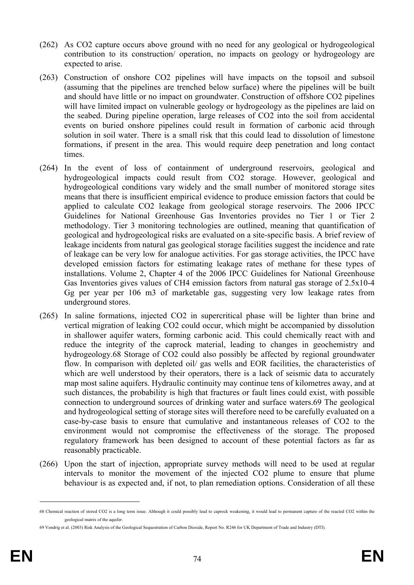- (262) As CO2 capture occurs above ground with no need for any geological or hydrogeological contribution to its construction/ operation, no impacts on geology or hydrogeology are expected to arise.
- (263) Construction of onshore CO2 pipelines will have impacts on the topsoil and subsoil (assuming that the pipelines are trenched below surface) where the pipelines will be built and should have little or no impact on groundwater. Construction of offshore CO2 pipelines will have limited impact on vulnerable geology or hydrogeology as the pipelines are laid on the seabed. During pipeline operation, large releases of CO2 into the soil from accidental events on buried onshore pipelines could result in formation of carbonic acid through solution in soil water. There is a small risk that this could lead to dissolution of limestone formations, if present in the area. This would require deep penetration and long contact times.
- (264) In the event of loss of containment of underground reservoirs, geological and hydrogeological impacts could result from CO2 storage. However, geological and hydrogeological conditions vary widely and the small number of monitored storage sites means that there is insufficient empirical evidence to produce emission factors that could be applied to calculate CO2 leakage from geological storage reservoirs. The 2006 IPCC Guidelines for National Greenhouse Gas Inventories provides no Tier 1 or Tier 2 methodology. Tier 3 monitoring technologies are outlined, meaning that quantification of geological and hydrogeological risks are evaluated on a site-specific basis. A brief review of leakage incidents from natural gas geological storage facilities suggest the incidence and rate of leakage can be very low for analogue activities. For gas storage activities, the IPCC have developed emission factors for estimating leakage rates of methane for these types of installations. Volume 2, Chapter 4 of the 2006 IPCC Guidelines for National Greenhouse Gas Inventories gives values of CH4 emission factors from natural gas storage of 2.5x10-4 Gg per year per 106 m3 of marketable gas, suggesting very low leakage rates from underground stores.
- (265) In saline formations, injected CO2 in supercritical phase will be lighter than brine and vertical migration of leaking CO2 could occur, which might be accompanied by dissolution in shallower aquifer waters, forming carbonic acid. This could chemically react with and reduce the integrity of the caprock material, leading to changes in geochemistry and hydrogeology.68 Storage of CO2 could also possibly be affected by regional groundwater flow. In comparison with depleted oil/ gas wells and EOR facilities, the characteristics of which are well understood by their operators, there is a lack of seismic data to accurately map most saline aquifers. Hydraulic continuity may continue tens of kilometres away, and at such distances, the probability is high that fractures or fault lines could exist, with possible connection to underground sources of drinking water and surface waters.69 The geological and hydrogeological setting of storage sites will therefore need to be carefully evaluated on a case-by-case basis to ensure that cumulative and instantaneous releases of CO2 to the environment would not compromise the effectiveness of the storage. The proposed regulatory framework has been designed to account of these potential factors as far as reasonably practicable.
- (266) Upon the start of injection, appropriate survey methods will need to be used at regular intervals to monitor the movement of the injected CO2 plume to ensure that plume behaviour is as expected and, if not, to plan remediation options. Consideration of all these

1

<sup>68</sup> Chemical reaction of stored CO2 is a long term issue. Although it could possibly lead to caprock weakening, it would lead to permanent capture of the reacted CO2 within the geological matrix of the aquifer

<sup>69</sup> Vendrig et al. (2003) Risk Analysis of the Geological Sequestration of Carbon Dioxide, Report No. R246 for UK Department of Trade and Industry (DTI).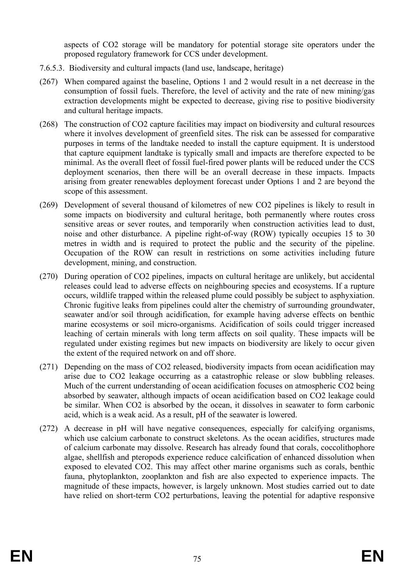aspects of CO2 storage will be mandatory for potential storage site operators under the proposed regulatory framework for CCS under development.

- 7.6.5.3. Biodiversity and cultural impacts (land use, landscape, heritage)
- (267) When compared against the baseline, Options 1 and 2 would result in a net decrease in the consumption of fossil fuels. Therefore, the level of activity and the rate of new mining/gas extraction developments might be expected to decrease, giving rise to positive biodiversity and cultural heritage impacts.
- (268) The construction of CO2 capture facilities may impact on biodiversity and cultural resources where it involves development of greenfield sites. The risk can be assessed for comparative purposes in terms of the landtake needed to install the capture equipment. It is understood that capture equipment landtake is typically small and impacts are therefore expected to be minimal. As the overall fleet of fossil fuel-fired power plants will be reduced under the CCS deployment scenarios, then there will be an overall decrease in these impacts. Impacts arising from greater renewables deployment forecast under Options 1 and 2 are beyond the scope of this assessment.
- (269) Development of several thousand of kilometres of new CO2 pipelines is likely to result in some impacts on biodiversity and cultural heritage, both permanently where routes cross sensitive areas or sever routes, and temporarily when construction activities lead to dust, noise and other disturbance. A pipeline right-of-way (ROW) typically occupies 15 to 30 metres in width and is required to protect the public and the security of the pipeline. Occupation of the ROW can result in restrictions on some activities including future development, mining, and construction.
- (270) During operation of CO2 pipelines, impacts on cultural heritage are unlikely, but accidental releases could lead to adverse effects on neighbouring species and ecosystems. If a rupture occurs, wildlife trapped within the released plume could possibly be subject to asphyxiation. Chronic fugitive leaks from pipelines could alter the chemistry of surrounding groundwater, seawater and/or soil through acidification, for example having adverse effects on benthic marine ecosystems or soil micro-organisms. Acidification of soils could trigger increased leaching of certain minerals with long term affects on soil quality. These impacts will be regulated under existing regimes but new impacts on biodiversity are likely to occur given the extent of the required network on and off shore.
- (271) Depending on the mass of CO2 released, biodiversity impacts from ocean acidification may arise due to CO2 leakage occurring as a catastrophic release or slow bubbling releases. Much of the current understanding of ocean acidification focuses on atmospheric CO2 being absorbed by seawater, although impacts of ocean acidification based on CO2 leakage could be similar. When CO2 is absorbed by the ocean, it dissolves in seawater to form carbonic acid, which is a weak acid. As a result, pH of the seawater is lowered.
- (272) A decrease in pH will have negative consequences, especially for calcifying organisms, which use calcium carbonate to construct skeletons. As the ocean acidifies, structures made of calcium carbonate may dissolve. Research has already found that corals, coccolithophore algae, shellfish and pteropods experience reduce calcification of enhanced dissolution when exposed to elevated CO2. This may affect other marine organisms such as corals, benthic fauna, phytoplankton, zooplankton and fish are also expected to experience impacts. The magnitude of these impacts, however, is largely unknown. Most studies carried out to date have relied on short-term CO2 perturbations, leaving the potential for adaptive responsive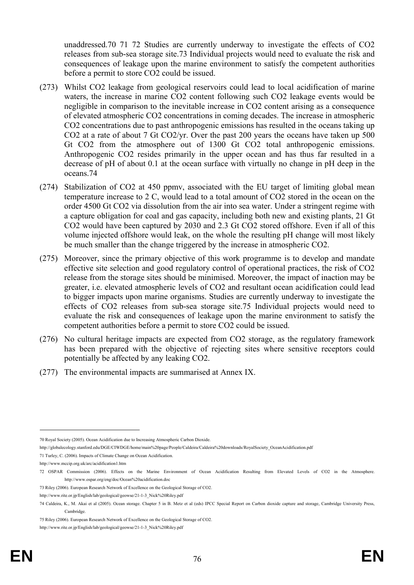unaddressed.70 71 72 Studies are currently underway to investigate the effects of CO2 releases from sub-sea storage site.73 Individual projects would need to evaluate the risk and consequences of leakage upon the marine environment to satisfy the competent authorities before a permit to store CO2 could be issued.

- (273) Whilst CO2 leakage from geological reservoirs could lead to local acidification of marine waters, the increase in marine CO2 content following such CO2 leakage events would be negligible in comparison to the inevitable increase in CO2 content arising as a consequence of elevated atmospheric CO2 concentrations in coming decades. The increase in atmospheric CO2 concentrations due to past anthropogenic emissions has resulted in the oceans taking up CO2 at a rate of about 7 Gt CO2/yr. Over the past 200 years the oceans have taken up 500 Gt CO2 from the atmosphere out of 1300 Gt CO2 total anthropogenic emissions. Anthropogenic CO2 resides primarily in the upper ocean and has thus far resulted in a decrease of pH of about 0.1 at the ocean surface with virtually no change in pH deep in the oceans.74
- (274) Stabilization of CO2 at 450 ppmv, associated with the EU target of limiting global mean temperature increase to 2 C, would lead to a total amount of CO2 stored in the ocean on the order 4500 Gt CO2 via dissolution from the air into sea water. Under a stringent regime with a capture obligation for coal and gas capacity, including both new and existing plants, 21 Gt CO2 would have been captured by 2030 and 2.3 Gt CO2 stored offshore. Even if all of this volume injected offshore would leak, on the whole the resulting pH change will most likely be much smaller than the change triggered by the increase in atmospheric CO2.
- (275) Moreover, since the primary objective of this work programme is to develop and mandate effective site selection and good regulatory control of operational practices, the risk of CO2 release from the storage sites should be minimised. Moreover, the impact of inaction may be greater, i.e. elevated atmospheric levels of CO2 and resultant ocean acidification could lead to bigger impacts upon marine organisms. Studies are currently underway to investigate the effects of CO2 releases from sub-sea storage site.75 Individual projects would need to evaluate the risk and consequences of leakage upon the marine environment to satisfy the competent authorities before a permit to store CO2 could be issued.
- (276) No cultural heritage impacts are expected from CO2 storage, as the regulatory framework has been prepared with the objective of rejecting sites where sensitive receptors could potentially be affected by any leaking CO2.
- (277) The environmental impacts are summarised at Annex IX.

73 Riley (2006). European Research Network of Excellence on the Geological Storage of CO2.

1

<sup>70</sup> Royal Society (2005). Ocean Acidification due to Increasing Atmospheric Carbon Dioxide.

http://globalecology.stanford.edu/DGE/CIWDGE/home/main%20page/People/Caldeira/Caldeira%20downloads/RoyalSociety\_OceanAcidification.pdf

<sup>71</sup> Turley, C. (2006). Impacts of Climate Change on Ocean Acidification.

http://www.mccip.org.uk/arc/acidification1.htm

<sup>72</sup> OSPAR Commission (2006). Effects on the Marine Environment of Ocean Acidification Resulting from Elevated Levels of CO2 in the Atmosphere. http://www.ospar.org/eng/doc/Ocean%20acidification.doc

http://www.rite.or.jp/English/lab/geological/geowse/21-1-3\_Nick%20Riley.pdf

<sup>74</sup> Caldeira, K., M. Akai et al (2005). Ocean storage. Chapter 5 in B. Metz et al (eds) IPCC Special Report on Carbon dioxide capture and storage, Cambridge University Press, Cambridge.

<sup>75</sup> Riley (2006). European Research Network of Excellence on the Geological Storage of CO2.

http://www.rite.or.jp/English/lab/geological/geowse/21-1-3\_Nick%20Riley.pdf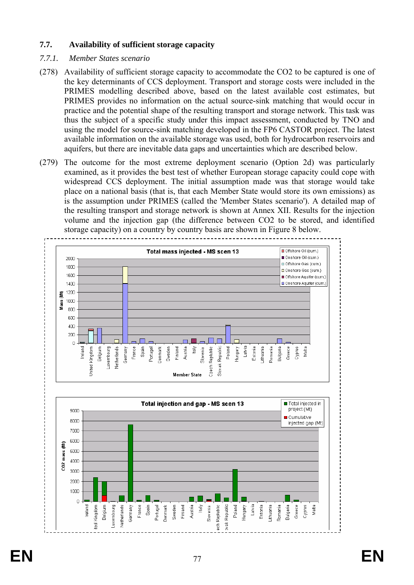# **7.7. Availability of sufficient storage capacity**

## *7.7.1. Member States scenario*

- (278) Availability of sufficient storage capacity to accommodate the CO2 to be captured is one of the key determinants of CCS deployment. Transport and storage costs were included in the PRIMES modelling described above, based on the latest available cost estimates, but PRIMES provides no information on the actual source-sink matching that would occur in practice and the potential shape of the resulting transport and storage network. This task was thus the subject of a specific study under this impact assessment, conducted by TNO and using the model for source-sink matching developed in the FP6 CASTOR project. The latest available information on the available storage was used, both for hydrocarbon reservoirs and aquifers, but there are inevitable data gaps and uncertainties which are described below.
- (279) The outcome for the most extreme deployment scenario (Option 2d) was particularly examined, as it provides the best test of whether European storage capacity could cope with widespread CCS deployment. The initial assumption made was that storage would take place on a national basis (that is, that each Member State would store its own emissions) as is the assumption under PRIMES (called the 'Member States scenario'). A detailed map of the resulting transport and storage network is shown at Annex XII. Results for the injection volume and the injection gap (the difference between CO2 to be stored, and identified storage capacity) on a country by country basis are shown in Figure 8 below.

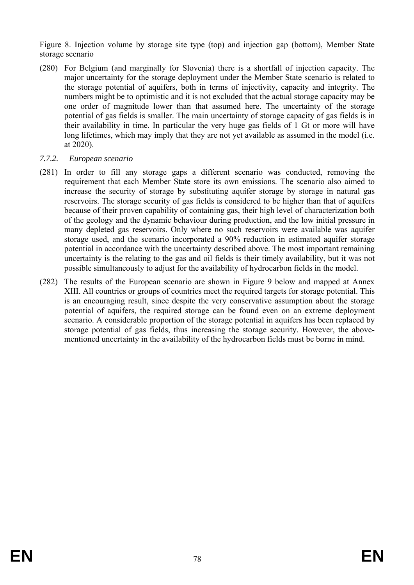Figure 8. Injection volume by storage site type (top) and injection gap (bottom), Member State storage scenario

- (280) For Belgium (and marginally for Slovenia) there is a shortfall of injection capacity. The major uncertainty for the storage deployment under the Member State scenario is related to the storage potential of aquifers, both in terms of injectivity, capacity and integrity. The numbers might be to optimistic and it is not excluded that the actual storage capacity may be one order of magnitude lower than that assumed here. The uncertainty of the storage potential of gas fields is smaller. The main uncertainty of storage capacity of gas fields is in their availability in time. In particular the very huge gas fields of 1 Gt or more will have long lifetimes, which may imply that they are not yet available as assumed in the model (i.e. at 2020).
- *7.7.2. European scenario*
- (281) In order to fill any storage gaps a different scenario was conducted, removing the requirement that each Member State store its own emissions. The scenario also aimed to increase the security of storage by substituting aquifer storage by storage in natural gas reservoirs. The storage security of gas fields is considered to be higher than that of aquifers because of their proven capability of containing gas, their high level of characterization both of the geology and the dynamic behaviour during production, and the low initial pressure in many depleted gas reservoirs. Only where no such reservoirs were available was aquifer storage used, and the scenario incorporated a 90% reduction in estimated aquifer storage potential in accordance with the uncertainty described above. The most important remaining uncertainty is the relating to the gas and oil fields is their timely availability, but it was not possible simultaneously to adjust for the availability of hydrocarbon fields in the model.
- (282) The results of the European scenario are shown in Figure 9 below and mapped at Annex XIII. All countries or groups of countries meet the required targets for storage potential. This is an encouraging result, since despite the very conservative assumption about the storage potential of aquifers, the required storage can be found even on an extreme deployment scenario. A considerable proportion of the storage potential in aquifers has been replaced by storage potential of gas fields, thus increasing the storage security. However, the abovementioned uncertainty in the availability of the hydrocarbon fields must be borne in mind.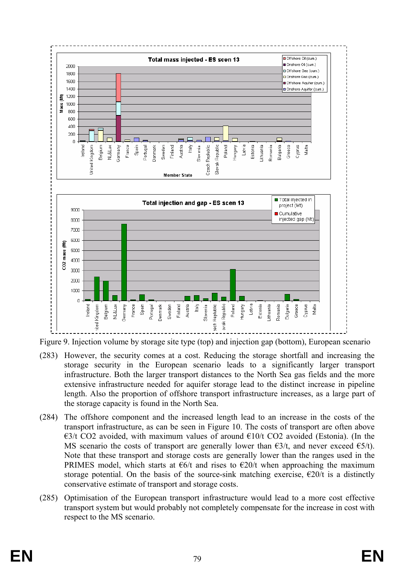

Figure 9. Injection volume by storage site type (top) and injection gap (bottom), European scenario

- (283) However, the security comes at a cost. Reducing the storage shortfall and increasing the storage security in the European scenario leads to a significantly larger transport infrastructure. Both the larger transport distances to the North Sea gas fields and the more extensive infrastructure needed for aquifer storage lead to the distinct increase in pipeline length. Also the proportion of offshore transport infrastructure increases, as a large part of the storage capacity is found in the North Sea.
- (284) The offshore component and the increased length lead to an increase in the costs of the transport infrastructure, as can be seen in Figure 10. The costs of transport are often above €3/t CO2 avoided, with maximum values of around  $€10/t$  CO2 avoided (Estonia). (In the MS scenario the costs of transport are generally lower than  $\epsilon 3/t$ , and never exceed  $\epsilon 5/t$ ). Note that these transport and storage costs are generally lower than the ranges used in the PRIMES model, which starts at  $\epsilon$ 6/t and rises to  $\epsilon$ 20/t when approaching the maximum storage potential. On the basis of the source-sink matching exercise,  $\epsilon$ 20/t is a distinctly conservative estimate of transport and storage costs.
- (285) Optimisation of the European transport infrastructure would lead to a more cost effective transport system but would probably not completely compensate for the increase in cost with respect to the MS scenario.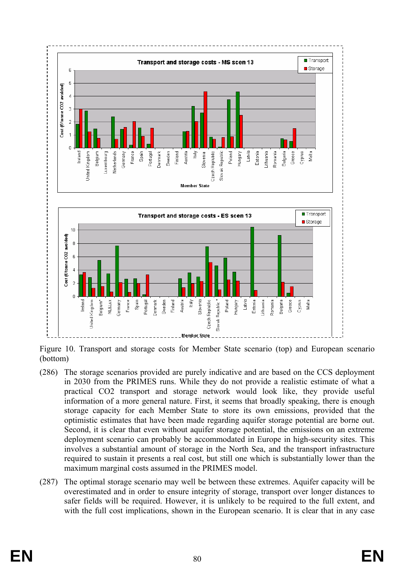

Figure 10. Transport and storage costs for Member State scenario (top) and European scenario (bottom)

- (286) The storage scenarios provided are purely indicative and are based on the CCS deployment in 2030 from the PRIMES runs. While they do not provide a realistic estimate of what a practical CO2 transport and storage network would look like, they provide useful information of a more general nature. First, it seems that broadly speaking, there is enough storage capacity for each Member State to store its own emissions, provided that the optimistic estimates that have been made regarding aquifer storage potential are borne out. Second, it is clear that even without aquifer storage potential, the emissions on an extreme deployment scenario can probably be accommodated in Europe in high-security sites. This involves a substantial amount of storage in the North Sea, and the transport infrastructure required to sustain it presents a real cost, but still one which is substantially lower than the maximum marginal costs assumed in the PRIMES model.
- (287) The optimal storage scenario may well be between these extremes. Aquifer capacity will be overestimated and in order to ensure integrity of storage, transport over longer distances to safer fields will be required. However, it is unlikely to be required to the full extent, and with the full cost implications, shown in the European scenario. It is clear that in any case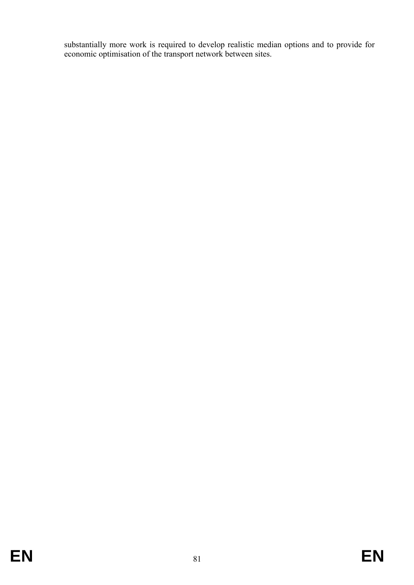substantially more work is required to develop realistic median options and to provide for economic optimisation of the transport network between sites.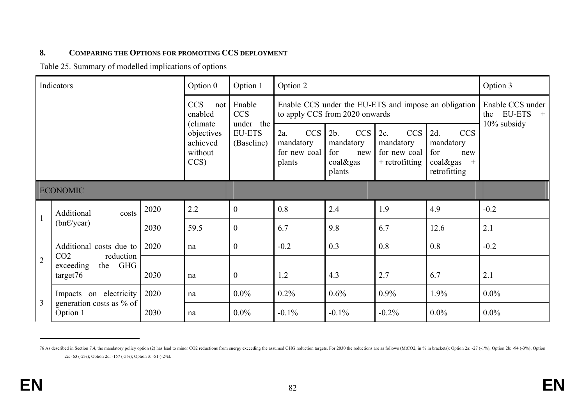#### **8.COMPARING THE OPTIONS FOR PROMOTING CCS DEPLOYMENT**

Table 25. Summary of modelled implications of options

|                | Indicators                                                               |      | Option 0                                              | Option 1                                 | Option 2                                          |                                                                    |                                                                       |                                                                                    | Option 3                                        |
|----------------|--------------------------------------------------------------------------|------|-------------------------------------------------------|------------------------------------------|---------------------------------------------------|--------------------------------------------------------------------|-----------------------------------------------------------------------|------------------------------------------------------------------------------------|-------------------------------------------------|
|                |                                                                          |      | <b>CCS</b><br>not<br>enabled                          | Enable<br><b>CCS</b>                     |                                                   | to apply CCS from 2020 onwards                                     |                                                                       | Enable CCS under the EU-ETS and impose an obligation                               | Enable CCS under<br><b>EU-ETS</b><br>the<br>$+$ |
|                |                                                                          |      | (climate)<br>objectives<br>achieved<br>without<br>CCS | under the<br><b>EU-ETS</b><br>(Baseline) | CCS<br>2a.<br>mandatory<br>for new coal<br>plants | <b>CCS</b><br>2b.<br>mandatory<br>for<br>new<br>coal&gas<br>plants | <b>CCS</b><br>$2c$ .<br>mandatory<br>for new coal<br>$+$ retrofitting | <b>CCS</b><br>2d.<br>mandatory<br>for<br>new<br>coal&gas<br>$^{+}$<br>retrofitting | 10% subsidy                                     |
|                | <b>ECONOMIC</b>                                                          |      |                                                       |                                          |                                                   |                                                                    |                                                                       |                                                                                    |                                                 |
| $\mathbf{1}$   | Additional<br>costs                                                      | 2020 | 2.2                                                   | $\overline{0}$                           | 0.8                                               | 2.4                                                                | 1.9                                                                   | 4.9                                                                                | $-0.2$                                          |
|                | $(bn \in \text{year})$                                                   | 2030 | 59.5                                                  | $\overline{0}$                           | 6.7                                               | 9.8                                                                | 6.7                                                                   | 12.6                                                                               | 2.1                                             |
|                | Additional costs due to                                                  | 2020 | na                                                    | $\overline{0}$                           | $-0.2$                                            | 0.3                                                                | 0.8                                                                   | 0.8                                                                                | $-0.2$                                          |
| $\overline{2}$ | CO <sub>2</sub><br>reduction<br>the GHG<br>exceeding<br>2030<br>target76 |      | na                                                    | $\overline{0}$                           | 1.2                                               | 4.3                                                                | 2.7                                                                   | 6.7                                                                                | 2.1                                             |
| $\overline{3}$ | 2020<br>Impacts on electricity                                           |      | na                                                    | $0.0\%$                                  | $0.2\%$                                           | 0.6%                                                               | 0.9%                                                                  | 1.9%                                                                               | $0.0\%$                                         |
|                | generation costs as % of<br>Option 1                                     | 2030 | na                                                    | $0.0\%$                                  | $-0.1\%$                                          | $-0.1\%$                                                           | $-0.2%$                                                               | $0.0\%$                                                                            | $0.0\%$                                         |

<sup>76</sup> As described in Section 7.4, the mandatory policy option (2) has lead to minor CO2 reductions from energy exceeding the assumed GHG reduction targets. For 2030 the reductions are as follows (MtCO2, in % in brackets): Op 2c: -63 (-2%); Option 2d: -157 (-5%); Option 3: -51 (-2%).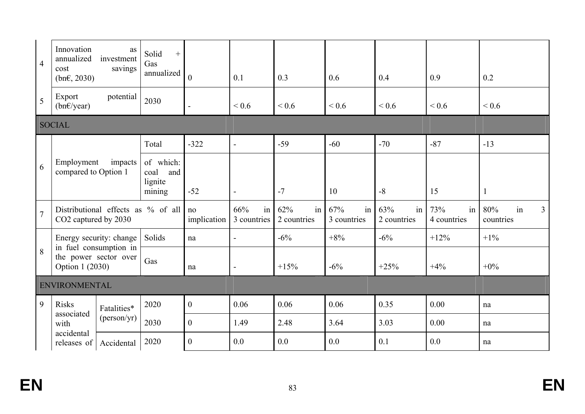| $\overline{4}$ | Innovation<br>annualized<br>cost<br>$(bn \epsilon, 2030)$          | as<br>investment<br>savings        | Solid<br>$+$<br>Gas<br>annualized             | $\mathbf{0}$      | 0.1                      | 0.3                                   | 0.6                      | 0.4                      | 0.9                      | 0.2                                      |
|----------------|--------------------------------------------------------------------|------------------------------------|-----------------------------------------------|-------------------|--------------------------|---------------------------------------|--------------------------|--------------------------|--------------------------|------------------------------------------|
| 5              | Export<br>$(bn \in \text{year})$                                   | potential                          | 2030                                          | $\blacksquare$    | ${}_{0.6}$               | ${}_{0.6}$                            | ${}_{0.6}$               | ${}_{0.6}$               | ${}_{0.6}$               | ${}< 0.6$                                |
|                | <b>SOCIAL</b>                                                      |                                    |                                               |                   |                          |                                       |                          |                          |                          |                                          |
|                |                                                                    |                                    | Total                                         | $-322$            | $\overline{a}$           | $-59$                                 | $-60$                    | $-70$                    | $-87$                    | $-13$                                    |
| 6              | Employment<br>impacts<br>compared to Option 1                      |                                    | of which:<br>coal<br>and<br>lignite<br>mining | $-52$             | $\blacksquare$           | $-7$                                  | 10                       | $-8$                     | 15                       | $\mathbf{1}$                             |
| $\overline{7}$ | CO2 captured by 2030                                               | Distributional effects as % of all |                                               | no<br>implication | 66%<br>in<br>3 countries | 62%<br>in <sub>1</sub><br>2 countries | 67%<br>in<br>3 countries | 63%<br>in<br>2 countries | 73%<br>in<br>4 countries | in<br>80%<br>$\overline{3}$<br>countries |
|                |                                                                    | Energy security: change            | Solids                                        | na                | $\blacksquare$           | $-6%$                                 | $+8%$                    | $-6%$                    | $+12%$                   | $+1\%$                                   |
| 8              | in fuel consumption in<br>the power sector over<br>Option 1 (2030) |                                    | Gas                                           | na                | $\blacksquare$           | $+15%$                                | $-6\%$                   | $+25%$                   | $+4%$                    | $+0\%$                                   |
|                | ENVIRONMENTAL                                                      |                                    |                                               |                   |                          |                                       |                          |                          |                          |                                          |
| $\overline{9}$ | <b>Risks</b><br>Fatalities*                                        |                                    | 2020                                          | $\boldsymbol{0}$  | 0.06                     | 0.06                                  | 0.06                     | 0.35                     | 0.00                     | na                                       |
|                | associated<br>with                                                 | (person/yr)                        | 2030                                          | $\boldsymbol{0}$  | 1.49                     | 2.48                                  | 3.64                     | 3.03                     | 0.00                     | na                                       |
|                | accidental<br>releases of<br>Accidental                            |                                    | 2020                                          | $\overline{0}$    | 0.0                      | 0.0                                   | 0.0                      | 0.1                      | 0.0                      | na                                       |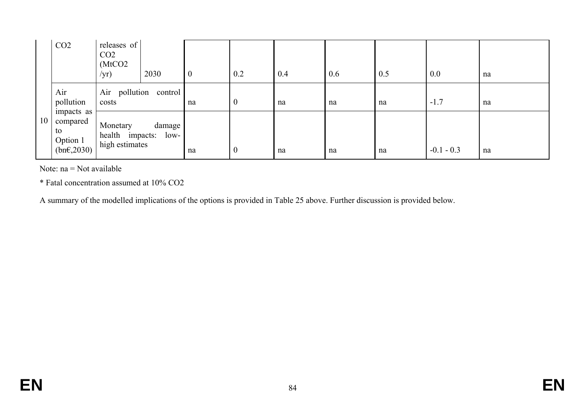|    | CO <sub>2</sub>                                                  | releases of<br>CO <sub>2</sub><br>(MtCO2)<br>/yr) | 2030              | $\boldsymbol{0}$ | 0.2              | 0.4 | 0.6 | 0.5 | 0.0          | na |
|----|------------------------------------------------------------------|---------------------------------------------------|-------------------|------------------|------------------|-----|-----|-----|--------------|----|
|    | Air<br>pollution                                                 | Air<br>costs                                      | pollution control | na               | $\overline{0}$   | na  | na  | na  | $-1.7$       | na |
| 10 | impacts as<br>compared<br>to<br>Option 1<br>$(bn\epsilon, 2030)$ | Monetary<br>health impacts:<br>high estimates     | damage '<br>low-  | na               | $\boldsymbol{0}$ | na  | na  | na  | $-0.1 - 0.3$ | na |

Note: na = Not available

\* Fatal concentration assumed at 10% CO2

A summary of the modelled implications of the options is provided in Table 25 above. Further discussion is provided below.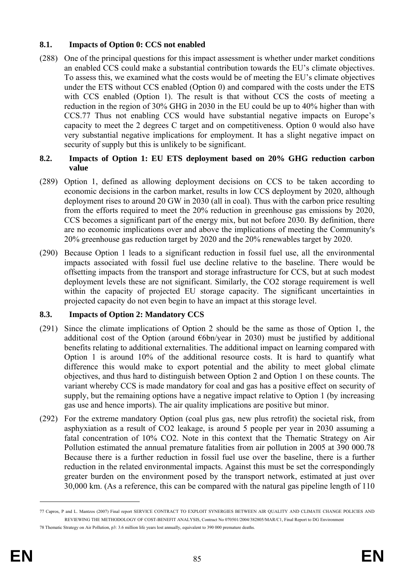# **8.1. Impacts of Option 0: CCS not enabled**

(288) One of the principal questions for this impact assessment is whether under market conditions an enabled CCS could make a substantial contribution towards the EU's climate objectives. To assess this, we examined what the costs would be of meeting the EU's climate objectives under the ETS without CCS enabled (Option 0) and compared with the costs under the ETS with CCS enabled (Option 1). The result is that without CCS the costs of meeting a reduction in the region of 30% GHG in 2030 in the EU could be up to 40% higher than with CCS.77 Thus not enabling CCS would have substantial negative impacts on Europe's capacity to meet the 2 degrees C target and on competitiveness. Option 0 would also have very substantial negative implications for employment. It has a slight negative impact on security of supply but this is unlikely to be significant.

# **8.2. Impacts of Option 1: EU ETS deployment based on 20% GHG reduction carbon value**

- (289) Option 1, defined as allowing deployment decisions on CCS to be taken according to economic decisions in the carbon market, results in low CCS deployment by 2020, although deployment rises to around 20 GW in 2030 (all in coal). Thus with the carbon price resulting from the efforts required to meet the 20% reduction in greenhouse gas emissions by 2020, CCS becomes a significant part of the energy mix, but not before 2030. By definition, there are no economic implications over and above the implications of meeting the Community's 20% greenhouse gas reduction target by 2020 and the 20% renewables target by 2020.
- (290) Because Option 1 leads to a significant reduction in fossil fuel use, all the environmental impacts associated with fossil fuel use decline relative to the baseline. There would be offsetting impacts from the transport and storage infrastructure for CCS, but at such modest deployment levels these are not significant. Similarly, the CO2 storage requirement is well within the capacity of projected EU storage capacity. The significant uncertainties in projected capacity do not even begin to have an impact at this storage level.

# **8.3. Impacts of Option 2: Mandatory CCS**

- (291) Since the climate implications of Option 2 should be the same as those of Option 1, the additional cost of the Option (around  $\epsilon$ 6bn/year in 2030) must be justified by additional benefits relating to additional externalities. The additional impact on learning compared with Option 1 is around 10% of the additional resource costs. It is hard to quantify what difference this would make to export potential and the ability to meet global climate objectives, and thus hard to distinguish between Option 2 and Option 1 on these counts. The variant whereby CCS is made mandatory for coal and gas has a positive effect on security of supply, but the remaining options have a negative impact relative to Option 1 (by increasing gas use and hence imports). The air quality implications are positive but minor.
- (292) For the extreme mandatory Option (coal plus gas, new plus retrofit) the societal risk, from asphyxiation as a result of CO2 leakage, is around 5 people per year in 2030 assuming a fatal concentration of 10% CO2. Note in this context that the Thematic Strategy on Air Pollution estimated the annual premature fatalities from air pollution in 2005 at 390 000.78 Because there is a further reduction in fossil fuel use over the baseline, there is a further reduction in the related environmental impacts. Against this must be set the correspondingly greater burden on the environment posed by the transport network, estimated at just over 30,000 km. (As a reference, this can be compared with the natural gas pipeline length of 110

1

<sup>77</sup> Capros, P and L. Mantzos (2007) Final report SERVICE CONTRACT TO EXPLOIT SYNERGIES BETWEEN AIR QUALITY AND CLIMATE CHANGE POLICIES AND REVIEWING THE METHODOLOGY OF COST-BENEFIT ANALYSIS, Contract No 070501/2004/382805/MAR/C1, Final Report to DG Environment

<sup>78</sup> Thematic Strategy on Air Pollution, p3: 3.6 million life years lost annually, equivalent to 390 000 premature deaths.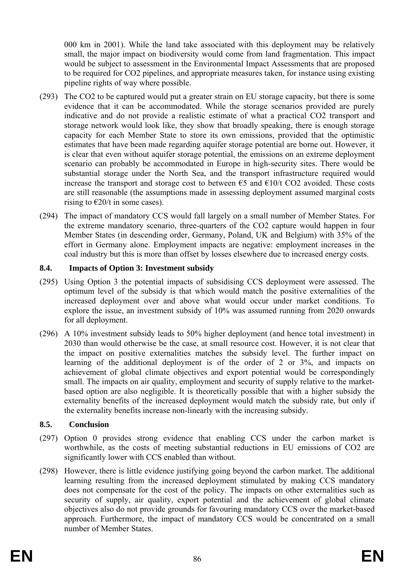000 km in 2001). While the land take associated with this deployment may be relatively small, the major impact on biodiversity would come from land fragmentation. This impact would be subject to assessment in the Environmental Impact Assessments that are proposed to be required for CO2 pipelines, and appropriate measures taken, for instance using existing pipeline rights of way where possible.

- (293) The CO2 to be captured would put a greater strain on EU storage capacity, but there is some evidence that it can be accommodated. While the storage scenarios provided are purely indicative and do not provide a realistic estimate of what a practical CO2 transport and storage network would look like, they show that broadly speaking, there is enough storage capacity for each Member State to store its own emissions, provided that the optimistic estimates that have been made regarding aquifer storage potential are borne out. However, it is clear that even without aquifer storage potential, the emissions on an extreme deployment scenario can probably be accommodated in Europe in high-security sites. There would be substantial storage under the North Sea, and the transport infrastructure required would increase the transport and storage cost to between  $\epsilon$ 5 and  $\epsilon$ 10/t CO2 avoided. These costs are still reasonable (the assumptions made in assessing deployment assumed marginal costs rising to  $\epsilon$ 20/t in some cases).
- (294) The impact of mandatory CCS would fall largely on a small number of Member States. For the extreme mandatory scenario, three-quarters of the CO2 capture would happen in four Member States (in descending order, Germany, Poland, UK and Belgium) with 35% of the effort in Germany alone. Employment impacts are negative: employment increases in the coal industry but this is more than offset by losses elsewhere due to increased energy costs.

# **8.4. Impacts of Option 3: Investment subsidy**

- (295) Using Option 3 the potential impacts of subsidising CCS deployment were assessed. The optimum level of the subsidy is that which would match the positive externalities of the increased deployment over and above what would occur under market conditions. To explore the issue, an investment subsidy of 10% was assumed running from 2020 onwards for all deployment.
- (296) A 10% investment subsidy leads to 50% higher deployment (and hence total investment) in 2030 than would otherwise be the case, at small resource cost. However, it is not clear that the impact on positive externalities matches the subsidy level. The further impact on learning of the additional deployment is of the order of 2 or 3%, and impacts on achievement of global climate objectives and export potential would be correspondingly small. The impacts on air quality, employment and security of supply relative to the marketbased option are also negligible. It is theoretically possible that with a higher subsidy the externality benefits of the increased deployment would match the subsidy rate, but only if the externality benefits increase non-linearly with the increasing subsidy.

## **8.5. Conclusion**

- (297) Option 0 provides strong evidence that enabling CCS under the carbon market is worthwhile, as the costs of meeting substantial reductions in EU emissions of CO2 are significantly lower with CCS enabled than without.
- (298) However, there is little evidence justifying going beyond the carbon market. The additional learning resulting from the increased deployment stimulated by making CCS mandatory does not compensate for the cost of the policy. The impacts on other externalities such as security of supply, air quality, export potential and the achievement of global climate objectives also do not provide grounds for favouring mandatory CCS over the market-based approach. Furthermore, the impact of mandatory CCS would be concentrated on a small number of Member States.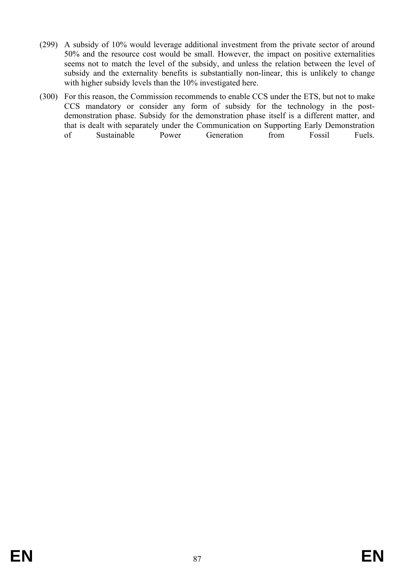- (299) A subsidy of 10% would leverage additional investment from the private sector of around 50% and the resource cost would be small. However, the impact on positive externalities seems not to match the level of the subsidy, and unless the relation between the level of subsidy and the externality benefits is substantially non-linear, this is unlikely to change with higher subsidy levels than the 10% investigated here.
- (300) For this reason, the Commission recommends to enable CCS under the ETS, but not to make CCS mandatory or consider any form of subsidy for the technology in the postdemonstration phase. Subsidy for the demonstration phase itself is a different matter, and that is dealt with separately under the Communication on Supporting Early Demonstration of Sustainable Power Generation from Fossil Fuels.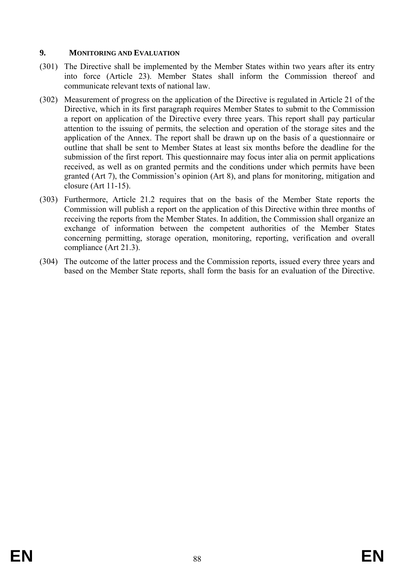## **9. MONITORING AND EVALUATION**

- (301) The Directive shall be implemented by the Member States within two years after its entry into force (Article 23). Member States shall inform the Commission thereof and communicate relevant texts of national law.
- (302) Measurement of progress on the application of the Directive is regulated in Article 21 of the Directive, which in its first paragraph requires Member States to submit to the Commission a report on application of the Directive every three years. This report shall pay particular attention to the issuing of permits, the selection and operation of the storage sites and the application of the Annex. The report shall be drawn up on the basis of a questionnaire or outline that shall be sent to Member States at least six months before the deadline for the submission of the first report. This questionnaire may focus inter alia on permit applications received, as well as on granted permits and the conditions under which permits have been granted (Art 7), the Commission's opinion (Art 8), and plans for monitoring, mitigation and closure (Art 11-15).
- (303) Furthermore, Article 21.2 requires that on the basis of the Member State reports the Commission will publish a report on the application of this Directive within three months of receiving the reports from the Member States. In addition, the Commission shall organize an exchange of information between the competent authorities of the Member States concerning permitting, storage operation, monitoring, reporting, verification and overall compliance (Art 21.3).
- (304) The outcome of the latter process and the Commission reports, issued every three years and based on the Member State reports, shall form the basis for an evaluation of the Directive.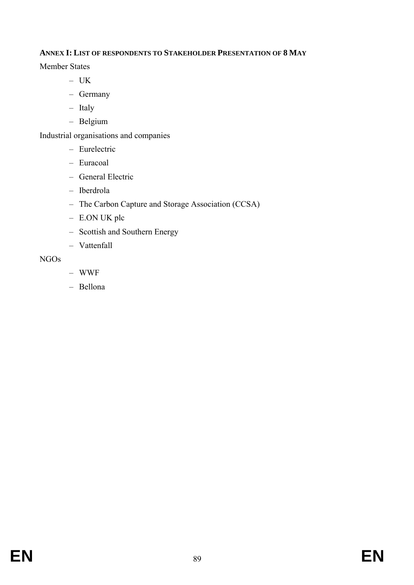# **ANNEX I: LIST OF RESPONDENTS TO STAKEHOLDER PRESENTATION OF 8 MAY**

Member States

- UK
- Germany
- Italy
- Belgium

Industrial organisations and companies

- Eurelectric
- Euracoal
- General Electric
- Iberdrola
- The Carbon Capture and Storage Association (CCSA)
- E.ON UK plc
- Scottish and Southern Energy
- Vattenfall

# NGOs

- WWF
- Bellona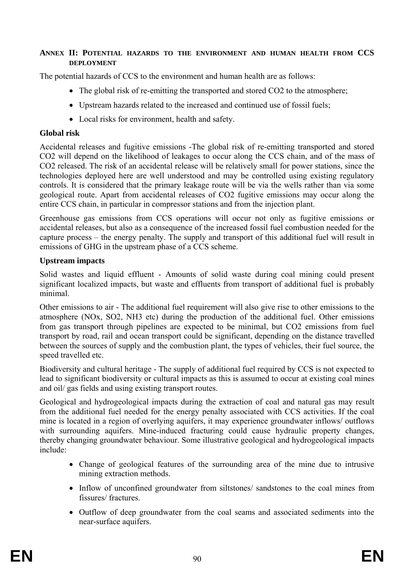## **ANNEX II: POTENTIAL HAZARDS TO THE ENVIRONMENT AND HUMAN HEALTH FROM CCS DEPLOYMENT**

The potential hazards of CCS to the environment and human health are as follows:

- The global risk of re-emitting the transported and stored CO2 to the atmosphere;
- Upstream hazards related to the increased and continued use of fossil fuels;
- Local risks for environment, health and safety.

## **Global risk**

Accidental releases and fugitive emissions -The global risk of re-emitting transported and stored CO2 will depend on the likelihood of leakages to occur along the CCS chain, and of the mass of CO2 released. The risk of an accidental release will be relatively small for power stations, since the technologies deployed here are well understood and may be controlled using existing regulatory controls. It is considered that the primary leakage route will be via the wells rather than via some geological route. Apart from accidental releases of CO2 fugitive emissions may occur along the entire CCS chain, in particular in compressor stations and from the injection plant.

Greenhouse gas emissions from CCS operations will occur not only as fugitive emissions or accidental releases, but also as a consequence of the increased fossil fuel combustion needed for the capture process – the energy penalty. The supply and transport of this additional fuel will result in emissions of GHG in the upstream phase of a CCS scheme.

## **Upstream impacts**

Solid wastes and liquid effluent - Amounts of solid waste during coal mining could present significant localized impacts, but waste and effluents from transport of additional fuel is probably minimal.

Other emissions to air - The additional fuel requirement will also give rise to other emissions to the atmosphere (NOx, SO2, NH3 etc) during the production of the additional fuel. Other emissions from gas transport through pipelines are expected to be minimal, but CO2 emissions from fuel transport by road, rail and ocean transport could be significant, depending on the distance travelled between the sources of supply and the combustion plant, the types of vehicles, their fuel source, the speed travelled etc.

Biodiversity and cultural heritage - The supply of additional fuel required by CCS is not expected to lead to significant biodiversity or cultural impacts as this is assumed to occur at existing coal mines and oil/ gas fields and using existing transport routes.

Geological and hydrogeological impacts during the extraction of coal and natural gas may result from the additional fuel needed for the energy penalty associated with CCS activities. If the coal mine is located in a region of overlying aquifers, it may experience groundwater inflows/ outflows with surrounding aquifers. Mine-induced fracturing could cause hydraulic property changes, thereby changing groundwater behaviour. Some illustrative geological and hydrogeological impacts include:

- Change of geological features of the surrounding area of the mine due to intrusive mining extraction methods.
- Inflow of unconfined groundwater from siltstones/ sandstones to the coal mines from fissures/ fractures.
- Outflow of deep groundwater from the coal seams and associated sediments into the near-surface aquifers.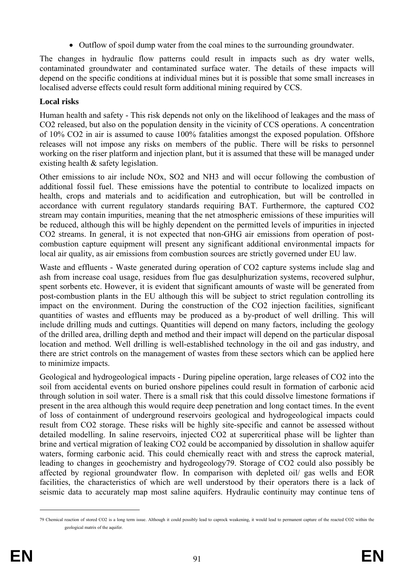• Outflow of spoil dump water from the coal mines to the surrounding groundwater.

The changes in hydraulic flow patterns could result in impacts such as dry water wells, contaminated groundwater and contaminated surface water. The details of these impacts will depend on the specific conditions at individual mines but it is possible that some small increases in localised adverse effects could result form additional mining required by CCS.

# **Local risks**

Human health and safety - This risk depends not only on the likelihood of leakages and the mass of CO2 released, but also on the population density in the vicinity of CCS operations. A concentration of 10% CO2 in air is assumed to cause 100% fatalities amongst the exposed population. Offshore releases will not impose any risks on members of the public. There will be risks to personnel working on the riser platform and injection plant, but it is assumed that these will be managed under existing health & safety legislation.

Other emissions to air include NOx, SO2 and NH3 and will occur following the combustion of additional fossil fuel. These emissions have the potential to contribute to localized impacts on health, crops and materials and to acidification and eutrophication, but will be controlled in accordance with current regulatory standards requiring BAT. Furthermore, the captured CO2 stream may contain impurities, meaning that the net atmospheric emissions of these impurities will be reduced, although this will be highly dependent on the permitted levels of impurities in injected CO2 streams. In general, it is not expected that non-GHG air emissions from operation of postcombustion capture equipment will present any significant additional environmental impacts for local air quality, as air emissions from combustion sources are strictly governed under EU law.

Waste and effluents - Waste generated during operation of CO2 capture systems include slag and ash from increase coal usage, residues from flue gas desulphurization systems, recovered sulphur, spent sorbents etc. However, it is evident that significant amounts of waste will be generated from post-combustion plants in the EU although this will be subject to strict regulation controlling its impact on the environment. During the construction of the CO2 injection facilities, significant quantities of wastes and effluents may be produced as a by-product of well drilling. This will include drilling muds and cuttings. Quantities will depend on many factors, including the geology of the drilled area, drilling depth and method and their impact will depend on the particular disposal location and method. Well drilling is well-established technology in the oil and gas industry, and there are strict controls on the management of wastes from these sectors which can be applied here to minimize impacts.

Geological and hydrogeological impacts - During pipeline operation, large releases of CO2 into the soil from accidental events on buried onshore pipelines could result in formation of carbonic acid through solution in soil water. There is a small risk that this could dissolve limestone formations if present in the area although this would require deep penetration and long contact times. In the event of loss of containment of underground reservoirs geological and hydrogeological impacts could result from CO2 storage. These risks will be highly site-specific and cannot be assessed without detailed modelling. In saline reservoirs, injected CO2 at supercritical phase will be lighter than brine and vertical migration of leaking CO2 could be accompanied by dissolution in shallow aquifer waters, forming carbonic acid. This could chemically react with and stress the caprock material, leading to changes in geochemistry and hydrogeology79. Storage of CO2 could also possibly be affected by regional groundwater flow. In comparison with depleted oil/ gas wells and EOR facilities, the characteristics of which are well understood by their operators there is a lack of seismic data to accurately map most saline aquifers. Hydraulic continuity may continue tens of

<u>.</u>

<sup>79</sup> Chemical reaction of stored CO2 is a long term issue. Although it could possibly lead to caprock weakening, it would lead to permanent capture of the reacted CO2 within the geological matrix of the aquifer.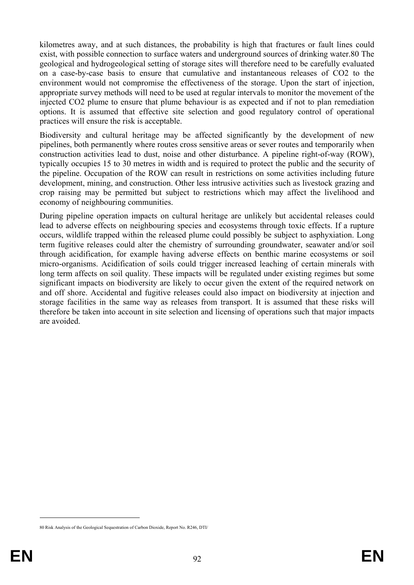kilometres away, and at such distances, the probability is high that fractures or fault lines could exist, with possible connection to surface waters and underground sources of drinking water.80 The geological and hydrogeological setting of storage sites will therefore need to be carefully evaluated on a case-by-case basis to ensure that cumulative and instantaneous releases of CO2 to the environment would not compromise the effectiveness of the storage. Upon the start of injection, appropriate survey methods will need to be used at regular intervals to monitor the movement of the injected CO2 plume to ensure that plume behaviour is as expected and if not to plan remediation options. It is assumed that effective site selection and good regulatory control of operational practices will ensure the risk is acceptable.

Biodiversity and cultural heritage may be affected significantly by the development of new pipelines, both permanently where routes cross sensitive areas or sever routes and temporarily when construction activities lead to dust, noise and other disturbance. A pipeline right-of-way (ROW), typically occupies 15 to 30 metres in width and is required to protect the public and the security of the pipeline. Occupation of the ROW can result in restrictions on some activities including future development, mining, and construction. Other less intrusive activities such as livestock grazing and crop raising may be permitted but subject to restrictions which may affect the livelihood and economy of neighbouring communities.

During pipeline operation impacts on cultural heritage are unlikely but accidental releases could lead to adverse effects on neighbouring species and ecosystems through toxic effects. If a rupture occurs, wildlife trapped within the released plume could possibly be subject to asphyxiation. Long term fugitive releases could alter the chemistry of surrounding groundwater, seawater and/or soil through acidification, for example having adverse effects on benthic marine ecosystems or soil micro-organisms. Acidification of soils could trigger increased leaching of certain minerals with long term affects on soil quality. These impacts will be regulated under existing regimes but some significant impacts on biodiversity are likely to occur given the extent of the required network on and off shore. Accidental and fugitive releases could also impact on biodiversity at injection and storage facilities in the same way as releases from transport. It is assumed that these risks will therefore be taken into account in site selection and licensing of operations such that major impacts are avoided.

1

<sup>80</sup> Risk Analysis of the Geological Sequestration of Carbon Dioxide, Report No. R246, DTI/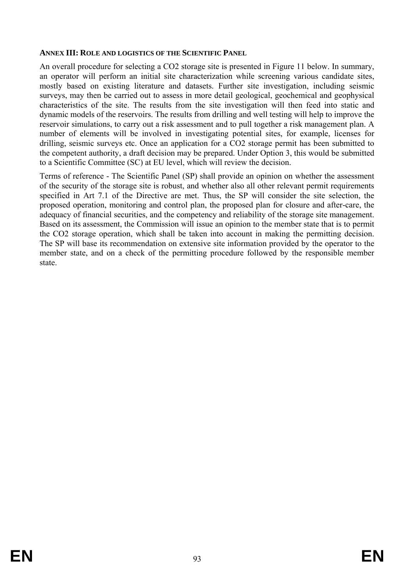#### **ANNEX III: ROLE AND LOGISTICS OF THE SCIENTIFIC PANEL**

An overall procedure for selecting a CO2 storage site is presented in Figure 11 below. In summary, an operator will perform an initial site characterization while screening various candidate sites, mostly based on existing literature and datasets. Further site investigation, including seismic surveys, may then be carried out to assess in more detail geological, geochemical and geophysical characteristics of the site. The results from the site investigation will then feed into static and dynamic models of the reservoirs. The results from drilling and well testing will help to improve the reservoir simulations, to carry out a risk assessment and to pull together a risk management plan. A number of elements will be involved in investigating potential sites, for example, licenses for drilling, seismic surveys etc. Once an application for a CO2 storage permit has been submitted to the competent authority, a draft decision may be prepared. Under Option 3, this would be submitted to a Scientific Committee (SC) at EU level, which will review the decision.

Terms of reference - The Scientific Panel (SP) shall provide an opinion on whether the assessment of the security of the storage site is robust, and whether also all other relevant permit requirements specified in Art 7.1 of the Directive are met. Thus, the SP will consider the site selection, the proposed operation, monitoring and control plan, the proposed plan for closure and after-care, the adequacy of financial securities, and the competency and reliability of the storage site management. Based on its assessment, the Commission will issue an opinion to the member state that is to permit the CO2 storage operation, which shall be taken into account in making the permitting decision. The SP will base its recommendation on extensive site information provided by the operator to the member state, and on a check of the permitting procedure followed by the responsible member state.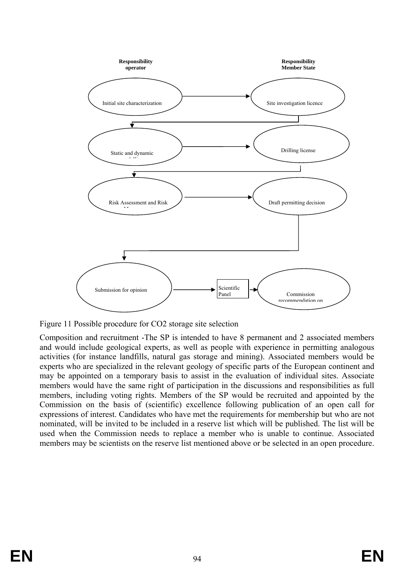

Figure 11 Possible procedure for CO2 storage site selection

Composition and recruitment -The SP is intended to have 8 permanent and 2 associated members and would include geological experts, as well as people with experience in permitting analogous activities (for instance landfills, natural gas storage and mining). Associated members would be experts who are specialized in the relevant geology of specific parts of the European continent and may be appointed on a temporary basis to assist in the evaluation of individual sites. Associate members would have the same right of participation in the discussions and responsibilities as full members, including voting rights. Members of the SP would be recruited and appointed by the Commission on the basis of (scientific) excellence following publication of an open call for expressions of interest. Candidates who have met the requirements for membership but who are not nominated, will be invited to be included in a reserve list which will be published. The list will be used when the Commission needs to replace a member who is unable to continue. Associated members may be scientists on the reserve list mentioned above or be selected in an open procedure.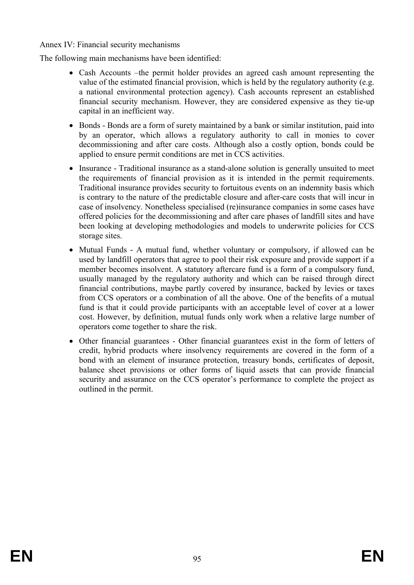Annex IV: Financial security mechanisms

The following main mechanisms have been identified:

- Cash Accounts –the permit holder provides an agreed cash amount representing the value of the estimated financial provision, which is held by the regulatory authority (e.g. a national environmental protection agency). Cash accounts represent an established financial security mechanism. However, they are considered expensive as they tie-up capital in an inefficient way.
- Bonds Bonds are a form of surety maintained by a bank or similar institution, paid into by an operator, which allows a regulatory authority to call in monies to cover decommissioning and after care costs. Although also a costly option, bonds could be applied to ensure permit conditions are met in CCS activities.
- Insurance Traditional insurance as a stand-alone solution is generally unsuited to meet the requirements of financial provision as it is intended in the permit requirements. Traditional insurance provides security to fortuitous events on an indemnity basis which is contrary to the nature of the predictable closure and after-care costs that will incur in case of insolvency. Nonetheless specialised (re)insurance companies in some cases have offered policies for the decommissioning and after care phases of landfill sites and have been looking at developing methodologies and models to underwrite policies for CCS storage sites.
- Mutual Funds A mutual fund, whether voluntary or compulsory, if allowed can be used by landfill operators that agree to pool their risk exposure and provide support if a member becomes insolvent. A statutory aftercare fund is a form of a compulsory fund, usually managed by the regulatory authority and which can be raised through direct financial contributions, maybe partly covered by insurance, backed by levies or taxes from CCS operators or a combination of all the above. One of the benefits of a mutual fund is that it could provide participants with an acceptable level of cover at a lower cost. However, by definition, mutual funds only work when a relative large number of operators come together to share the risk.
- Other financial guarantees Other financial guarantees exist in the form of letters of credit, hybrid products where insolvency requirements are covered in the form of a bond with an element of insurance protection, treasury bonds, certificates of deposit, balance sheet provisions or other forms of liquid assets that can provide financial security and assurance on the CCS operator's performance to complete the project as outlined in the permit.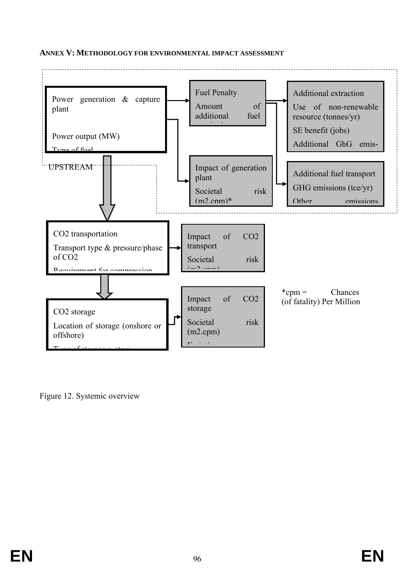### **ANNEX V: METHODOLOGY FOR ENVIRONMENTAL IMPACT ASSESSMENT**



Figure 12. Systemic overview

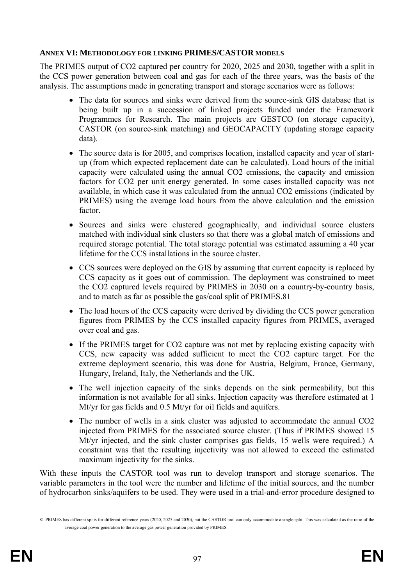## **ANNEX VI: METHODOLOGY FOR LINKING PRIMES/CASTOR MODELS**

The PRIMES output of CO2 captured per country for 2020, 2025 and 2030, together with a split in the CCS power generation between coal and gas for each of the three years, was the basis of the analysis. The assumptions made in generating transport and storage scenarios were as follows:

- The data for sources and sinks were derived from the source-sink GIS database that is being built up in a succession of linked projects funded under the Framework Programmes for Research. The main projects are GESTCO (on storage capacity), CASTOR (on source-sink matching) and GEOCAPACITY (updating storage capacity data).
- The source data is for 2005, and comprises location, installed capacity and year of startup (from which expected replacement date can be calculated). Load hours of the initial capacity were calculated using the annual CO2 emissions, the capacity and emission factors for CO2 per unit energy generated. In some cases installed capacity was not available, in which case it was calculated from the annual CO2 emissions (indicated by PRIMES) using the average load hours from the above calculation and the emission factor.
- Sources and sinks were clustered geographically, and individual source clusters matched with individual sink clusters so that there was a global match of emissions and required storage potential. The total storage potential was estimated assuming a 40 year lifetime for the CCS installations in the source cluster.
- CCS sources were deployed on the GIS by assuming that current capacity is replaced by CCS capacity as it goes out of commission. The deployment was constrained to meet the CO2 captured levels required by PRIMES in 2030 on a country-by-country basis, and to match as far as possible the gas/coal split of PRIMES.81
- The load hours of the CCS capacity were derived by dividing the CCS power generation figures from PRIMES by the CCS installed capacity figures from PRIMES, averaged over coal and gas.
- If the PRIMES target for CO2 capture was not met by replacing existing capacity with CCS, new capacity was added sufficient to meet the CO2 capture target. For the extreme deployment scenario, this was done for Austria, Belgium, France, Germany, Hungary, Ireland, Italy, the Netherlands and the UK.
- The well injection capacity of the sinks depends on the sink permeability, but this information is not available for all sinks. Injection capacity was therefore estimated at 1 Mt/yr for gas fields and 0.5 Mt/yr for oil fields and aquifers.
- The number of wells in a sink cluster was adjusted to accommodate the annual CO2 injected from PRIMES for the associated source cluster. (Thus if PRIMES showed 15 Mt/yr injected, and the sink cluster comprises gas fields, 15 wells were required.) A constraint was that the resulting injectivity was not allowed to exceed the estimated maximum injectivity for the sinks.

With these inputs the CASTOR tool was run to develop transport and storage scenarios. The variable parameters in the tool were the number and lifetime of the initial sources, and the number of hydrocarbon sinks/aquifers to be used. They were used in a trial-and-error procedure designed to

<u>.</u>

<sup>81</sup> PRIMES has different splits for different reference years (2020, 2025 and 2030), but the CASTOR tool can only accommodate a single split. This was calculated as the ratio of the average coal power generation to the average gas power generation provided by PRIMES.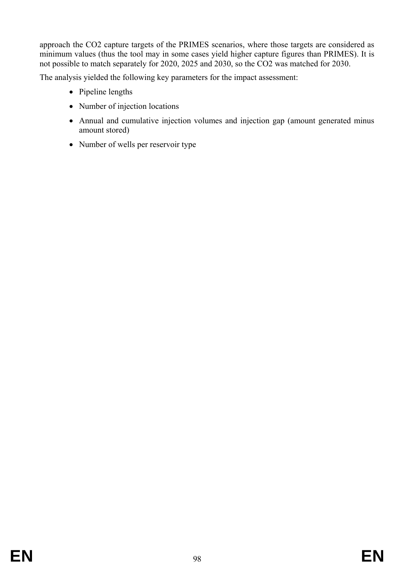approach the CO2 capture targets of the PRIMES scenarios, where those targets are considered as minimum values (thus the tool may in some cases yield higher capture figures than PRIMES). It is not possible to match separately for 2020, 2025 and 2030, so the CO2 was matched for 2030.

The analysis yielded the following key parameters for the impact assessment:

- Pipeline lengths
- Number of injection locations
- Annual and cumulative injection volumes and injection gap (amount generated minus amount stored)
- Number of wells per reservoir type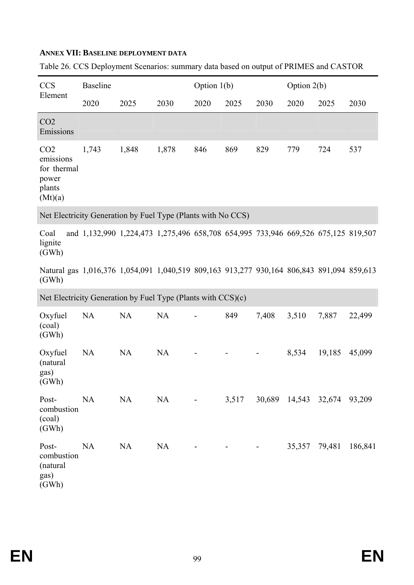# **ANNEX VII: BASELINE DEPLOYMENT DATA**

| <b>CCS</b>                                                                                         | <b>Baseline</b>                                                                   |           |           | Option $1(b)$ |       |                | Option 2(b)   |                             |         |
|----------------------------------------------------------------------------------------------------|-----------------------------------------------------------------------------------|-----------|-----------|---------------|-------|----------------|---------------|-----------------------------|---------|
| Element                                                                                            | 2020                                                                              | 2025      | 2030      | 2020          | 2025  | 2030           | 2020          | 2025                        | 2030    |
| CO <sub>2</sub><br>Emissions                                                                       |                                                                                   |           |           |               |       |                |               |                             |         |
| CO <sub>2</sub><br>emissions<br>for thermal<br>power<br>plants<br>(Mt)(a)                          | 1,743                                                                             | 1,848     | 1,878     | 846           | 869   | 829            | 779           | 724                         | 537     |
| Net Electricity Generation by Fuel Type (Plants with No CCS)                                       |                                                                                   |           |           |               |       |                |               |                             |         |
| Coal<br>lignite<br>(GWh)                                                                           | and 1,132,990 1,224,473 1,275,496 658,708 654,995 733,946 669,526 675,125 819,507 |           |           |               |       |                |               |                             |         |
| Natural gas 1,016,376 1,054,091 1,040,519 809,163 913,277 930,164 806,843 891,094 859,613<br>(GWh) |                                                                                   |           |           |               |       |                |               |                             |         |
| Net Electricity Generation by Fuel Type (Plants with CCS)(c)                                       |                                                                                   |           |           |               |       |                |               |                             |         |
| Oxyfuel<br>(coal)<br>(GWh)                                                                         | NA                                                                                | <b>NA</b> | NA        |               | 849   | 7,408          | 3,510         | 7,887                       | 22,499  |
| Oxyfuel<br>(natural<br>gas)<br>(GWh)                                                               | NA                                                                                | <b>NA</b> | NA        |               |       |                | 8,534         | 19,185                      | 45,099  |
| Post-<br>combustion<br>(coal)<br>(GWh)                                                             | <b>NA</b>                                                                         | <b>NA</b> | <b>NA</b> |               | 3,517 |                |               | 30,689 14,543 32,674 93,209 |         |
| Post-<br>combustion<br>(natural<br>gas)<br>(GWh)                                                   | <b>NA</b>                                                                         | <b>NA</b> | <b>NA</b> |               |       | $\blacksquare$ | 35,357 79,481 |                             | 186,841 |

Table 26. CCS Deployment Scenarios: summary data based on output of PRIMES and CASTOR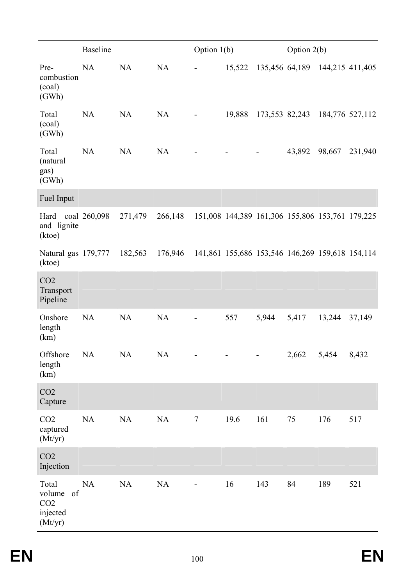|                                                                 | <b>Baseline</b> |           |           | Option $1(b)$            |        |       | Option $2(b)$                                   |                 |         |
|-----------------------------------------------------------------|-----------------|-----------|-----------|--------------------------|--------|-------|-------------------------------------------------|-----------------|---------|
| Pre-<br>combustion<br>(coal)<br>(GWh)                           | <b>NA</b>       | NA        | <b>NA</b> |                          | 15,522 |       | 135,456 64,189 144,215 411,405                  |                 |         |
| Total<br>(coal)<br>(GWh)                                        | <b>NA</b>       | NA        | NA        |                          | 19,888 |       | 173,553 82,243                                  | 184,776 527,112 |         |
| Total<br>(natural<br>gas)<br>(GWh)                              | NA              | NA        | NA        |                          |        |       | 43,892                                          | 98,667          | 231,940 |
| Fuel Input                                                      |                 |           |           |                          |        |       |                                                 |                 |         |
| Hard coal 260,098<br>and lignite<br>(ktoe)                      |                 | 271,479   | 266,148   |                          |        |       | 151,008 144,389 161,306 155,806 153,761 179,225 |                 |         |
| Natural gas 179,777<br>(ktoe)                                   |                 | 182,563   | 176,946   |                          |        |       | 141,861 155,686 153,546 146,269 159,618 154,114 |                 |         |
| CO <sub>2</sub><br>Transport<br>Pipeline                        |                 |           |           |                          |        |       |                                                 |                 |         |
| Onshore<br>length<br>(km)                                       | NA              | NA        | NA        | $\blacksquare$           | 557    | 5,944 | 5,417                                           | 13,244          | 37,149  |
| Offshore<br>length<br>(km)                                      | NA              | <b>NA</b> | $\rm NA$  |                          | -      |       | 2,662                                           | 5,454           | 8,432   |
| CO <sub>2</sub><br>Capture                                      |                 |           |           |                          |        |       |                                                 |                 |         |
| CO <sub>2</sub><br>captured<br>(Mt/yr)                          | NA              | NA        | $\rm NA$  | $\tau$                   | 19.6   | 161   | 75                                              | 176             | 517     |
| CO <sub>2</sub><br>Injection                                    |                 |           |           |                          |        |       |                                                 |                 |         |
| Total<br>volume<br>of<br>CO <sub>2</sub><br>injected<br>(Mt/yr) | NA              | NA        | $\rm NA$  | $\overline{\phantom{0}}$ | 16     | 143   | 84                                              | 189             | 521     |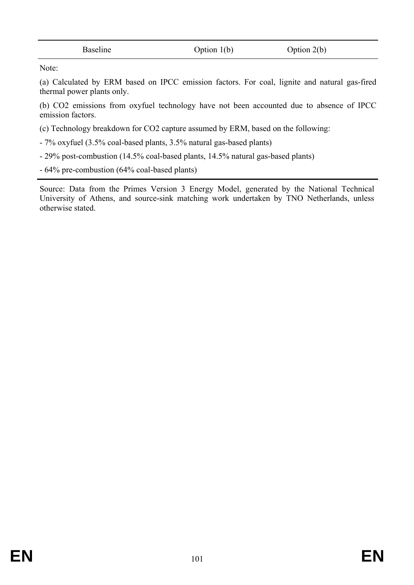| Baseline | Option $1(b)$ | Option $2(b)$ |  |
|----------|---------------|---------------|--|
|          |               |               |  |

Note:

(a) Calculated by ERM based on IPCC emission factors. For coal, lignite and natural gas-fired thermal power plants only.

(b) CO2 emissions from oxyfuel technology have not been accounted due to absence of IPCC emission factors.

(c) Technology breakdown for CO2 capture assumed by ERM, based on the following:

- 7% oxyfuel (3.5% coal-based plants, 3.5% natural gas-based plants)
- 29% post-combustion (14.5% coal-based plants, 14.5% natural gas-based plants)
- 64% pre-combustion (64% coal-based plants)

Source: Data from the Primes Version 3 Energy Model, generated by the National Technical University of Athens, and source-sink matching work undertaken by TNO Netherlands, unless otherwise stated.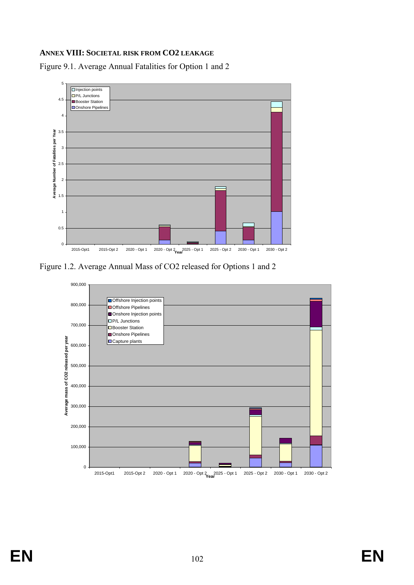## **ANNEX VIII: SOCIETAL RISK FROM CO2 LEAKAGE**

Figure 9.1. Average Annual Fatalities for Option 1 and 2



Figure 1.2. Average Annual Mass of CO2 released for Options 1 and 2

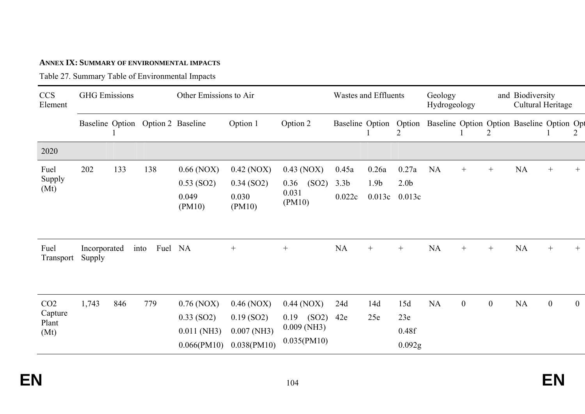### **ANNEX IX: SUMMARY OF ENVIRONMENTAL IMPACTS**

Table 27. Summary Table of Environmental Impacts

| <b>CCS</b><br>Element                       | <b>GHG</b> Emissions   |     |                                   | Other Emissions to Air                                       |                                                              |                                                               | Wastes and Effluents                |                                     |                                     | Geology<br>Hydrogeology |                  |              | and Biodiversity<br>Cultural Heritage     |                  |                  |
|---------------------------------------------|------------------------|-----|-----------------------------------|--------------------------------------------------------------|--------------------------------------------------------------|---------------------------------------------------------------|-------------------------------------|-------------------------------------|-------------------------------------|-------------------------|------------------|--------------|-------------------------------------------|------------------|------------------|
|                                             |                        |     | Baseline Option Option 2 Baseline |                                                              | Option 1                                                     | Option 2                                                      | <b>Baseline Option</b>              |                                     | Option<br>2                         |                         |                  | 2            | Baseline Option Option Baseline Option Op |                  |                  |
| 2020                                        |                        |     |                                   |                                                              |                                                              |                                                               |                                     |                                     |                                     |                         |                  |              |                                           |                  |                  |
| Fuel<br>Supply<br>(Mt)                      | 202                    | 133 | 138                               | $0.66$ (NOX)<br>$0.53$ (SO2)<br>0.049<br>(PM10)              | $0.42$ (NOX)<br>$0.34$ (SO2)<br>0.030<br>(PM10)              | $0.43$ (NOX)<br>(SO2)<br>0.36<br>0.031<br>(PM10)              | 0.45a<br>3.3 <sub>b</sub><br>0.022c | 0.26a<br>1.9 <sub>b</sub><br>0.013c | 0.27a<br>2.0 <sub>b</sub><br>0.013c | NA                      | $^{+}$           | $^{+}$       | <b>NA</b>                                 | $+$              | $^{+}$           |
| Fuel<br>Transport                           | Incorporated<br>Supply |     | into                              | Fuel NA                                                      | $^{+}$                                                       | $^{+}$                                                        | NA                                  | $^{+}$                              | $+$                                 | NA                      | $^{+}$           | $^{+}$       | NA                                        | $^{+}$           | $^{+}$           |
| CO <sub>2</sub><br>Capture<br>Plant<br>(Mt) | 1,743                  | 846 | 779                               | $0.76$ (NOX)<br>$0.33$ (SO2)<br>$0.011$ (NH3)<br>0.066(PM10) | $0.46$ (NOX)<br>$0.19$ (SO2)<br>$0.007$ (NH3)<br>0.038(PM10) | $0.44$ (NOX)<br>(SO2)<br>0.19<br>$0.009$ (NH3)<br>0.035(PM10) | 24d<br>42e                          | 14d<br>25e                          | 15d<br>23e<br>0.48f<br>0.092g       | NA                      | $\boldsymbol{0}$ | $\mathbf{0}$ | <b>NA</b>                                 | $\boldsymbol{0}$ | $\boldsymbol{0}$ |

**EN**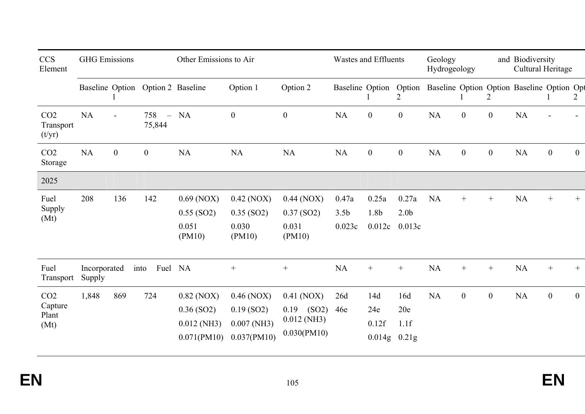| <b>CCS</b><br>Element                       | <b>GHG</b> Emissions   |              |                                           | Other Emissions to Air                                       |                                                              | <b>Wastes and Effluents</b>                                  |                                     |                               | Geology<br>Hydrogeology             |                                                   | and Biodiversity<br>Cultural Heritage |                  |           |                  |                |
|---------------------------------------------|------------------------|--------------|-------------------------------------------|--------------------------------------------------------------|--------------------------------------------------------------|--------------------------------------------------------------|-------------------------------------|-------------------------------|-------------------------------------|---------------------------------------------------|---------------------------------------|------------------|-----------|------------------|----------------|
|                                             | Baseline Option        |              |                                           | Option 2 Baseline                                            | Option 1                                                     | Option 2                                                     | Baseline Option                     |                               | 2                                   | Option Baseline Option Option Baseline Option Opt |                                       | 2                |           |                  | 2              |
| CO <sub>2</sub><br>Transport<br>(t/yr)      | <b>NA</b>              |              | 758<br>$\overline{\phantom{a}}$<br>75,844 | <b>NA</b>                                                    | $\boldsymbol{0}$                                             | $\boldsymbol{0}$                                             | NA                                  | $\boldsymbol{0}$              | $\mathbf{0}$                        | <b>NA</b>                                         | $\boldsymbol{0}$                      | $\mathbf{0}$     | <b>NA</b> |                  |                |
| CO <sub>2</sub><br>Storage                  | <b>NA</b>              | $\mathbf{0}$ | $\overline{0}$                            | <b>NA</b>                                                    | NA                                                           | <b>NA</b>                                                    | NA                                  | $\boldsymbol{0}$              | $\overline{0}$                      | NA                                                | $\boldsymbol{0}$                      | $\boldsymbol{0}$ | NA        | $\boldsymbol{0}$ | $\overline{0}$ |
| 2025                                        |                        |              |                                           |                                                              |                                                              |                                                              |                                     |                               |                                     |                                                   |                                       |                  |           |                  |                |
| Fuel<br>Supply<br>(Mt)                      | 208                    | 136          | 142                                       | $0.69$ (NOX)<br>$0.55$ (SO2)<br>0.051<br>(PM10)              | $0.42$ (NOX)<br>$0.35$ (SO2)<br>0.030<br>(PM10)              | $0.44$ (NOX)<br>$0.37$ (SO2)<br>0.031<br>(PM10)              | 0.47a<br>3.5 <sub>b</sub><br>0.023c | 0.25a<br>1.8b<br>0.012c       | 0.27a<br>2.0 <sub>b</sub><br>0.013c | <b>NA</b>                                         | $^{+}$                                | $^{+}$           | <b>NA</b> | $^{+}$           | $^{+}$         |
| Fuel<br>Transport                           | Incorporated<br>Supply |              | Fuel NA<br>into                           |                                                              | $^{+}$                                                       | $^{+}$                                                       | <b>NA</b>                           | $^{+}$                        | $^{+}$                              | $\rm NA$                                          |                                       |                  | NA        | $^{+}$           | $+$            |
| CO <sub>2</sub><br>Capture<br>Plant<br>(Mt) | 1,848                  | 869          | 724                                       | $0.82$ (NOX)<br>$0.36$ (SO2)<br>$0.012$ (NH3)<br>0.071(PM10) | $0.46$ (NOX)<br>$0.19$ (SO2)<br>$0.007$ (NH3)<br>0.037(PM10) | $0.41$ (NOX)<br>$0.19$ (SO2)<br>$0.012$ (NH3)<br>0.030(PM10) | 26d<br>46e                          | 14d<br>24e<br>0.12f<br>0.014g | 16d<br>20e<br>1.1f<br>0.21g         | <b>NA</b>                                         | $\boldsymbol{0}$                      | $\mathbf{0}$     | <b>NA</b> | $\overline{0}$   | $\overline{0}$ |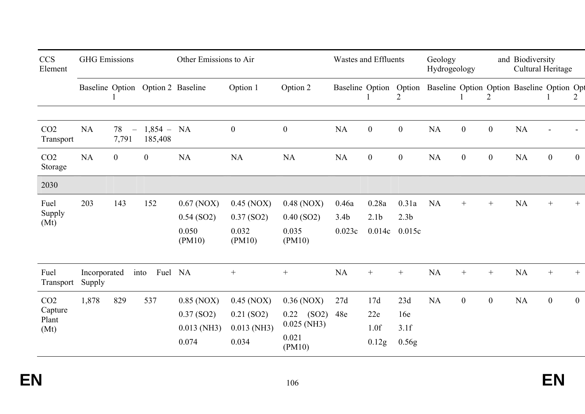| <b>CCS</b><br>Element                       | <b>GHG</b> Emissions   |                                         |                                   | Other Emissions to Air                                 |                                                        |                                                                   | <b>Wastes and Effluents</b>         |                                     |                                     | Geology<br>Hydrogeology                                           |                  |                  | and Biodiversity<br>Cultural Heritage |                  |                |
|---------------------------------------------|------------------------|-----------------------------------------|-----------------------------------|--------------------------------------------------------|--------------------------------------------------------|-------------------------------------------------------------------|-------------------------------------|-------------------------------------|-------------------------------------|-------------------------------------------------------------------|------------------|------------------|---------------------------------------|------------------|----------------|
|                                             |                        |                                         | Baseline Option Option 2 Baseline |                                                        | Option 1                                               | Option 2                                                          |                                     |                                     | $\overline{2}$                      | Baseline Option Option Baseline Option Option Baseline Option Opt |                  | 2                |                                       |                  | 2              |
| CO <sub>2</sub><br>Transport                | <b>NA</b>              | 78<br>$\overline{\phantom{m}}$<br>7,791 | $1,854 - NA$<br>185,408           |                                                        | $\boldsymbol{0}$                                       | $\boldsymbol{0}$                                                  | <b>NA</b>                           | $\boldsymbol{0}$                    | $\boldsymbol{0}$                    | <b>NA</b>                                                         | $\boldsymbol{0}$ | $\boldsymbol{0}$ | <b>NA</b>                             |                  |                |
| CO <sub>2</sub><br>Storage                  | <b>NA</b>              | $\overline{0}$                          | $\overline{0}$                    | NA                                                     | <b>NA</b>                                              | NA                                                                | <b>NA</b>                           | $\boldsymbol{0}$                    | $\boldsymbol{0}$                    | <b>NA</b>                                                         | $\boldsymbol{0}$ | $\boldsymbol{0}$ | <b>NA</b>                             | $\boldsymbol{0}$ | $\overline{0}$ |
| 2030                                        |                        |                                         |                                   |                                                        |                                                        |                                                                   |                                     |                                     |                                     |                                                                   |                  |                  |                                       |                  |                |
| Fuel<br>Supply<br>(Mt)                      | 203                    | 143                                     | 152                               | $0.67$ (NOX)<br>$0.54$ (SO2)<br>0.050<br>(PM10)        | $0.45$ (NOX)<br>$0.37$ (SO2)<br>0.032<br>(PM10)        | $0.48$ (NOX)<br>$0.40$ (SO2)<br>0.035<br>(PM10)                   | 0.46a<br>3.4 <sub>b</sub><br>0.023c | 0.28a<br>2.1 <sub>b</sub><br>0.014c | 0.31a<br>2.3 <sub>b</sub><br>0.015c | <b>NA</b>                                                         | $+$              | $+$              | <b>NA</b>                             | $^+$             |                |
| Fuel<br>Transport                           | Incorporated<br>Supply |                                         | Fuel<br>into                      | NA                                                     |                                                        |                                                                   | NA                                  | $^{+}$                              | $+$                                 | <b>NA</b>                                                         | $+$              | $+$              | <b>NA</b>                             | $+$              | $+$            |
| CO <sub>2</sub><br>Capture<br>Plant<br>(Mt) | 1,878                  | 829                                     | 537                               | $0.85$ (NOX)<br>$0.37$ (SO2)<br>$0.013$ (NH3)<br>0.074 | $0.45$ (NOX)<br>$0.21$ (SO2)<br>$0.013$ (NH3)<br>0.034 | $0.36$ (NOX)<br>(SO2)<br>0.22<br>$0.025$ (NH3)<br>0.021<br>(PM10) | 27d<br>48e                          | 17d<br>22e<br>1.0f<br>0.12g         | 23d<br>16e<br>3.1f<br>0.56g         | <b>NA</b>                                                         | $\boldsymbol{0}$ | $\overline{0}$   | <b>NA</b>                             | $\boldsymbol{0}$ | $\overline{0}$ |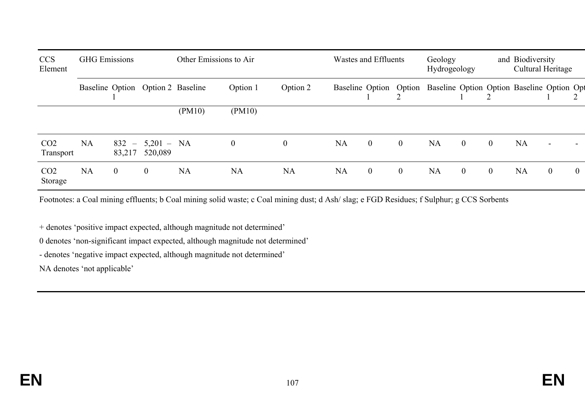| <b>CCS</b><br>Element        | <b>GHG</b> Emissions |                   |                         | Other Emissions to Air            |              | Wastes and Effluents |           |                  | Geology<br>Hydrogeology |                                                                      | and Biodiversity<br>Cultural Heritage |                |           |                |                |
|------------------------------|----------------------|-------------------|-------------------------|-----------------------------------|--------------|----------------------|-----------|------------------|-------------------------|----------------------------------------------------------------------|---------------------------------------|----------------|-----------|----------------|----------------|
|                              |                      |                   |                         | Baseline Option Option 2 Baseline | Option 1     | Option 2             |           |                  |                         | Baseline Option Option Baseline Option Option Baseline Option Option |                                       |                |           |                |                |
|                              |                      |                   |                         | (PM10)                            | (PM10)       |                      |           |                  |                         |                                                                      |                                       |                |           |                |                |
| CO <sub>2</sub><br>Transport | <b>NA</b>            | $832 -$<br>83,217 | $5,201 - NA$<br>520,089 |                                   | $\mathbf{0}$ | $\overline{0}$       | <b>NA</b> | $\overline{0}$   | $\overline{0}$          | <b>NA</b>                                                            | $\overline{0}$                        | $\overline{0}$ | <b>NA</b> |                |                |
| CO <sub>2</sub><br>Storage   | <b>NA</b>            | $\overline{0}$    | $\overline{0}$          | <b>NA</b>                         | <b>NA</b>    | <b>NA</b>            | <b>NA</b> | $\boldsymbol{0}$ | $\boldsymbol{0}$        | <b>NA</b>                                                            | $\mathbf{0}$                          | $\overline{0}$ | <b>NA</b> | $\overline{0}$ | $\overline{0}$ |

Footnotes: a Coal mining effluents; b Coal mining solid waste; c Coal mining dust; d Ash/ slag; e FGD Residues; f Sulphur; g CCS Sorbents

+ denotes 'positive impact expected, although magnitude not determined'

0 denotes 'non-significant impact expected, although magnitude not determined'

- denotes 'negative impact expected, although magnitude not determined'

NA denotes 'not applicable'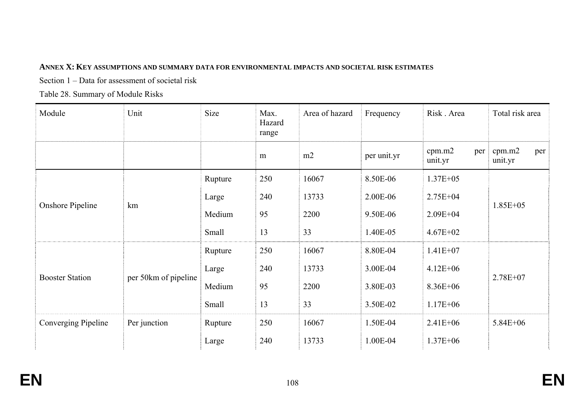## **ANNEX X: KEY ASSUMPTIONS AND SUMMARY DATA FOR ENVIRONMENTAL IMPACTS AND SOCIETAL RISK ESTIMATES**

Section 1 – Data for assessment of societal risk

Table 28. Summary of Module Risks

| Module                  | Unit                 | Size    | Max.<br>Hazard<br>range | Area of hazard | Frequency   | Risk . Area              | Total risk area          |
|-------------------------|----------------------|---------|-------------------------|----------------|-------------|--------------------------|--------------------------|
|                         |                      |         | m                       | m2             | per unit.yr | cpm.m2<br>per<br>unit.yr | cpm.m2<br>per<br>unit.yr |
|                         |                      | Rupture | 250                     | 16067          | 8.50E-06    | $1.37E + 05$             |                          |
|                         |                      | Large   | 240                     | 13733          | 2.00E-06    | $2.75E + 04$             | $1.85E + 05$             |
| <b>Onshore Pipeline</b> | km                   | Medium  | 95                      | 2200           | 9.50E-06    | $2.09E + 04$             |                          |
|                         |                      | Small   | 13                      | 33             | 1.40E-05    | $4.67E + 02$             |                          |
|                         |                      | Rupture | 250                     | 16067          | 8.80E-04    | $1.41E + 07$             |                          |
| <b>Booster Station</b>  |                      | Large   | 240                     | 13733          | 3.00E-04    | $4.12E + 06$             | $2.78E + 07$             |
|                         | per 50km of pipeline | Medium  | 95                      | 2200           | 3.80E-03    | $8.36E + 06$             |                          |
|                         |                      | Small   | 13                      | 33             | 3.50E-02    | $1.17E + 06$             |                          |
| Converging Pipeline     | Per junction         | Rupture | 250                     | 16067          | 1.50E-04    | $2.41E + 06$             | $5.84E + 06$             |
|                         |                      | Large   | 240                     | 13733          | 1.00E-04    | $1.37E + 06$             |                          |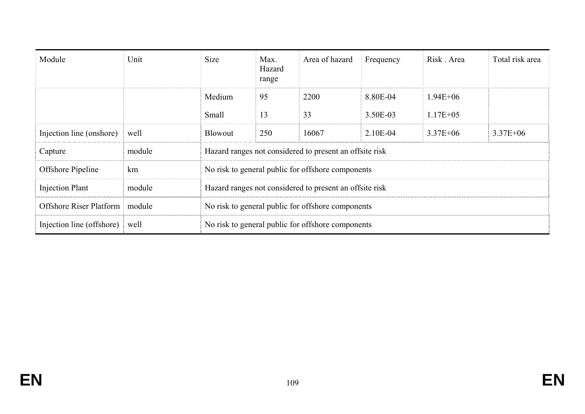| Module                    | Unit   | <b>Size</b>                                       | Max.<br>Hazard<br>range | Area of hazard                                          | Frequency | Risk Area     | Total risk area |  |  |  |  |
|---------------------------|--------|---------------------------------------------------|-------------------------|---------------------------------------------------------|-----------|---------------|-----------------|--|--|--|--|
|                           |        | Medium                                            | 95                      | 2200                                                    | 8.80E-04  | $1.94E + 06$  |                 |  |  |  |  |
|                           |        | Small                                             | 13                      | 33                                                      | 3.50E-03  | $1.17E + 0.5$ |                 |  |  |  |  |
| Injection line (onshore)  | well   | <b>Blowout</b>                                    | 250                     | 16067                                                   | 2.10E-04  | $3.37E + 06$  | $3.37E + 06$    |  |  |  |  |
| Capture                   | module |                                                   |                         | Hazard ranges not considered to present an offsite risk |           |               |                 |  |  |  |  |
| Offshore Pipeline         | km     |                                                   |                         | No risk to general public for offshore components       |           |               |                 |  |  |  |  |
| <b>Injection Plant</b>    | module |                                                   |                         | Hazard ranges not considered to present an offsite risk |           |               |                 |  |  |  |  |
| Offshore Riser Platform   | module | No risk to general public for offshore components |                         |                                                         |           |               |                 |  |  |  |  |
| Injection line (offshore) | well   |                                                   |                         | No risk to general public for offshore components       |           |               |                 |  |  |  |  |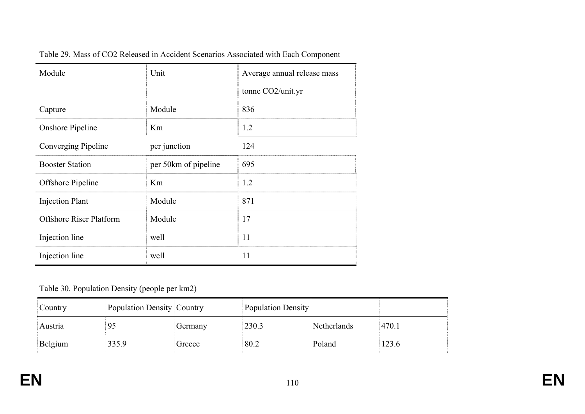| Module                         | Unit                 | Average annual release mass |
|--------------------------------|----------------------|-----------------------------|
|                                |                      | tonne $CO2$ /unit.yr        |
| Capture                        | Module               | 836                         |
| <b>Onshore Pipeline</b>        | Km                   | 1.2                         |
| Converging Pipeline            | per junction         | 124                         |
| <b>Booster Station</b>         | per 50km of pipeline | 695                         |
| Offshore Pipeline              | Km                   | 1.2                         |
| <b>Injection Plant</b>         | Module               | 871                         |
| <b>Offshore Riser Platform</b> | Module               | 17                          |
| Injection line                 | well                 | 11                          |
| Injection line                 | well                 | 11                          |

Table 29. Mass of CO2 Released in Accident Scenarios Associated with Each Component

## Table 30. Population Density (people per km2)

| Country | Population Density Country |         | Population Density |             |       |
|---------|----------------------------|---------|--------------------|-------------|-------|
| Austria | 95                         | Germany | 230.3              | Netherlands | 470.1 |
| Belgium | 335.9                      | Greece  | 80.2               | Poland      | 123.6 |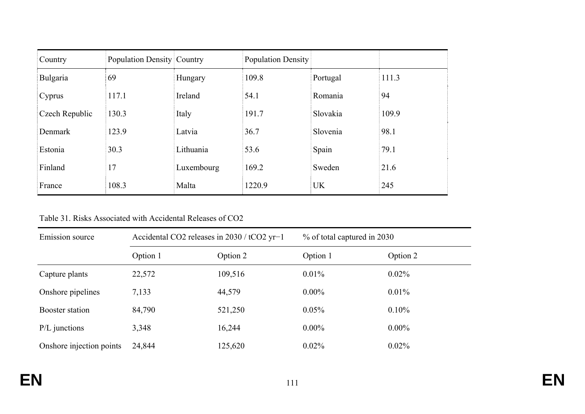| Country        | Population Density Country |            | <b>Population Density</b> |           |       |
|----------------|----------------------------|------------|---------------------------|-----------|-------|
| Bulgaria       | 69                         | Hungary    | 109.8                     | Portugal  | 111.3 |
| Cyprus         | 117.1                      | Ireland    | 54.1                      | Romania   | 94    |
| Czech Republic | 130.3                      | Italy      | 191.7                     | Slovakia  | 109.9 |
| Denmark        | 123.9                      | Latvia     | 36.7                      | Slovenia  | 98.1  |
| Estonia        | 30.3                       | Lithuania  | 53.6                      | Spain     | 79.1  |
| Finland        | 17                         | Luxembourg | 169.2                     | Sweden    | 21.6  |
| France         | 108.3                      | Malta      | 1220.9                    | <b>UK</b> | 245   |

Table 31. Risks Associated with Accidental Releases of CO2

| Emission source          | Accidental CO2 releases in 2030 / tCO2 yr-1 |         | % of total captured in 2030 |          |  |  |
|--------------------------|---------------------------------------------|---------|-----------------------------|----------|--|--|
|                          | Option 1<br>Option 2                        |         | Option 1                    | Option 2 |  |  |
| Capture plants           | 22,572                                      | 109,516 | $0.01\%$                    | $0.02\%$ |  |  |
| Onshore pipelines        | 7,133                                       | 44,579  | $0.00\%$                    | $0.01\%$ |  |  |
| Booster station          | 84,790                                      | 521,250 | 0.05%                       | 0.10%    |  |  |
| $P/L$ junctions          | 3,348                                       | 16,244  | $0.00\%$                    | $0.00\%$ |  |  |
| Onshore injection points | 24,844                                      | 125,620 | $0.02\%$                    | $0.02\%$ |  |  |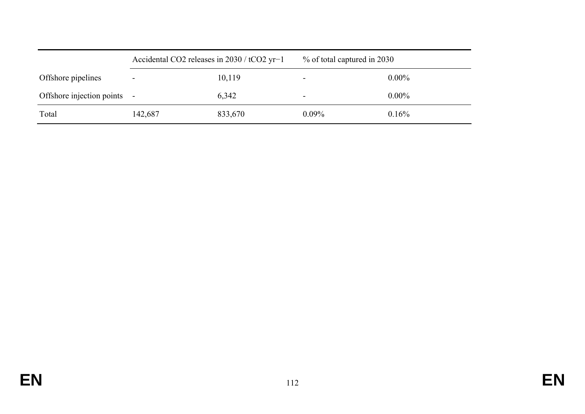|                             | Accidental CO2 releases in 2030 / tCO2 yr-1 |         | % of total captured in 2030 |          |
|-----------------------------|---------------------------------------------|---------|-----------------------------|----------|
| Offshore pipelines          | -                                           | 10,119  |                             | $0.00\%$ |
| Offshore injection points - |                                             | 6,342   |                             | $0.00\%$ |
| Total                       | 142,687                                     | 833,670 | $0.09\%$                    | 0.16%    |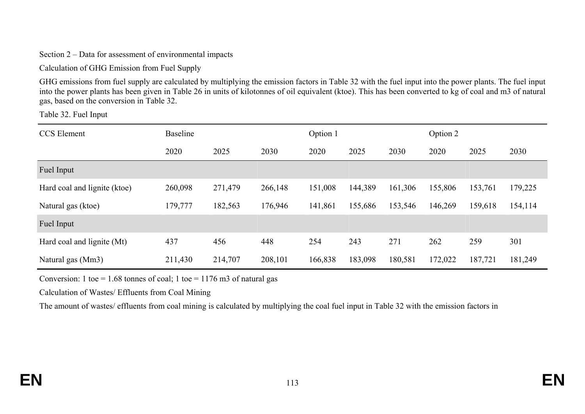Section 2 – Data for assessment of environmental impacts

Calculation of GHG Emission from Fuel Supply

GHG emissions from fuel supply are calculated by multiplying the emission factors in Table 32 with the fuel input into the power plants. The fuel input into the power plants has been given in Table 26 in units of kilotonnes of oil equivalent (ktoe). This has been converted to kg of coal and m3 of natural gas, based on the conversion in Table 32.

Table 32. Fuel Input

| <b>CCS</b> Element           | <b>Baseline</b> |         | Option 1 |         |         | Option 2 |         |         |         |
|------------------------------|-----------------|---------|----------|---------|---------|----------|---------|---------|---------|
|                              | 2020            | 2025    | 2030     | 2020    | 2025    | 2030     | 2020    | 2025    | 2030    |
| Fuel Input                   |                 |         |          |         |         |          |         |         |         |
| Hard coal and lignite (ktoe) | 260,098         | 271,479 | 266,148  | 151,008 | 144,389 | 161,306  | 155,806 | 153,761 | 179,225 |
| Natural gas (ktoe)           | 179,777         | 182,563 | 176,946  | 141,861 | 155,686 | 153,546  | 146,269 | 159,618 | 154,114 |
| Fuel Input                   |                 |         |          |         |         |          |         |         |         |
| Hard coal and lignite (Mt)   | 437             | 456     | 448      | 254     | 243     | 271      | 262     | 259     | 301     |
| Natural gas (Mm3)            | 211,430         | 214,707 | 208,101  | 166,838 | 183,098 | 180,581  | 172,022 | 187,721 | 181,249 |

Conversion: 1 toe = 1.68 tonnes of coal; 1 toe = 1176 m3 of natural gas

Calculation of Wastes/ Effluents from Coal Mining

The amount of wastes/ effluents from coal mining is calculated by multiplying the coal fuel input in Table 32 with the emission factors in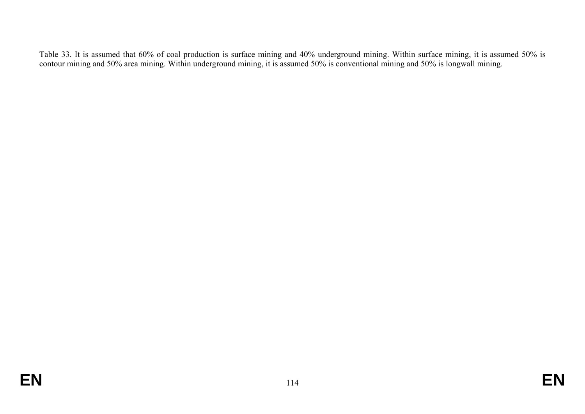Table 33. It is assumed that 60% of coal production is surface mining and 40% underground mining. Within surface mining, it is assumed 50% is contour mining and 50% area mining. Within underground mining, it is assumed 50% is conventional mining and 50% is longwall mining.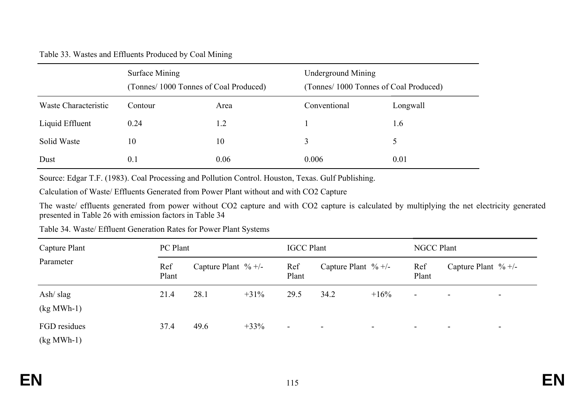## Table 33. Wastes and Effluents Produced by Coal Mining

|                      | Surface Mining<br>(Tonnes/ 1000 Tonnes of Coal Produced) |      | <b>Underground Mining</b><br>(Tonnes/1000 Tonnes of Coal Produced) |          |  |  |
|----------------------|----------------------------------------------------------|------|--------------------------------------------------------------------|----------|--|--|
| Waste Characteristic | Contour                                                  | Area | Conventional                                                       | Longwall |  |  |
| Liquid Effluent      | 0.24                                                     | 1.2  |                                                                    | 1.6      |  |  |
| Solid Waste          | 10                                                       | 10   | 3                                                                  |          |  |  |
| Dust                 | 0.1                                                      | 0.06 | 0.006                                                              | 0.01     |  |  |

Source: Edgar T.F. (1983). Coal Processing and Pollution Control. Houston, Texas. Gulf Publishing.

Calculation of Waste/ Effluents Generated from Power Plant without and with CO2 Capture

The waste/ effluents generated from power without CO2 capture and with CO2 capture is calculated by multiplying the net electricity generated presented in Table 26 with emission factors in Table 34

| Capture Plant                                                |              | PC Plant |                         |                          | <b>IGCC Plant</b> |                        |                          | <b>NGCC Plant</b>        |                        |  |  |
|--------------------------------------------------------------|--------------|----------|-------------------------|--------------------------|-------------------|------------------------|--------------------------|--------------------------|------------------------|--|--|
| Parameter                                                    | Ref<br>Plant |          | Capture Plant $\% +$ /- | Ref<br>Plant             |                   | Capture Plant $\% +/-$ | Ref<br>Plant             |                          | Capture Plant $\% +/-$ |  |  |
| Ash $\frac{\text{slag}}{\text{slag}}$<br>$(kg\text{ MWh-1})$ | 21.4         | 28.1     | $+31\%$                 | 29.5                     | 34.2              | $+16\%$                | $\blacksquare$           | $\overline{\phantom{0}}$ | $\blacksquare$         |  |  |
| FGD residues<br>$(kg\text{ MWh-1})$                          | 37.4         | 49.6     | $+33%$                  | $\overline{\phantom{a}}$ | $\,$ $\,$         | $\sim$                 | $\overline{\phantom{0}}$ | $\overline{\phantom{0}}$ | $\sim$                 |  |  |

Table 34. Waste/ Effluent Generation Rates for Power Plant Systems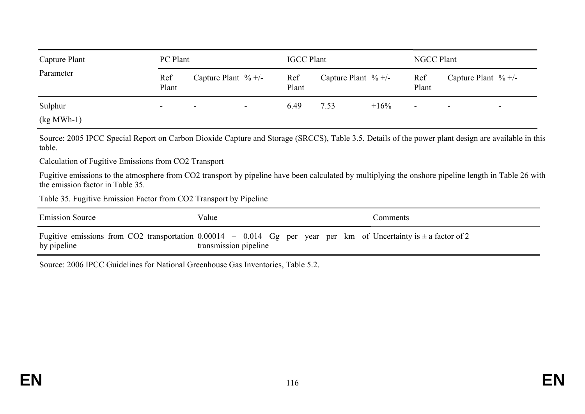| Capture Plant                  | PC Plant                 |                          | <b>IGCC Plant</b>        |              |                         | <b>NGCC Plant</b> |              |                          |                          |
|--------------------------------|--------------------------|--------------------------|--------------------------|--------------|-------------------------|-------------------|--------------|--------------------------|--------------------------|
| Parameter                      | Ref<br>Plant             | Capture Plant $\% +$ /-  |                          | Ref<br>Plant | Capture Plant $\% +$ /- |                   | Ref<br>Plant | Capture Plant $\% +/-$   |                          |
| Sulphur<br>$(kg\text{ MWh-1})$ | $\overline{\phantom{0}}$ | $\overline{\phantom{0}}$ | $\overline{\phantom{a}}$ | 6.49         | 7.53                    | $+16\%$           | -            | $\overline{\phantom{0}}$ | $\overline{\phantom{0}}$ |

Source: 2005 IPCC Special Report on Carbon Dioxide Capture and Storage (SRCCS), Table 3.5. Details of the power plant design are available in this table.

Calculation of Fugitive Emissions from CO2 Transport

Fugitive emissions to the atmosphere from CO2 transport by pipeline have been calculated by multiplying the onshore pipeline length in Table 26 with the emission factor in Table 35.

Table 35. Fugitive Emission Factor from CO2 Transport by Pipeline

| <b>Emission Source</b> | Value                                                                                                                                          | Comments |
|------------------------|------------------------------------------------------------------------------------------------------------------------------------------------|----------|
| by pipeline            | Fugitive emissions from CO2 transportation $0.00014 - 0.014$ Gg per year per km of Uncertainty is $\pm$ a factor of 2<br>transmission pipeline |          |

Source: 2006 IPCC Guidelines for National Greenhouse Gas Inventories, Table 5.2.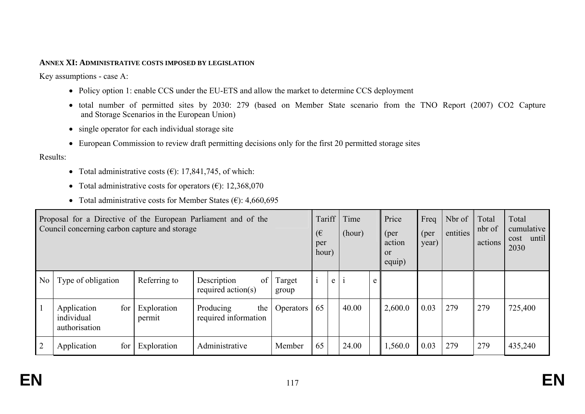## **ANNEX XI: ADMINISTRATIVE COSTS IMPOSED BY LEGISLATION**

Key assumptions - case A:

- Policy option 1: enable CCS under the EU-ETS and allow the market to determine CCS deployment
- total number of permitted sites by 2030: 279 (based on Member State scenario from the TNO Report (2007) CO2 Capture and Storage Scenarios in the European Union)
- single operator for each individual storage site
- European Commission to review draft permitting decisions only for the first 20 permitted storage sites

Results:

- Total administrative costs  $(\epsilon)$ : 17,841,745, of which:
- Total administrative costs for operators  $(\epsilon)$ : 12,368,070
- Total administrative costs for Member States  $(\epsilon)$ : 4,660,695

| Proposal for a Directive of the European Parliament and of the<br>Council concerning carbon capture and storage |                                                   |                       |                                            | Tariff<br>(€<br>per<br>hour) |    | Time<br>(hour) |       | Price<br>(per<br>action<br><b>or</b><br>equip) | Freq<br>(per<br>year) | Nbr of<br>entities | Total<br>nbr of<br>actions | Total<br>cumulative<br>until<br>cost<br>2030 |         |
|-----------------------------------------------------------------------------------------------------------------|---------------------------------------------------|-----------------------|--------------------------------------------|------------------------------|----|----------------|-------|------------------------------------------------|-----------------------|--------------------|----------------------------|----------------------------------------------|---------|
| N <sub>0</sub>                                                                                                  | Type of obligation                                | Referring to          | of<br>Description<br>required $\arctan(s)$ | Target<br>group              |    | $\mathbf{e}$   |       | e                                              |                       |                    |                            |                                              |         |
|                                                                                                                 | for<br>Application<br>individual<br>authorisation | Exploration<br>permit | Producing<br>the<br>required information   | <b>Operators</b>             | 65 |                | 40.00 |                                                | 2,600.0               | 0.03               | 279                        | 279                                          | 725,400 |
|                                                                                                                 | for<br>Application                                | Exploration           | Administrative                             | Member                       | 65 |                | 24.00 |                                                | 1,560.0               | 0.03               | 279                        | 279                                          | 435,240 |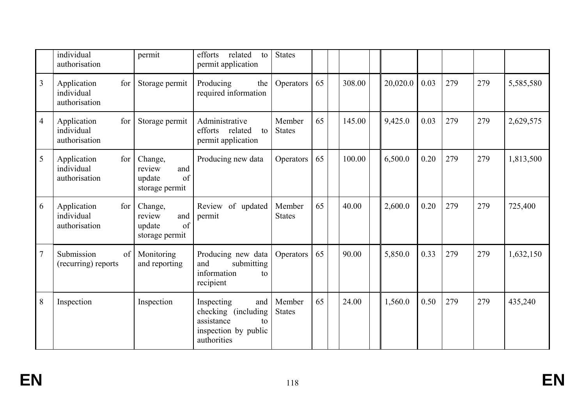|                | individual<br>authorisation                       | permit                                                     | efforts<br>related<br>to<br>permit application                                                       | <b>States</b>           |    |        |          |      |     |     |           |
|----------------|---------------------------------------------------|------------------------------------------------------------|------------------------------------------------------------------------------------------------------|-------------------------|----|--------|----------|------|-----|-----|-----------|
| $\overline{3}$ | Application<br>for<br>individual<br>authorisation | Storage permit                                             | Producing<br>the<br>required information                                                             | Operators               | 65 | 308.00 | 20,020.0 | 0.03 | 279 | 279 | 5,585,580 |
| $\overline{4}$ | Application<br>for<br>individual<br>authorisation | Storage permit                                             | Administrative<br>efforts related<br>to<br>permit application                                        | Member<br><b>States</b> | 65 | 145.00 | 9,425.0  | 0.03 | 279 | 279 | 2,629,575 |
| 5              | Application<br>for<br>individual<br>authorisation | Change,<br>and<br>review<br>of<br>update<br>storage permit | Producing new data                                                                                   | Operators               | 65 | 100.00 | 6,500.0  | 0.20 | 279 | 279 | 1,813,500 |
| 6              | Application<br>for<br>individual<br>authorisation | Change,<br>review<br>and<br>update<br>of<br>storage permit | Review of updated<br>permit                                                                          | Member<br><b>States</b> | 65 | 40.00  | 2,600.0  | 0.20 | 279 | 279 | 725,400   |
| $\overline{7}$ | Submission<br>of<br>(recurring) reports           | Monitoring<br>and reporting                                | Producing new data<br>and<br>submitting<br>information<br>to<br>recipient                            | Operators               | 65 | 90.00  | 5,850.0  | 0.33 | 279 | 279 | 1,632,150 |
| $8\,$          | Inspection                                        | Inspection                                                 | Inspecting<br>and<br>checking (including)<br>assistance<br>to<br>inspection by public<br>authorities | Member<br><b>States</b> | 65 | 24.00  | 1,560.0  | 0.50 | 279 | 279 | 435,240   |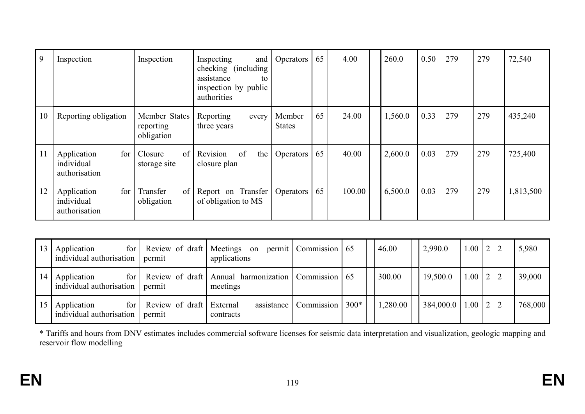| $\overline{9}$ | Inspection                                        | Inspection                                     | Inspecting<br>and<br>checking (including)<br>assistance<br>to<br>inspection by public<br>authorities | Operators               | 65 | 4.00   | 260.0   | 0.50 | 279 | 279 | 72,540    |
|----------------|---------------------------------------------------|------------------------------------------------|------------------------------------------------------------------------------------------------------|-------------------------|----|--------|---------|------|-----|-----|-----------|
| 10             | Reporting obligation                              | Member States<br>reporting<br>obligation       | Reporting<br>every<br>three years                                                                    | Member<br><b>States</b> | 65 | 24.00  | 1,560.0 | 0.33 | 279 | 279 | 435,240   |
| 11             | for<br>Application<br>individual<br>authorisation | Closure<br>of<br>storage site                  | Revision<br>of<br>the<br>closure plan                                                                | Operators               | 65 | 40.00  | 2,600.0 | 0.03 | 279 | 279 | 725,400   |
| 12             | for<br>Application<br>individual<br>authorisation | Transfer<br>$\sigma$ of $\sigma$<br>obligation | Report on Transfer<br>of obligation to MS                                                            | Operators               | 65 | 100.00 | 6,500.0 | 0.03 | 279 | 279 | 1,813,500 |

| 13 | for  <br>Application<br>individual authorisation            | permit                             | Review of draft   Meetings on permit   Commission   65<br>applications |                                            | 46.00    | 2,990.0                    | $1.00 \mid 2 \mid 2$ |  | 5,980   |
|----|-------------------------------------------------------------|------------------------------------|------------------------------------------------------------------------|--------------------------------------------|----------|----------------------------|----------------------|--|---------|
| 14 | Application<br>for <sub>l</sub><br>individual authorisation | permit                             | Review of draft   Annual harmonization   Commission   65<br>meetings   |                                            | 300.00   | 19,500.0                   | $1.00 \mid 2 \mid 2$ |  | 39,000  |
| 15 | Application<br>for<br>individual authorisation              | Review of draft External<br>permit | contracts                                                              | assistance   Commission   300 <sup>*</sup> | 1,280.00 | $384,000.0$   1.00   2   2 |                      |  | 768,000 |

\* Tariffs and hours from DNV estimates includes commercial software licenses for seismic data interpretation and visualization, geologic mapping and reservoir flow modelling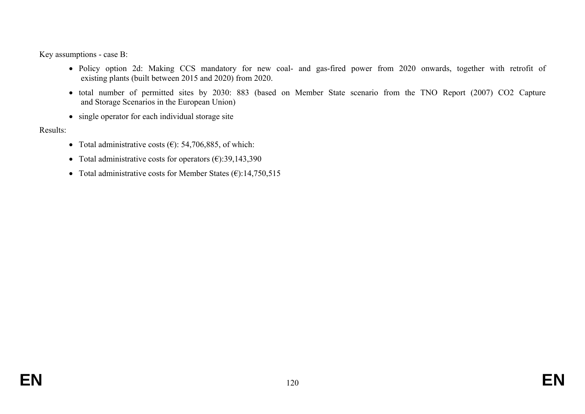Key assumptions - case B:

- Policy option 2d: Making CCS mandatory for new coal- and gas-fired power from 2020 onwards, together with retrofit of existing plants (built between 2015 and 2020) from 2020.
- total number of permitted sites by 2030: 883 (based on Member State scenario from the TNO Report (2007) CO2 Capture and Storage Scenarios in the European Union)
- single operator for each individual storage site

Results:

- Total administrative costs  $(\epsilon)$ : 54,706,885, of which:
- Total administrative costs for operators  $(\epsilon)$ :39,143,390
- Total administrative costs for Member States  $(\epsilon)$ :14,750,515